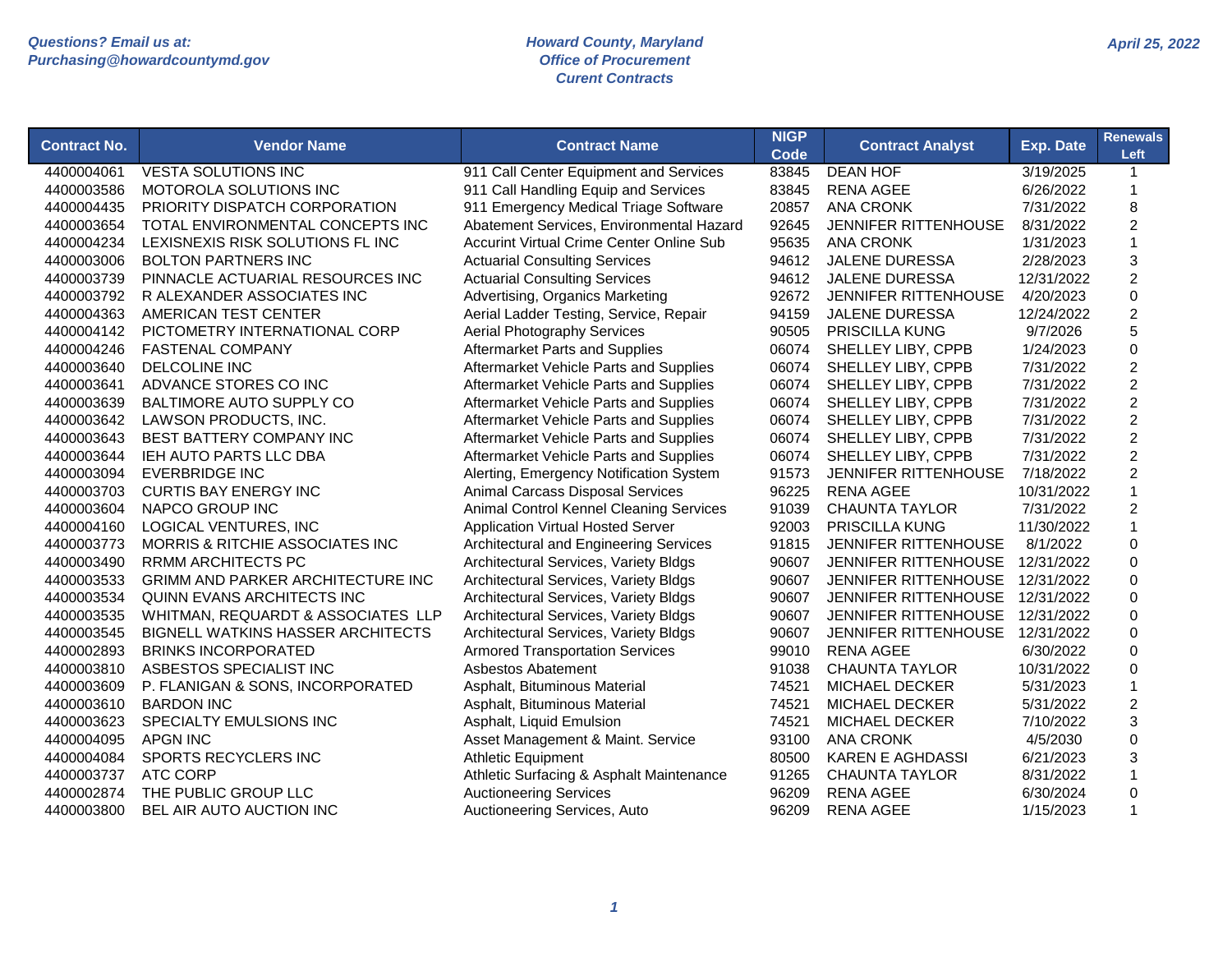| <b>Contract No.</b> | <b>Vendor Name</b>                       | <b>Contract Name</b>                            | <b>NIGP</b><br><b>Code</b> | <b>Contract Analyst</b>     | <b>Exp. Date</b> | <b>Renewals</b><br>Left |
|---------------------|------------------------------------------|-------------------------------------------------|----------------------------|-----------------------------|------------------|-------------------------|
| 4400004061          | <b>VESTA SOLUTIONS INC</b>               | 911 Call Center Equipment and Services          | 83845                      | <b>DEAN HOF</b>             | 3/19/2025        | $\mathbf{1}$            |
| 4400003586          | MOTOROLA SOLUTIONS INC                   | 911 Call Handling Equip and Services            | 83845                      | <b>RENA AGEE</b>            | 6/26/2022        | $\mathbf{1}$            |
| 4400004435          | PRIORITY DISPATCH CORPORATION            | 911 Emergency Medical Triage Software           | 20857                      | <b>ANA CRONK</b>            | 7/31/2022        | 8                       |
| 4400003654          | TOTAL ENVIRONMENTAL CONCEPTS INC         | Abatement Services, Environmental Hazard        | 92645                      | JENNIFER RITTENHOUSE        | 8/31/2022        | $\overline{c}$          |
| 4400004234          | LEXISNEXIS RISK SOLUTIONS FL INC         | <b>Accurint Virtual Crime Center Online Sub</b> | 95635                      | <b>ANA CRONK</b>            | 1/31/2023        | $\mathbf{1}$            |
| 4400003006          | <b>BOLTON PARTNERS INC</b>               | <b>Actuarial Consulting Services</b>            | 94612                      | <b>JALENE DURESSA</b>       | 2/28/2023        | 3                       |
| 4400003739          | PINNACLE ACTUARIAL RESOURCES INC         | <b>Actuarial Consulting Services</b>            | 94612                      | <b>JALENE DURESSA</b>       | 12/31/2022       | $\overline{2}$          |
| 4400003792          | R ALEXANDER ASSOCIATES INC               | Advertising, Organics Marketing                 | 92672                      | JENNIFER RITTENHOUSE        | 4/20/2023        | $\mathsf 0$             |
| 4400004363          | AMERICAN TEST CENTER                     | Aerial Ladder Testing, Service, Repair          | 94159                      | <b>JALENE DURESSA</b>       | 12/24/2022       | $\boldsymbol{2}$        |
| 4400004142          | PICTOMETRY INTERNATIONAL CORP            | <b>Aerial Photography Services</b>              | 90505                      | PRISCILLA KUNG              | 9/7/2026         | 5                       |
| 4400004246          | <b>FASTENAL COMPANY</b>                  | Aftermarket Parts and Supplies                  | 06074                      | SHELLEY LIBY, CPPB          | 1/24/2023        | 0                       |
| 4400003640          | DELCOLINE INC                            | Aftermarket Vehicle Parts and Supplies          | 06074                      | SHELLEY LIBY, CPPB          | 7/31/2022        | $\overline{c}$          |
| 4400003641          | ADVANCE STORES CO INC                    | Aftermarket Vehicle Parts and Supplies          | 06074                      | SHELLEY LIBY, CPPB          | 7/31/2022        | $\overline{c}$          |
| 4400003639          | BALTIMORE AUTO SUPPLY CO                 | Aftermarket Vehicle Parts and Supplies          | 06074                      | SHELLEY LIBY, CPPB          | 7/31/2022        | $\overline{c}$          |
| 4400003642          | LAWSON PRODUCTS, INC.                    | Aftermarket Vehicle Parts and Supplies          | 06074                      | SHELLEY LIBY, CPPB          | 7/31/2022        | $\overline{2}$          |
| 4400003643          | BEST BATTERY COMPANY INC                 | Aftermarket Vehicle Parts and Supplies          | 06074                      | SHELLEY LIBY, CPPB          | 7/31/2022        | $\overline{c}$          |
| 4400003644          | <b>IEH AUTO PARTS LLC DBA</b>            | Aftermarket Vehicle Parts and Supplies          | 06074                      | SHELLEY LIBY, CPPB          | 7/31/2022        | $\overline{2}$          |
| 4400003094          | <b>EVERBRIDGE INC</b>                    | Alerting, Emergency Notification System         | 91573                      | <b>JENNIFER RITTENHOUSE</b> | 7/18/2022        | $\overline{2}$          |
| 4400003703          | <b>CURTIS BAY ENERGY INC</b>             | Animal Carcass Disposal Services                | 96225                      | <b>RENA AGEE</b>            | 10/31/2022       | $\mathbf{1}$            |
| 4400003604          | NAPCO GROUP INC                          | Animal Control Kennel Cleaning Services         | 91039                      | <b>CHAUNTA TAYLOR</b>       | 7/31/2022        | $\overline{c}$          |
| 4400004160          | LOGICAL VENTURES, INC                    | <b>Application Virtual Hosted Server</b>        | 92003                      | <b>PRISCILLA KUNG</b>       | 11/30/2022       | $\mathbf{1}$            |
| 4400003773          | MORRIS & RITCHIE ASSOCIATES INC          | Architectural and Engineering Services          | 91815                      | JENNIFER RITTENHOUSE        | 8/1/2022         | $\mathbf 0$             |
| 4400003490          | <b>RRMM ARCHITECTS PC</b>                | Architectural Services, Variety Bldgs           | 90607                      | JENNIFER RITTENHOUSE        | 12/31/2022       | $\pmb{0}$               |
| 4400003533          | <b>GRIMM AND PARKER ARCHITECTURE INC</b> | Architectural Services, Variety Bldgs           | 90607                      | JENNIFER RITTENHOUSE        | 12/31/2022       | 0                       |
| 4400003534          | QUINN EVANS ARCHITECTS INC               | Architectural Services, Variety Bldgs           | 90607                      | JENNIFER RITTENHOUSE        | 12/31/2022       | 0                       |
| 4400003535          | WHITMAN, REQUARDT & ASSOCIATES LLP       | Architectural Services, Variety Bldgs           | 90607                      | <b>JENNIFER RITTENHOUSE</b> | 12/31/2022       | $\mathbf 0$             |
| 4400003545          | <b>BIGNELL WATKINS HASSER ARCHITECTS</b> | Architectural Services, Variety Bldgs           | 90607                      | <b>JENNIFER RITTENHOUSE</b> | 12/31/2022       | $\mathbf 0$             |
| 4400002893          | <b>BRINKS INCORPORATED</b>               | <b>Armored Transportation Services</b>          | 99010                      | <b>RENA AGEE</b>            | 6/30/2022        | $\Omega$                |
| 4400003810          | ASBESTOS SPECIALIST INC                  | <b>Asbestos Abatement</b>                       | 91038                      | <b>CHAUNTA TAYLOR</b>       | 10/31/2022       | $\mathbf 0$             |
| 4400003609          | P. FLANIGAN & SONS, INCORPORATED         | Asphalt, Bituminous Material                    | 74521                      | MICHAEL DECKER              | 5/31/2023        | $\mathbf{1}$            |
| 4400003610          | <b>BARDON INC</b>                        | Asphalt, Bituminous Material                    | 74521                      | <b>MICHAEL DECKER</b>       | 5/31/2022        | $\overline{c}$          |
| 4400003623          | SPECIALTY EMULSIONS INC                  | Asphalt, Liquid Emulsion                        | 74521                      | <b>MICHAEL DECKER</b>       | 7/10/2022        | 3                       |
| 4400004095          | <b>APGN INC</b>                          | Asset Management & Maint. Service               | 93100                      | <b>ANA CRONK</b>            | 4/5/2030         | $\mathbf 0$             |
| 4400004084          | SPORTS RECYCLERS INC                     | <b>Athletic Equipment</b>                       | 80500                      | <b>KAREN E AGHDASSI</b>     | 6/21/2023        | 3                       |
| 4400003737          | <b>ATC CORP</b>                          | Athletic Surfacing & Asphalt Maintenance        | 91265                      | <b>CHAUNTA TAYLOR</b>       | 8/31/2022        | $\mathbf{1}$            |
| 4400002874          | THE PUBLIC GROUP LLC                     | <b>Auctioneering Services</b>                   | 96209                      | <b>RENA AGEE</b>            | 6/30/2024        | 0                       |
| 4400003800          | BEL AIR AUTO AUCTION INC                 | Auctioneering Services, Auto                    | 96209                      | <b>RENA AGEE</b>            | 1/15/2023        | $\mathbf{1}$            |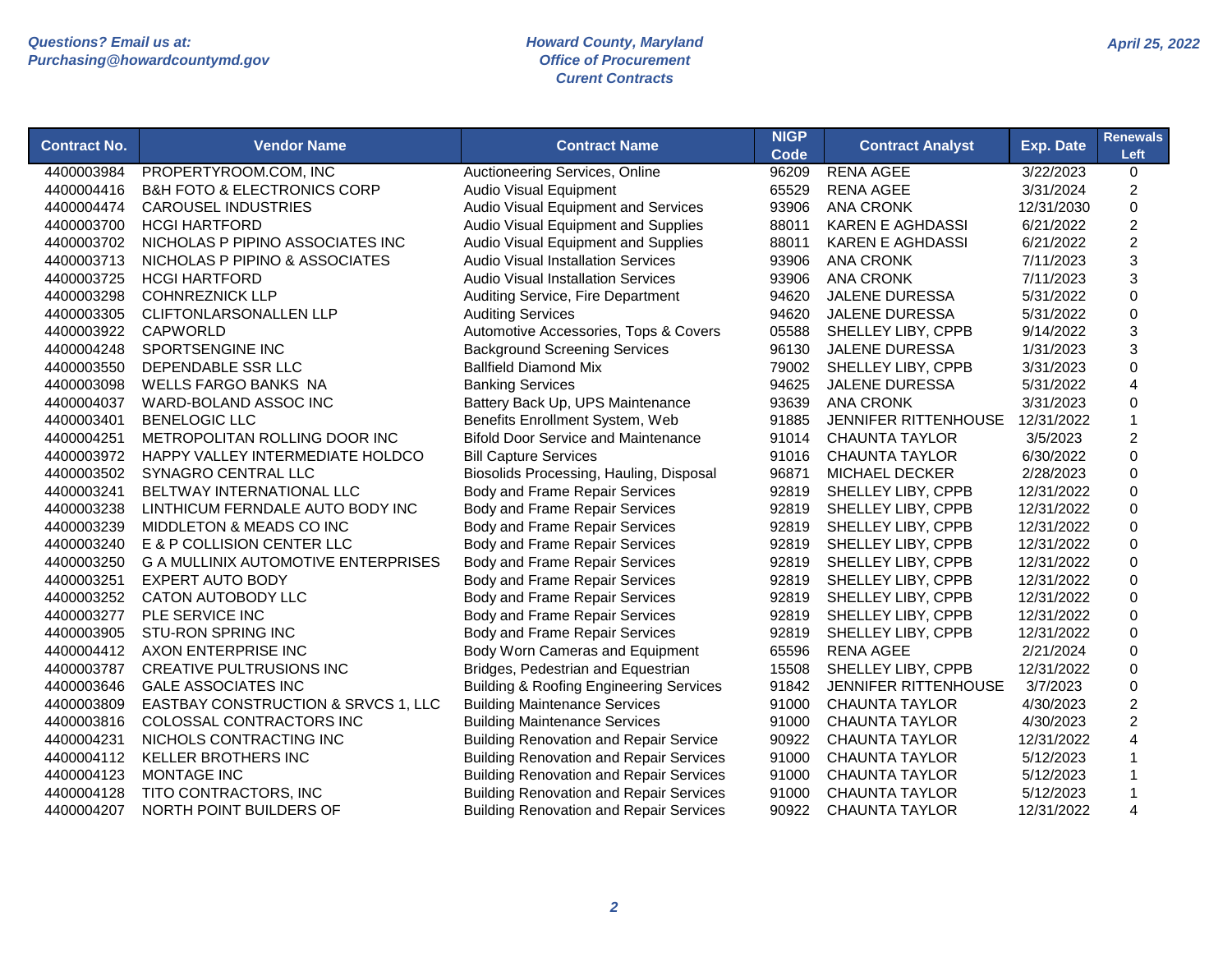| <b>Contract No.</b> | <b>Vendor Name</b>                         | <b>Contract Name</b>                               | <b>NIGP</b><br>Code | <b>Contract Analyst</b>     | <b>Exp. Date</b> | <b>Renewals</b><br>Left |
|---------------------|--------------------------------------------|----------------------------------------------------|---------------------|-----------------------------|------------------|-------------------------|
| 4400003984          | PROPERTYROOM.COM, INC                      | Auctioneering Services, Online                     | 96209               | <b>RENA AGEE</b>            | 3/22/2023        | 0                       |
| 4400004416          | <b>B&amp;H FOTO &amp; ELECTRONICS CORP</b> | <b>Audio Visual Equipment</b>                      | 65529               | <b>RENA AGEE</b>            | 3/31/2024        | 2                       |
| 4400004474          | <b>CAROUSEL INDUSTRIES</b>                 | Audio Visual Equipment and Services                | 93906               | <b>ANA CRONK</b>            | 12/31/2030       | 0                       |
| 4400003700          | <b>HCGI HARTFORD</b>                       | Audio Visual Equipment and Supplies                | 88011               | <b>KAREN E AGHDASSI</b>     | 6/21/2022        | $\overline{2}$          |
| 4400003702          | NICHOLAS P PIPINO ASSOCIATES INC           | Audio Visual Equipment and Supplies                | 88011               | <b>KAREN E AGHDASSI</b>     | 6/21/2022        | $\overline{2}$          |
| 4400003713          | NICHOLAS P PIPINO & ASSOCIATES             | <b>Audio Visual Installation Services</b>          | 93906               | <b>ANA CRONK</b>            | 7/11/2023        | 3                       |
| 4400003725          | <b>HCGI HARTFORD</b>                       | <b>Audio Visual Installation Services</b>          | 93906               | <b>ANA CRONK</b>            | 7/11/2023        | 3                       |
| 4400003298          | <b>COHNREZNICK LLP</b>                     | Auditing Service, Fire Department                  | 94620               | <b>JALENE DURESSA</b>       | 5/31/2022        | 0                       |
| 4400003305          | <b>CLIFTONLARSONALLEN LLP</b>              | <b>Auditing Services</b>                           | 94620               | <b>JALENE DURESSA</b>       | 5/31/2022        | 0                       |
| 4400003922          | <b>CAPWORLD</b>                            | Automotive Accessories, Tops & Covers              | 05588               | SHELLEY LIBY, CPPB          | 9/14/2022        | 3                       |
| 4400004248          | SPORTSENGINE INC                           | <b>Background Screening Services</b>               | 96130               | <b>JALENE DURESSA</b>       | 1/31/2023        | 3                       |
| 4400003550          | DEPENDABLE SSR LLC                         | <b>Ballfield Diamond Mix</b>                       | 79002               | SHELLEY LIBY, CPPB          | 3/31/2023        | 0                       |
| 4400003098          | <b>WELLS FARGO BANKS NA</b>                | <b>Banking Services</b>                            | 94625               | <b>JALENE DURESSA</b>       | 5/31/2022        | 4                       |
| 4400004037          | WARD-BOLAND ASSOC INC                      | Battery Back Up, UPS Maintenance                   | 93639               | <b>ANA CRONK</b>            | 3/31/2023        | 0                       |
| 4400003401          | <b>BENELOGIC LLC</b>                       | Benefits Enrollment System, Web                    | 91885               | <b>JENNIFER RITTENHOUSE</b> | 12/31/2022       | 1                       |
| 4400004251          | METROPOLITAN ROLLING DOOR INC              | <b>Bifold Door Service and Maintenance</b>         | 91014               | <b>CHAUNTA TAYLOR</b>       | 3/5/2023         | 2                       |
| 4400003972          | HAPPY VALLEY INTERMEDIATE HOLDCO           | <b>Bill Capture Services</b>                       | 91016               | <b>CHAUNTA TAYLOR</b>       | 6/30/2022        | $\overline{0}$          |
| 4400003502          | SYNAGRO CENTRAL LLC                        | Biosolids Processing, Hauling, Disposal            | 96871               | <b>MICHAEL DECKER</b>       | 2/28/2023        | 0                       |
| 4400003241          | BELTWAY INTERNATIONAL LLC                  | Body and Frame Repair Services                     | 92819               | SHELLEY LIBY, CPPB          | 12/31/2022       | 0                       |
| 4400003238          | LINTHICUM FERNDALE AUTO BODY INC           | Body and Frame Repair Services                     | 92819               | SHELLEY LIBY, CPPB          | 12/31/2022       | $\overline{0}$          |
| 4400003239          | MIDDLETON & MEADS CO INC                   | Body and Frame Repair Services                     | 92819               | SHELLEY LIBY, CPPB          | 12/31/2022       | 0                       |
| 4400003240          | E & P COLLISION CENTER LLC                 | Body and Frame Repair Services                     | 92819               | SHELLEY LIBY, CPPB          | 12/31/2022       | 0                       |
| 4400003250          | <b>G A MULLINIX AUTOMOTIVE ENTERPRISES</b> | Body and Frame Repair Services                     | 92819               | SHELLEY LIBY, CPPB          | 12/31/2022       | 0                       |
| 4400003251          | <b>EXPERT AUTO BODY</b>                    | Body and Frame Repair Services                     | 92819               | SHELLEY LIBY, CPPB          | 12/31/2022       | 0                       |
| 4400003252          | CATON AUTOBODY LLC                         | Body and Frame Repair Services                     | 92819               | SHELLEY LIBY, CPPB          | 12/31/2022       | 0                       |
| 4400003277          | PLE SERVICE INC                            | <b>Body and Frame Repair Services</b>              | 92819               | SHELLEY LIBY, CPPB          | 12/31/2022       | 0                       |
| 4400003905          | <b>STU-RON SPRING INC</b>                  | Body and Frame Repair Services                     | 92819               | SHELLEY LIBY, CPPB          | 12/31/2022       | 0                       |
| 4400004412          | AXON ENTERPRISE INC                        | Body Worn Cameras and Equipment                    | 65596               | <b>RENA AGEE</b>            | 2/21/2024        | 0                       |
| 4400003787          | <b>CREATIVE PULTRUSIONS INC</b>            | Bridges, Pedestrian and Equestrian                 | 15508               | SHELLEY LIBY, CPPB          | 12/31/2022       | $\overline{0}$          |
| 4400003646          | <b>GALE ASSOCIATES INC</b>                 | <b>Building &amp; Roofing Engineering Services</b> | 91842               | <b>JENNIFER RITTENHOUSE</b> | 3/7/2023         | 0                       |
| 4400003809          | EASTBAY CONSTRUCTION & SRVCS 1, LLC        | <b>Building Maintenance Services</b>               | 91000               | <b>CHAUNTA TAYLOR</b>       | 4/30/2023        | $\overline{2}$          |
| 4400003816          | COLOSSAL CONTRACTORS INC                   | <b>Building Maintenance Services</b>               | 91000               | <b>CHAUNTA TAYLOR</b>       | 4/30/2023        | $\overline{2}$          |
| 4400004231          | NICHOLS CONTRACTING INC                    | <b>Building Renovation and Repair Service</b>      | 90922               | <b>CHAUNTA TAYLOR</b>       | 12/31/2022       | 4                       |
| 4400004112          | <b>KELLER BROTHERS INC</b>                 | <b>Building Renovation and Repair Services</b>     | 91000               | <b>CHAUNTA TAYLOR</b>       | 5/12/2023        |                         |
| 4400004123          | <b>MONTAGE INC</b>                         | <b>Building Renovation and Repair Services</b>     | 91000               | <b>CHAUNTA TAYLOR</b>       | 5/12/2023        |                         |
| 4400004128          | TITO CONTRACTORS, INC                      | <b>Building Renovation and Repair Services</b>     | 91000               | <b>CHAUNTA TAYLOR</b>       | 5/12/2023        |                         |
| 4400004207          | NORTH POINT BUILDERS OF                    | <b>Building Renovation and Repair Services</b>     | 90922               | <b>CHAUNTA TAYLOR</b>       | 12/31/2022       | 4                       |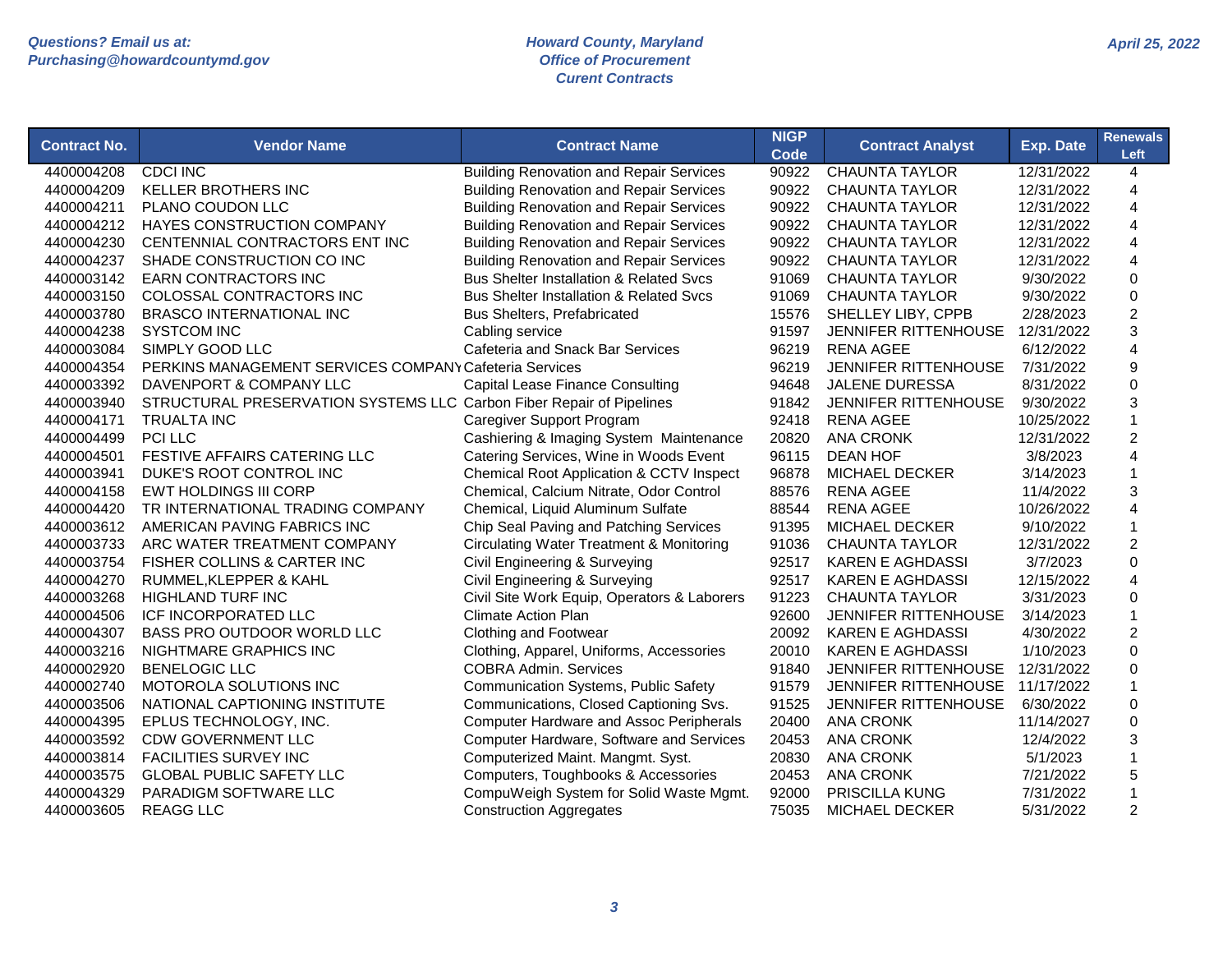|                     |                                                                      |                                                     | <b>NIGP</b> |                             |                  | <b>Renewals</b>         |
|---------------------|----------------------------------------------------------------------|-----------------------------------------------------|-------------|-----------------------------|------------------|-------------------------|
| <b>Contract No.</b> | <b>Vendor Name</b>                                                   | <b>Contract Name</b>                                | <b>Code</b> | <b>Contract Analyst</b>     | <b>Exp. Date</b> | Left                    |
| 4400004208          | <b>CDCI INC</b>                                                      | <b>Building Renovation and Repair Services</b>      | 90922       | <b>CHAUNTA TAYLOR</b>       | 12/31/2022       | 4                       |
| 4400004209          | <b>KELLER BROTHERS INC</b>                                           | <b>Building Renovation and Repair Services</b>      | 90922       | <b>CHAUNTA TAYLOR</b>       | 12/31/2022       | $\overline{4}$          |
| 4400004211          | PLANO COUDON LLC                                                     | <b>Building Renovation and Repair Services</b>      | 90922       | <b>CHAUNTA TAYLOR</b>       | 12/31/2022       | 4                       |
| 4400004212          | HAYES CONSTRUCTION COMPANY                                           | <b>Building Renovation and Repair Services</b>      | 90922       | <b>CHAUNTA TAYLOR</b>       | 12/31/2022       | 4                       |
| 4400004230          | CENTENNIAL CONTRACTORS ENT INC                                       | <b>Building Renovation and Repair Services</b>      | 90922       | <b>CHAUNTA TAYLOR</b>       | 12/31/2022       | $\overline{\mathbf{4}}$ |
| 4400004237          | SHADE CONSTRUCTION CO INC                                            | <b>Building Renovation and Repair Services</b>      | 90922       | <b>CHAUNTA TAYLOR</b>       | 12/31/2022       | 4                       |
| 4400003142          | <b>EARN CONTRACTORS INC</b>                                          | <b>Bus Shelter Installation &amp; Related Svcs</b>  | 91069       | <b>CHAUNTA TAYLOR</b>       | 9/30/2022        | $\mathbf 0$             |
| 4400003150          | COLOSSAL CONTRACTORS INC                                             | <b>Bus Shelter Installation &amp; Related Svcs</b>  | 91069       | <b>CHAUNTA TAYLOR</b>       | 9/30/2022        | $\mathbf 0$             |
| 4400003780          | BRASCO INTERNATIONAL INC                                             | Bus Shelters, Prefabricated                         | 15576       | SHELLEY LIBY, CPPB          | 2/28/2023        | $\overline{c}$          |
| 4400004238          | <b>SYSTCOM INC</b>                                                   | Cabling service                                     | 91597       | <b>JENNIFER RITTENHOUSE</b> | 12/31/2022       | 3                       |
| 4400003084          | SIMPLY GOOD LLC                                                      | Cafeteria and Snack Bar Services                    | 96219       | <b>RENA AGEE</b>            | 6/12/2022        | $\overline{4}$          |
| 4400004354          | PERKINS MANAGEMENT SERVICES COMPANY Cafeteria Services               |                                                     | 96219       | <b>JENNIFER RITTENHOUSE</b> | 7/31/2022        | 9                       |
| 4400003392          | DAVENPORT & COMPANY LLC                                              | <b>Capital Lease Finance Consulting</b>             | 94648       | <b>JALENE DURESSA</b>       | 8/31/2022        | $\mathsf 0$             |
| 4400003940          | STRUCTURAL PRESERVATION SYSTEMS LLC Carbon Fiber Repair of Pipelines |                                                     | 91842       | <b>JENNIFER RITTENHOUSE</b> | 9/30/2022        | 3                       |
| 4400004171          | <b>TRUALTA INC</b>                                                   | Caregiver Support Program                           | 92418       | <b>RENA AGEE</b>            | 10/25/2022       | $\mathbf{1}$            |
| 4400004499          | PCI LLC                                                              | Cashiering & Imaging System Maintenance             | 20820       | <b>ANA CRONK</b>            | 12/31/2022       | $\overline{c}$          |
| 4400004501          | <b>FESTIVE AFFAIRS CATERING LLC</b>                                  | Catering Services, Wine in Woods Event              | 96115       | <b>DEAN HOF</b>             | 3/8/2023         | 4                       |
| 4400003941          | DUKE'S ROOT CONTROL INC                                              | <b>Chemical Root Application &amp; CCTV Inspect</b> | 96878       | <b>MICHAEL DECKER</b>       | 3/14/2023        | 1                       |
| 4400004158          | EWT HOLDINGS III CORP                                                | Chemical, Calcium Nitrate, Odor Control             | 88576       | <b>RENA AGEE</b>            | 11/4/2022        | 3                       |
| 4400004420          | TR INTERNATIONAL TRADING COMPANY                                     | Chemical, Liquid Aluminum Sulfate                   | 88544       | <b>RENA AGEE</b>            | 10/26/2022       | $\overline{\mathbf{4}}$ |
| 4400003612          | AMERICAN PAVING FABRICS INC                                          | Chip Seal Paving and Patching Services              | 91395       | MICHAEL DECKER              | 9/10/2022        | $\mathbf{1}$            |
| 4400003733          | ARC WATER TREATMENT COMPANY                                          | <b>Circulating Water Treatment &amp; Monitoring</b> | 91036       | <b>CHAUNTA TAYLOR</b>       | 12/31/2022       | $\overline{2}$          |
| 4400003754          | <b>FISHER COLLINS &amp; CARTER INC</b>                               | Civil Engineering & Surveying                       | 92517       | <b>KAREN E AGHDASSI</b>     | 3/7/2023         | $\Omega$                |
| 4400004270          | RUMMEL, KLEPPER & KAHL                                               | Civil Engineering & Surveying                       | 92517       | <b>KAREN E AGHDASSI</b>     | 12/15/2022       | 4                       |
| 4400003268          | <b>HIGHLAND TURF INC</b>                                             | Civil Site Work Equip, Operators & Laborers         | 91223       | <b>CHAUNTA TAYLOR</b>       | 3/31/2023        | $\Omega$                |
| 4400004506          | <b>ICF INCORPORATED LLC</b>                                          | <b>Climate Action Plan</b>                          | 92600       | <b>JENNIFER RITTENHOUSE</b> | 3/14/2023        | 1                       |
| 4400004307          | BASS PRO OUTDOOR WORLD LLC                                           | <b>Clothing and Footwear</b>                        | 20092       | <b>KAREN E AGHDASSI</b>     | 4/30/2022        | $\overline{2}$          |
| 4400003216          | NIGHTMARE GRAPHICS INC                                               | Clothing, Apparel, Uniforms, Accessories            | 20010       | <b>KAREN E AGHDASSI</b>     | 1/10/2023        | $\mathsf 0$             |
| 4400002920          | <b>BENELOGIC LLC</b>                                                 | <b>COBRA Admin. Services</b>                        | 91840       | JENNIFER RITTENHOUSE        | 12/31/2022       | $\mathbf 0$             |
| 4400002740          | MOTOROLA SOLUTIONS INC                                               | <b>Communication Systems, Public Safety</b>         | 91579       | JENNIFER RITTENHOUSE        | 11/17/2022       | $\mathbf{1}$            |
| 4400003506          | NATIONAL CAPTIONING INSTITUTE                                        | Communications, Closed Captioning Svs.              | 91525       | JENNIFER RITTENHOUSE        | 6/30/2022        | $\mathsf 0$             |
| 4400004395          | EPLUS TECHNOLOGY, INC.                                               | <b>Computer Hardware and Assoc Peripherals</b>      | 20400       | <b>ANA CRONK</b>            | 11/14/2027       | $\Omega$                |
| 4400003592          | <b>CDW GOVERNMENT LLC</b>                                            | Computer Hardware, Software and Services            | 20453       | <b>ANA CRONK</b>            | 12/4/2022        | 3                       |
| 4400003814          | <b>FACILITIES SURVEY INC</b>                                         | Computerized Maint. Mangmt. Syst.                   | 20830       | <b>ANA CRONK</b>            | 5/1/2023         | $\mathbf{1}$            |
| 4400003575          | <b>GLOBAL PUBLIC SAFETY LLC</b>                                      | Computers, Toughbooks & Accessories                 | 20453       | <b>ANA CRONK</b>            | 7/21/2022        | 5                       |
| 4400004329          | PARADIGM SOFTWARE LLC                                                | CompuWeigh System for Solid Waste Mgmt.             | 92000       | <b>PRISCILLA KUNG</b>       | 7/31/2022        | 1                       |
| 4400003605          | <b>REAGG LLC</b>                                                     | <b>Construction Aggregates</b>                      | 75035       | <b>MICHAEL DECKER</b>       | 5/31/2022        | $\overline{2}$          |
|                     |                                                                      |                                                     |             |                             |                  |                         |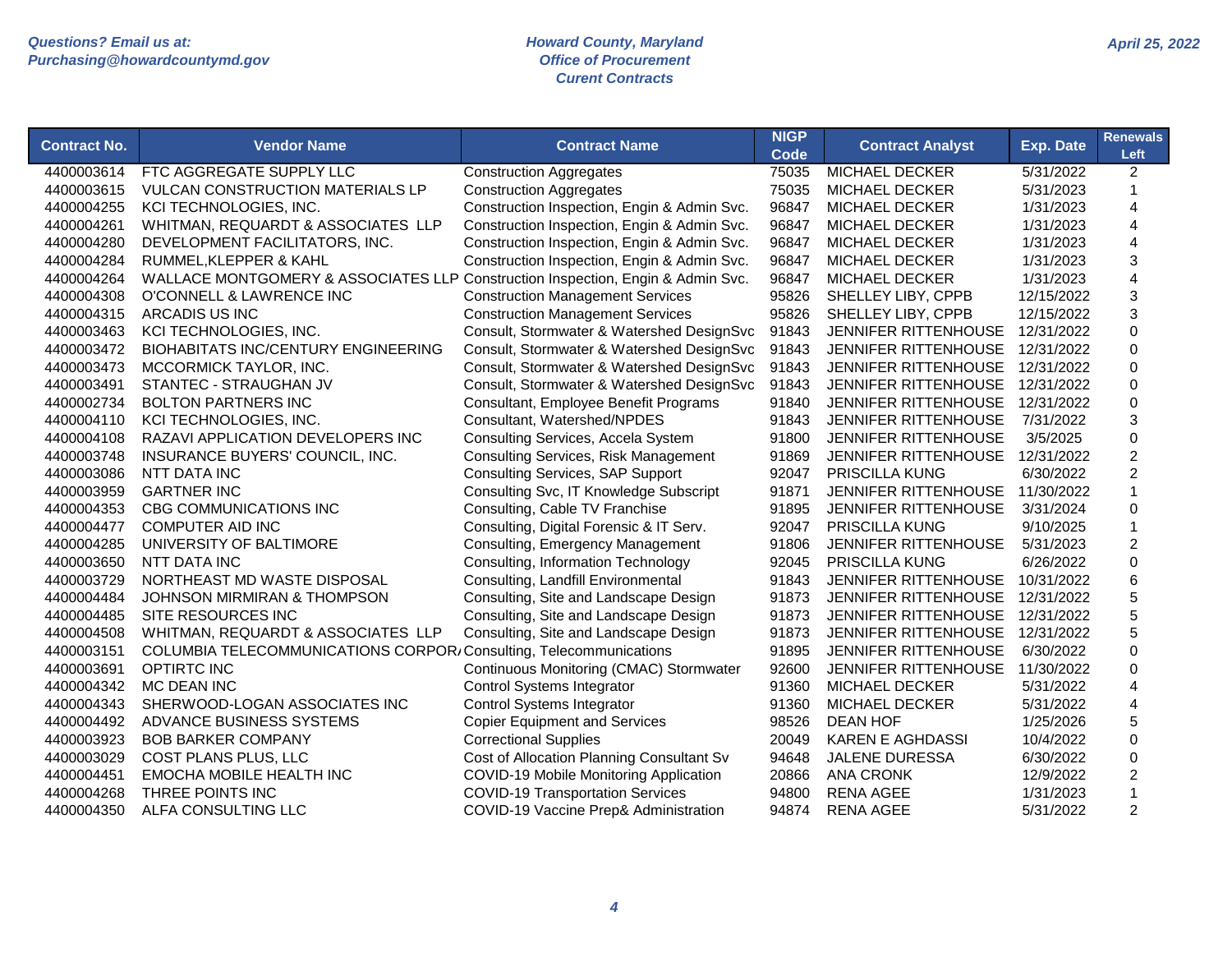| <b>Contract No.</b> | <b>Vendor Name</b>                                                              | <b>Contract Name</b>                        | <b>NIGP</b><br><b>Code</b> | <b>Contract Analyst</b>     | <b>Exp. Date</b> | <b>Renewals</b><br>Left |
|---------------------|---------------------------------------------------------------------------------|---------------------------------------------|----------------------------|-----------------------------|------------------|-------------------------|
| 4400003614          | FTC AGGREGATE SUPPLY LLC                                                        | <b>Construction Aggregates</b>              | 75035                      | <b>MICHAEL DECKER</b>       | 5/31/2022        | $\overline{2}$          |
| 4400003615          | <b>VULCAN CONSTRUCTION MATERIALS LP</b>                                         | <b>Construction Aggregates</b>              | 75035                      | <b>MICHAEL DECKER</b>       | 5/31/2023        | $\mathbf 1$             |
| 4400004255          | KCI TECHNOLOGIES, INC.                                                          | Construction Inspection, Engin & Admin Svc. | 96847                      | <b>MICHAEL DECKER</b>       | 1/31/2023        | 4                       |
| 4400004261          | WHITMAN, REQUARDT & ASSOCIATES LLP                                              | Construction Inspection, Engin & Admin Svc. | 96847                      | <b>MICHAEL DECKER</b>       | 1/31/2023        | 4                       |
| 4400004280          | DEVELOPMENT FACILITATORS, INC.                                                  | Construction Inspection, Engin & Admin Svc. | 96847                      | MICHAEL DECKER              | 1/31/2023        | 4                       |
| 4400004284          | RUMMEL, KLEPPER & KAHL                                                          | Construction Inspection, Engin & Admin Svc. | 96847                      | <b>MICHAEL DECKER</b>       | 1/31/2023        | 3                       |
| 4400004264          | WALLACE MONTGOMERY & ASSOCIATES LLP Construction Inspection, Engin & Admin Svc. |                                             | 96847                      | <b>MICHAEL DECKER</b>       | 1/31/2023        | 4                       |
| 4400004308          | O'CONNELL & LAWRENCE INC                                                        | <b>Construction Management Services</b>     | 95826                      | SHELLEY LIBY, CPPB          | 12/15/2022       | 3                       |
| 4400004315          | ARCADIS US INC                                                                  | <b>Construction Management Services</b>     | 95826                      | SHELLEY LIBY, CPPB          | 12/15/2022       | 3                       |
| 4400003463          | KCI TECHNOLOGIES, INC.                                                          | Consult, Stormwater & Watershed DesignSvc   | 91843                      | JENNIFER RITTENHOUSE        | 12/31/2022       | $\mathbf 0$             |
| 4400003472          | <b>BIOHABITATS INC/CENTURY ENGINEERING</b>                                      | Consult, Stormwater & Watershed DesignSvc   | 91843                      | JENNIFER RITTENHOUSE        | 12/31/2022       | $\mathbf 0$             |
| 4400003473          | MCCORMICK TAYLOR, INC.                                                          | Consult, Stormwater & Watershed DesignSvc   | 91843                      | JENNIFER RITTENHOUSE        | 12/31/2022       | $\pmb{0}$               |
| 4400003491          | STANTEC - STRAUGHAN JV                                                          | Consult, Stormwater & Watershed DesignSvc   | 91843                      | JENNIFER RITTENHOUSE        | 12/31/2022       | $\mathbf 0$             |
| 4400002734          | <b>BOLTON PARTNERS INC</b>                                                      | Consultant, Employee Benefit Programs       | 91840                      | JENNIFER RITTENHOUSE        | 12/31/2022       | $\mathbf 0$             |
| 4400004110          | KCI TECHNOLOGIES, INC.                                                          | Consultant, Watershed/NPDES                 | 91843                      | JENNIFER RITTENHOUSE        | 7/31/2022        | 3                       |
| 4400004108          | RAZAVI APPLICATION DEVELOPERS INC                                               | Consulting Services, Accela System          | 91800                      | <b>JENNIFER RITTENHOUSE</b> | 3/5/2025         | $\mathbf 0$             |
| 4400003748          | INSURANCE BUYERS' COUNCIL, INC.                                                 | <b>Consulting Services, Risk Management</b> | 91869                      | <b>JENNIFER RITTENHOUSE</b> | 12/31/2022       | $\overline{2}$          |
| 4400003086          | NTT DATA INC                                                                    | <b>Consulting Services, SAP Support</b>     | 92047                      | <b>PRISCILLA KUNG</b>       | 6/30/2022        | $\overline{2}$          |
| 4400003959          | <b>GARTNER INC</b>                                                              | Consulting Svc, IT Knowledge Subscript      | 91871                      | <b>JENNIFER RITTENHOUSE</b> | 11/30/2022       | $\mathbf{1}$            |
| 4400004353          | CBG COMMUNICATIONS INC                                                          | Consulting, Cable TV Franchise              | 91895                      | JENNIFER RITTENHOUSE        | 3/31/2024        | 0                       |
| 4400004477          | <b>COMPUTER AID INC</b>                                                         | Consulting, Digital Forensic & IT Serv.     | 92047                      | <b>PRISCILLA KUNG</b>       | 9/10/2025        | $\mathbf{1}$            |
| 4400004285          | UNIVERSITY OF BALTIMORE                                                         | Consulting, Emergency Management            | 91806                      | JENNIFER RITTENHOUSE        | 5/31/2023        | $\overline{c}$          |
| 4400003650          | NTT DATA INC                                                                    | Consulting, Information Technology          | 92045                      | PRISCILLA KUNG              | 6/26/2022        | $\mathbf 0$             |
| 4400003729          | NORTHEAST MD WASTE DISPOSAL                                                     | Consulting, Landfill Environmental          | 91843                      | JENNIFER RITTENHOUSE        | 10/31/2022       | 6                       |
| 4400004484          | JOHNSON MIRMIRAN & THOMPSON                                                     | Consulting, Site and Landscape Design       | 91873                      | JENNIFER RITTENHOUSE        | 12/31/2022       | 5                       |
| 4400004485          | SITE RESOURCES INC                                                              | Consulting, Site and Landscape Design       | 91873                      | JENNIFER RITTENHOUSE        | 12/31/2022       | 5                       |
| 4400004508          | WHITMAN, REQUARDT & ASSOCIATES LLP                                              | Consulting, Site and Landscape Design       | 91873                      | <b>JENNIFER RITTENHOUSE</b> | 12/31/2022       | 5                       |
| 4400003151          | COLUMBIA TELECOMMUNICATIONS CORPOR, Consulting, Telecommunications              |                                             | 91895                      | <b>JENNIFER RITTENHOUSE</b> | 6/30/2022        | $\Omega$                |
| 4400003691          | <b>OPTIRTC INC</b>                                                              | Continuous Monitoring (CMAC) Stormwater     | 92600                      | <b>JENNIFER RITTENHOUSE</b> | 11/30/2022       | $\Omega$                |
| 4400004342          | MC DEAN INC                                                                     | <b>Control Systems Integrator</b>           | 91360                      | <b>MICHAEL DECKER</b>       | 5/31/2022        | 4                       |
| 4400004343          | SHERWOOD-LOGAN ASSOCIATES INC                                                   | <b>Control Systems Integrator</b>           | 91360                      | MICHAEL DECKER              | 5/31/2022        | 4                       |
| 4400004492          | ADVANCE BUSINESS SYSTEMS                                                        | <b>Copier Equipment and Services</b>        | 98526                      | <b>DEAN HOF</b>             | 1/25/2026        | 5                       |
| 4400003923          | <b>BOB BARKER COMPANY</b>                                                       | <b>Correctional Supplies</b>                | 20049                      | <b>KAREN E AGHDASSI</b>     | 10/4/2022        | $\mathbf 0$             |
| 4400003029          | COST PLANS PLUS, LLC                                                            | Cost of Allocation Planning Consultant Sv   | 94648                      | <b>JALENE DURESSA</b>       | 6/30/2022        | 0                       |
| 4400004451          | EMOCHA MOBILE HEALTH INC                                                        | COVID-19 Mobile Monitoring Application      | 20866                      | <b>ANA CRONK</b>            | 12/9/2022        | $\overline{c}$          |
| 4400004268          | THREE POINTS INC                                                                | <b>COVID-19 Transportation Services</b>     | 94800                      | <b>RENA AGEE</b>            | 1/31/2023        | 1                       |
| 4400004350          | ALFA CONSULTING LLC                                                             | COVID-19 Vaccine Prep& Administration       | 94874                      | <b>RENA AGEE</b>            | 5/31/2022        | $\overline{2}$          |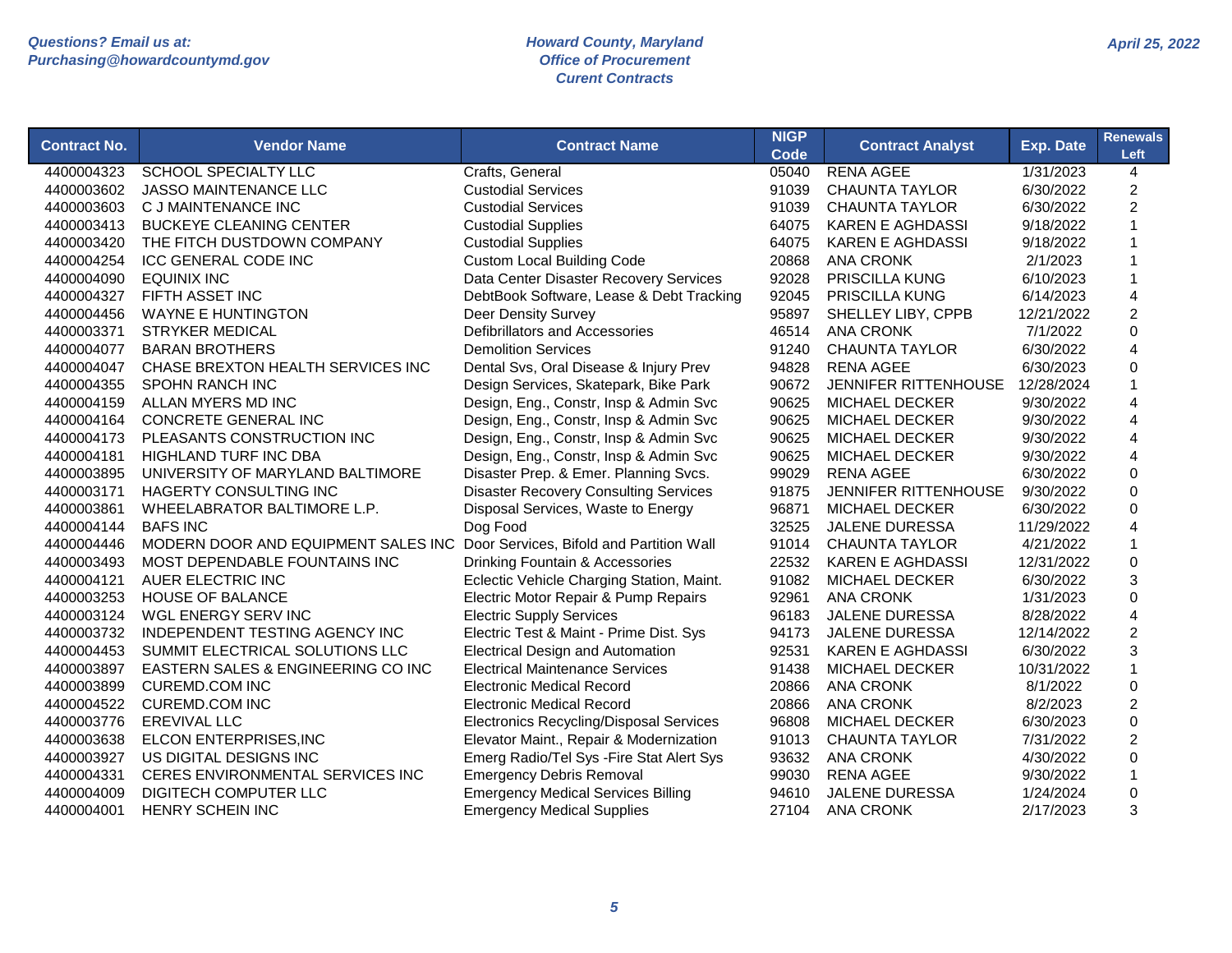| <b>Contract No.</b> | <b>Vendor Name</b>                    | <b>Contract Name</b>                           | <b>NIGP</b><br>Code | <b>Contract Analyst</b>     | <b>Exp. Date</b> | <b>Renewals</b><br>Left |
|---------------------|---------------------------------------|------------------------------------------------|---------------------|-----------------------------|------------------|-------------------------|
| 4400004323          | <b>SCHOOL SPECIALTY LLC</b>           | Crafts, General                                | 05040               | <b>RENA AGEE</b>            | 1/31/2023        | $\overline{4}$          |
| 4400003602          | <b>JASSO MAINTENANCE LLC</b>          | <b>Custodial Services</b>                      | 91039               | <b>CHAUNTA TAYLOR</b>       | 6/30/2022        | $\overline{2}$          |
| 4400003603          | C J MAINTENANCE INC                   | <b>Custodial Services</b>                      | 91039               | <b>CHAUNTA TAYLOR</b>       | 6/30/2022        | $\overline{2}$          |
| 4400003413          | <b>BUCKEYE CLEANING CENTER</b>        | <b>Custodial Supplies</b>                      | 64075               | <b>KAREN E AGHDASSI</b>     | 9/18/2022        | $\mathbf{1}$            |
| 4400003420          | THE FITCH DUSTDOWN COMPANY            | <b>Custodial Supplies</b>                      | 64075               | <b>KAREN E AGHDASSI</b>     | 9/18/2022        | $\mathbf 1$             |
| 4400004254          | <b>ICC GENERAL CODE INC</b>           | <b>Custom Local Building Code</b>              | 20868               | <b>ANA CRONK</b>            | 2/1/2023         |                         |
| 4400004090          | <b>EQUINIX INC</b>                    | Data Center Disaster Recovery Services         | 92028               | <b>PRISCILLA KUNG</b>       | 6/10/2023        | $\mathbf 1$             |
| 4400004327          | FIFTH ASSET INC                       | DebtBook Software, Lease & Debt Tracking       | 92045               | <b>PRISCILLA KUNG</b>       | 6/14/2023        | $\overline{4}$          |
| 4400004456          | <b>WAYNE E HUNTINGTON</b>             | <b>Deer Density Survey</b>                     | 95897               | SHELLEY LIBY, CPPB          | 12/21/2022       | $\overline{2}$          |
| 4400003371          | <b>STRYKER MEDICAL</b>                | Defibrillators and Accessories                 | 46514               | <b>ANA CRONK</b>            | 7/1/2022         | 0                       |
| 4400004077          | <b>BARAN BROTHERS</b>                 | <b>Demolition Services</b>                     | 91240               | <b>CHAUNTA TAYLOR</b>       | 6/30/2022        | $\overline{\mathbf{4}}$ |
| 4400004047          | CHASE BREXTON HEALTH SERVICES INC     | Dental Svs, Oral Disease & Injury Prev         | 94828               | <b>RENA AGEE</b>            | 6/30/2023        | $\mathbf 0$             |
| 4400004355          | <b>SPOHN RANCH INC</b>                | Design Services, Skatepark, Bike Park          | 90672               | <b>JENNIFER RITTENHOUSE</b> | 12/28/2024       | $\mathbf{1}$            |
| 4400004159          | ALLAN MYERS MD INC                    | Design, Eng., Constr, Insp & Admin Svc         | 90625               | <b>MICHAEL DECKER</b>       | 9/30/2022        | $\overline{4}$          |
| 4400004164          | <b>CONCRETE GENERAL INC</b>           | Design, Eng., Constr, Insp & Admin Svc         | 90625               | <b>MICHAEL DECKER</b>       | 9/30/2022        | $\overline{4}$          |
| 4400004173          | PLEASANTS CONSTRUCTION INC            | Design, Eng., Constr, Insp & Admin Svc         | 90625               | <b>MICHAEL DECKER</b>       | 9/30/2022        | $\overline{4}$          |
| 4400004181          | <b>HIGHLAND TURF INC DBA</b>          | Design, Eng., Constr, Insp & Admin Svc         | 90625               | <b>MICHAEL DECKER</b>       | 9/30/2022        | $\overline{4}$          |
| 4400003895          | UNIVERSITY OF MARYLAND BALTIMORE      | Disaster Prep. & Emer. Planning Svcs.          | 99029               | <b>RENA AGEE</b>            | 6/30/2022        | $\Omega$                |
| 4400003171          | HAGERTY CONSULTING INC                | <b>Disaster Recovery Consulting Services</b>   | 91875               | JENNIFER RITTENHOUSE        | 9/30/2022        | $\mathbf 0$             |
| 4400003861          | WHEELABRATOR BALTIMORE L.P.           | Disposal Services, Waste to Energy             | 96871               | <b>MICHAEL DECKER</b>       | 6/30/2022        | $\pmb{0}$               |
| 4400004144          | <b>BAFS INC</b>                       | Dog Food                                       | 32525               | <b>JALENE DURESSA</b>       | 11/29/2022       | 4                       |
| 4400004446          | MODERN DOOR AND EQUIPMENT SALES INC   | Door Services, Bifold and Partition Wall       | 91014               | <b>CHAUNTA TAYLOR</b>       | 4/21/2022        | $\mathbf{1}$            |
| 4400003493          | MOST DEPENDABLE FOUNTAINS INC         | Drinking Fountain & Accessories                | 22532               | <b>KAREN E AGHDASSI</b>     | 12/31/2022       | $\mathbf 0$             |
| 4400004121          | AUER ELECTRIC INC                     | Eclectic Vehicle Charging Station, Maint.      | 91082               | <b>MICHAEL DECKER</b>       | 6/30/2022        | 3                       |
| 4400003253          | <b>HOUSE OF BALANCE</b>               | Electric Motor Repair & Pump Repairs           | 92961               | <b>ANA CRONK</b>            | 1/31/2023        | $\mathbf 0$             |
| 4400003124          | WGL ENERGY SERV INC                   | <b>Electric Supply Services</b>                | 96183               | <b>JALENE DURESSA</b>       | 8/28/2022        | 4                       |
| 4400003732          | <b>INDEPENDENT TESTING AGENCY INC</b> | Electric Test & Maint - Prime Dist. Sys        | 94173               | <b>JALENE DURESSA</b>       | 12/14/2022       | $\overline{c}$          |
| 4400004453          | SUMMIT ELECTRICAL SOLUTIONS LLC       | <b>Electrical Design and Automation</b>        | 92531               | KAREN E AGHDASSI            | 6/30/2022        | 3                       |
| 4400003897          | EASTERN SALES & ENGINEERING CO INC    | <b>Electrical Maintenance Services</b>         | 91438               | <b>MICHAEL DECKER</b>       | 10/31/2022       | $\mathbf{1}$            |
| 4400003899          | <b>CUREMD.COM INC</b>                 | <b>Electronic Medical Record</b>               | 20866               | <b>ANA CRONK</b>            | 8/1/2022         | $\pmb{0}$               |
| 4400004522          | <b>CUREMD.COM INC</b>                 | <b>Electronic Medical Record</b>               | 20866               | <b>ANA CRONK</b>            | 8/2/2023         | $\boldsymbol{2}$        |
| 4400003776          | <b>EREVIVAL LLC</b>                   | <b>Electronics Recycling/Disposal Services</b> | 96808               | <b>MICHAEL DECKER</b>       | 6/30/2023        | $\pmb{0}$               |
| 4400003638          | ELCON ENTERPRISES, INC                | Elevator Maint., Repair & Modernization        | 91013               | <b>CHAUNTA TAYLOR</b>       | 7/31/2022        | $\overline{c}$          |
| 4400003927          | US DIGITAL DESIGNS INC                | Emerg Radio/Tel Sys - Fire Stat Alert Sys      | 93632               | <b>ANA CRONK</b>            | 4/30/2022        | 0                       |
| 4400004331          | CERES ENVIRONMENTAL SERVICES INC      | <b>Emergency Debris Removal</b>                | 99030               | <b>RENA AGEE</b>            | 9/30/2022        | $\mathbf 1$             |
| 4400004009          | DIGITECH COMPUTER LLC                 | <b>Emergency Medical Services Billing</b>      | 94610               | <b>JALENE DURESSA</b>       | 1/24/2024        | $\mathbf 0$             |
| 4400004001          | <b>HENRY SCHEIN INC</b>               | <b>Emergency Medical Supplies</b>              | 27104               | <b>ANA CRONK</b>            | 2/17/2023        | 3                       |
|                     |                                       |                                                |                     |                             |                  |                         |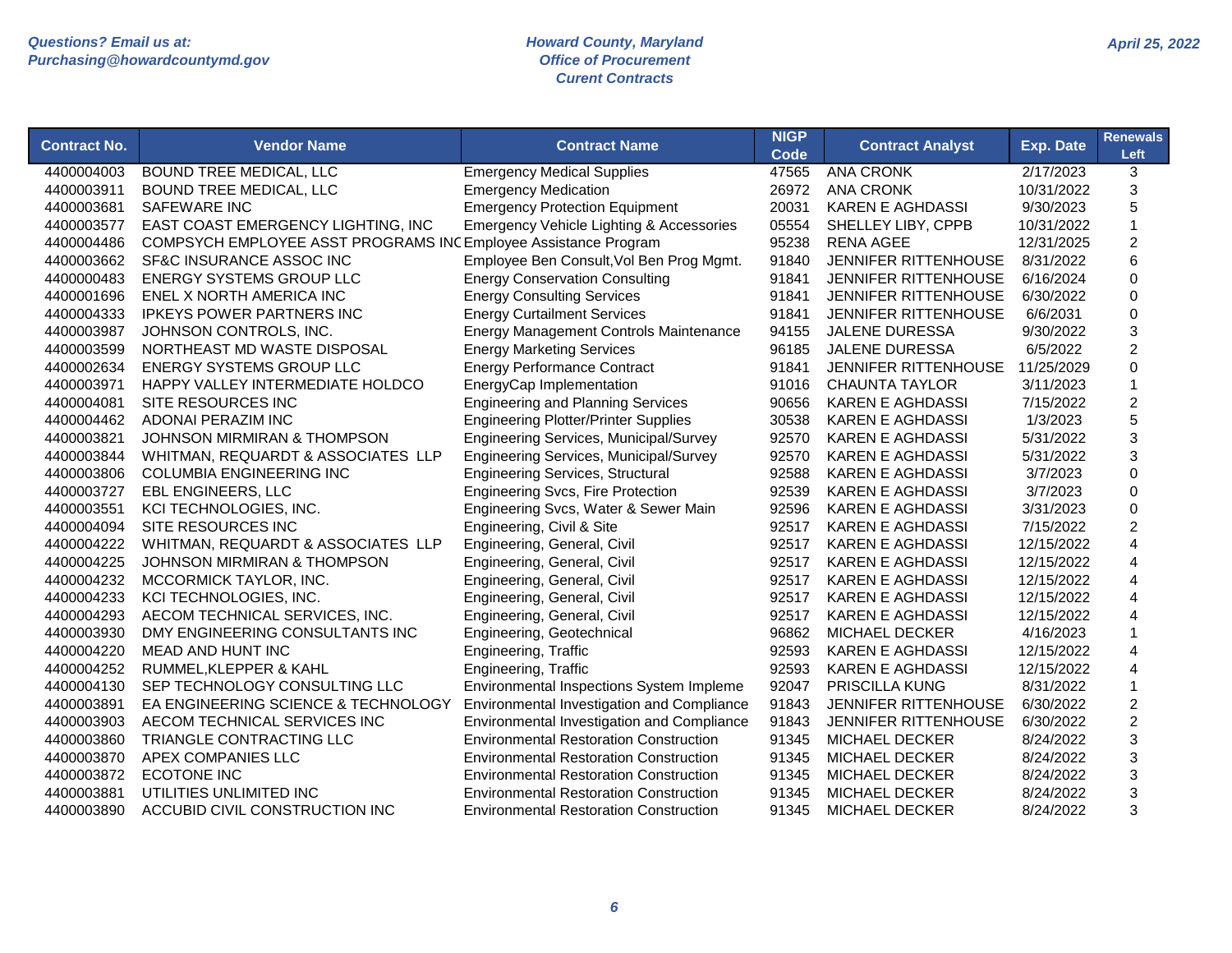| <b>Contract No.</b> | <b>Vendor Name</b>                                             | <b>Contract Name</b>                          | <b>NIGP</b><br><b>Code</b> | <b>Contract Analyst</b>     | <b>Exp. Date</b> | <b>Renewals</b><br>Left   |
|---------------------|----------------------------------------------------------------|-----------------------------------------------|----------------------------|-----------------------------|------------------|---------------------------|
| 4400004003          | <b>BOUND TREE MEDICAL, LLC</b>                                 | <b>Emergency Medical Supplies</b>             | 47565                      | <b>ANA CRONK</b>            | 2/17/2023        | 3                         |
| 4400003911          | <b>BOUND TREE MEDICAL, LLC</b>                                 | <b>Emergency Medication</b>                   | 26972                      | <b>ANA CRONK</b>            | 10/31/2022       | 3                         |
| 4400003681          | <b>SAFEWARE INC</b>                                            | <b>Emergency Protection Equipment</b>         | 20031                      | <b>KAREN E AGHDASSI</b>     | 9/30/2023        | 5                         |
| 4400003577          | EAST COAST EMERGENCY LIGHTING, INC                             | Emergency Vehicle Lighting & Accessories      | 05554                      | SHELLEY LIBY, CPPB          | 10/31/2022       | $\mathbf 1$               |
| 4400004486          | COMPSYCH EMPLOYEE ASST PROGRAMS INCEmployee Assistance Program |                                               | 95238                      | <b>RENA AGEE</b>            | 12/31/2025       | $\overline{c}$            |
| 4400003662          | SF&C INSURANCE ASSOC INC                                       | Employee Ben Consult, Vol Ben Prog Mgmt.      | 91840                      | <b>JENNIFER RITTENHOUSE</b> | 8/31/2022        | 6                         |
| 4400000483          | <b>ENERGY SYSTEMS GROUP LLC</b>                                | <b>Energy Conservation Consulting</b>         | 91841                      | <b>JENNIFER RITTENHOUSE</b> | 6/16/2024        | $\Omega$                  |
| 4400001696          | ENEL X NORTH AMERICA INC                                       | <b>Energy Consulting Services</b>             | 91841                      | <b>JENNIFER RITTENHOUSE</b> | 6/30/2022        | $\Omega$                  |
| 4400004333          | <b>IPKEYS POWER PARTNERS INC</b>                               | <b>Energy Curtailment Services</b>            | 91841                      | <b>JENNIFER RITTENHOUSE</b> | 6/6/2031         | $\mathbf 0$               |
| 4400003987          | JOHNSON CONTROLS, INC.                                         | <b>Energy Management Controls Maintenance</b> | 94155                      | JALENE DURESSA              | 9/30/2022        | 3                         |
| 4400003599          | NORTHEAST MD WASTE DISPOSAL                                    | <b>Energy Marketing Services</b>              | 96185                      | JALENE DURESSA              | 6/5/2022         | $\boldsymbol{2}$          |
| 4400002634          | <b>ENERGY SYSTEMS GROUP LLC</b>                                | <b>Energy Performance Contract</b>            | 91841                      | JENNIFER RITTENHOUSE        | 11/25/2029       | $\mathbf 0$               |
| 4400003971          | HAPPY VALLEY INTERMEDIATE HOLDCO                               | EnergyCap Implementation                      | 91016                      | <b>CHAUNTA TAYLOR</b>       | 3/11/2023        | $\mathbf{1}$              |
| 4400004081          | SITE RESOURCES INC                                             | <b>Engineering and Planning Services</b>      | 90656                      | <b>KAREN E AGHDASSI</b>     | 7/15/2022        | $\overline{c}$            |
| 4400004462          | <b>ADONAI PERAZIM INC</b>                                      | <b>Engineering Plotter/Printer Supplies</b>   | 30538                      | <b>KAREN E AGHDASSI</b>     | 1/3/2023         | 5                         |
| 4400003821          | <b>JOHNSON MIRMIRAN &amp; THOMPSON</b>                         | Engineering Services, Municipal/Survey        | 92570                      | <b>KAREN E AGHDASSI</b>     | 5/31/2022        | 3                         |
| 4400003844          | WHITMAN, REQUARDT & ASSOCIATES LLP                             | Engineering Services, Municipal/Survey        | 92570                      | <b>KAREN E AGHDASSI</b>     | 5/31/2022        | 3                         |
| 4400003806          | <b>COLUMBIA ENGINEERING INC</b>                                | <b>Engineering Services, Structural</b>       | 92588                      | <b>KAREN E AGHDASSI</b>     | 3/7/2023         | $\Omega$                  |
| 4400003727          | <b>EBL ENGINEERS, LLC</b>                                      | <b>Engineering Svcs, Fire Protection</b>      | 92539                      | <b>KAREN E AGHDASSI</b>     | 3/7/2023         | $\Omega$                  |
| 4400003551          | KCI TECHNOLOGIES, INC.                                         | Engineering Svcs, Water & Sewer Main          | 92596                      | <b>KAREN E AGHDASSI</b>     | 3/31/2023        | $\mathbf 0$               |
| 4400004094          | SITE RESOURCES INC                                             | Engineering, Civil & Site                     | 92517                      | <b>KAREN E AGHDASSI</b>     | 7/15/2022        | $\overline{c}$            |
| 4400004222          | WHITMAN, REQUARDT & ASSOCIATES LLP                             | Engineering, General, Civil                   | 92517                      | <b>KAREN E AGHDASSI</b>     | 12/15/2022       | 4                         |
| 4400004225          | <b>JOHNSON MIRMIRAN &amp; THOMPSON</b>                         | Engineering, General, Civil                   | 92517                      | <b>KAREN E AGHDASSI</b>     | 12/15/2022       | $\overline{4}$            |
| 4400004232          | MCCORMICK TAYLOR, INC.                                         | Engineering, General, Civil                   | 92517                      | <b>KAREN E AGHDASSI</b>     | 12/15/2022       | $\overline{4}$            |
| 4400004233          | KCI TECHNOLOGIES, INC.                                         | Engineering, General, Civil                   | 92517                      | <b>KAREN E AGHDASSI</b>     | 12/15/2022       | 4                         |
| 4400004293          | AECOM TECHNICAL SERVICES, INC.                                 | Engineering, General, Civil                   | 92517                      | <b>KAREN E AGHDASSI</b>     | 12/15/2022       | 4                         |
| 4400003930          | DMY ENGINEERING CONSULTANTS INC                                | Engineering, Geotechnical                     | 96862                      | <b>MICHAEL DECKER</b>       | 4/16/2023        | -1                        |
| 4400004220          | <b>MEAD AND HUNT INC</b>                                       | Engineering, Traffic                          | 92593                      | <b>KAREN E AGHDASSI</b>     | 12/15/2022       | 4                         |
| 4400004252          | RUMMEL, KLEPPER & KAHL                                         | Engineering, Traffic                          | 92593                      | <b>KAREN E AGHDASSI</b>     | 12/15/2022       | 4                         |
| 4400004130          | SEP TECHNOLOGY CONSULTING LLC                                  | Environmental Inspections System Impleme      | 92047                      | <b>PRISCILLA KUNG</b>       | 8/31/2022        | $\overline{1}$            |
| 4400003891          | EA ENGINEERING SCIENCE & TECHNOLOGY                            | Environmental Investigation and Compliance    | 91843                      | <b>JENNIFER RITTENHOUSE</b> | 6/30/2022        | $\overline{c}$            |
| 4400003903          | AECOM TECHNICAL SERVICES INC                                   | Environmental Investigation and Compliance    | 91843                      | JENNIFER RITTENHOUSE        | 6/30/2022        | $\boldsymbol{2}$          |
| 4400003860          | TRIANGLE CONTRACTING LLC                                       | <b>Environmental Restoration Construction</b> | 91345                      | <b>MICHAEL DECKER</b>       | 8/24/2022        | $\ensuremath{\mathsf{3}}$ |
| 4400003870          | APEX COMPANIES LLC                                             | <b>Environmental Restoration Construction</b> | 91345                      | <b>MICHAEL DECKER</b>       | 8/24/2022        | $\ensuremath{\mathsf{3}}$ |
| 4400003872          | <b>ECOTONE INC</b>                                             | <b>Environmental Restoration Construction</b> | 91345                      | <b>MICHAEL DECKER</b>       | 8/24/2022        | 3                         |
| 4400003881          | UTILITIES UNLIMITED INC                                        | <b>Environmental Restoration Construction</b> | 91345                      | <b>MICHAEL DECKER</b>       | 8/24/2022        | 3                         |
| 4400003890          | ACCUBID CIVIL CONSTRUCTION INC                                 | <b>Environmental Restoration Construction</b> | 91345                      | <b>MICHAEL DECKER</b>       | 8/24/2022        | 3                         |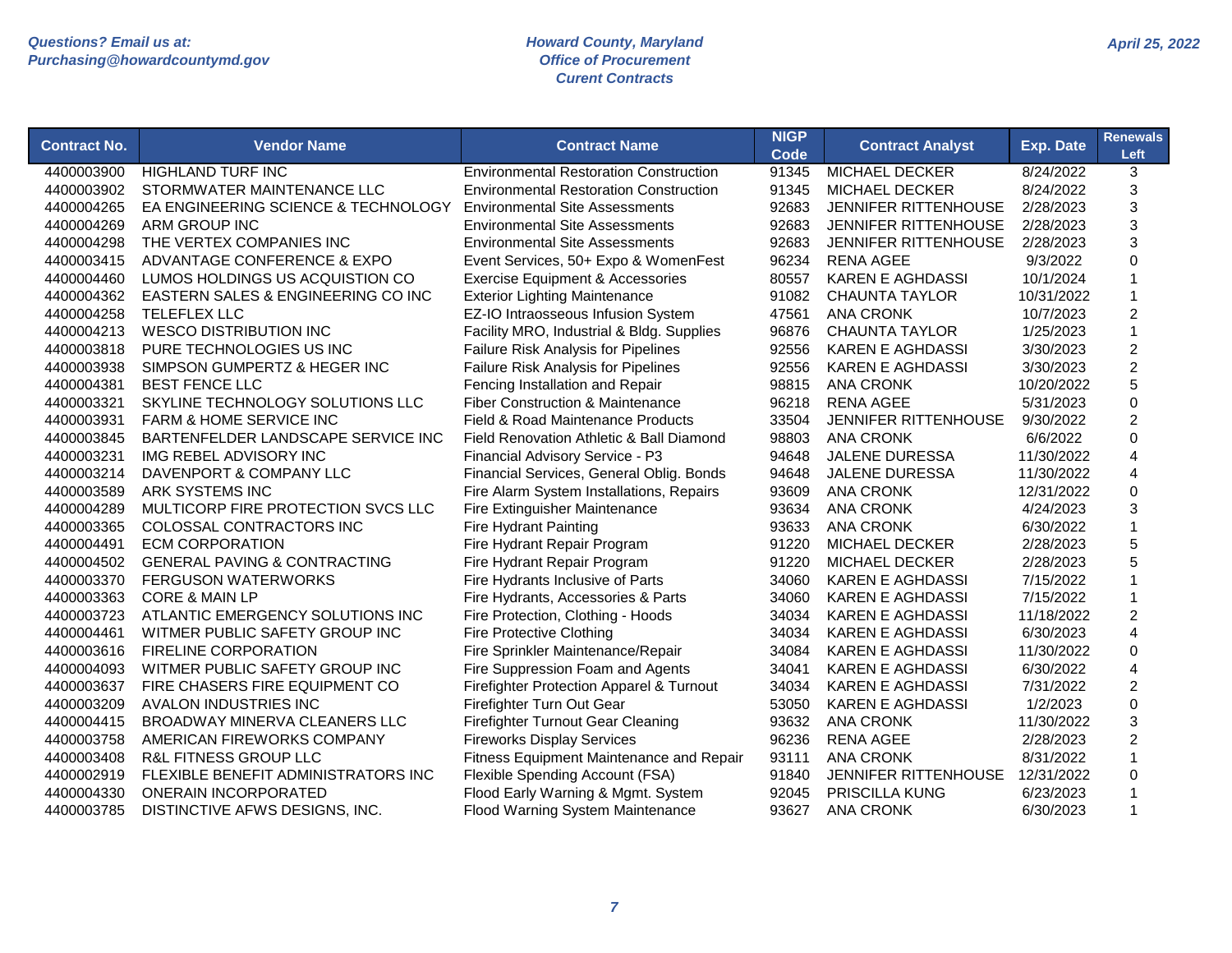| <b>Contract No.</b> | <b>Vendor Name</b>                      | <b>Contract Name</b>                            | <b>NIGP</b><br><b>Code</b> | <b>Contract Analyst</b>     | <b>Exp. Date</b> | <b>Renewals</b><br>Left   |
|---------------------|-----------------------------------------|-------------------------------------------------|----------------------------|-----------------------------|------------------|---------------------------|
| 4400003900          | <b>HIGHLAND TURF INC</b>                | <b>Environmental Restoration Construction</b>   | 91345                      | <b>MICHAEL DECKER</b>       | 8/24/2022        | 3                         |
| 4400003902          | STORMWATER MAINTENANCE LLC              | <b>Environmental Restoration Construction</b>   | 91345                      | <b>MICHAEL DECKER</b>       | 8/24/2022        | 3                         |
| 4400004265          | EA ENGINEERING SCIENCE & TECHNOLOGY     | <b>Environmental Site Assessments</b>           | 92683                      | JENNIFER RITTENHOUSE        | 2/28/2023        | 3                         |
| 4400004269          | ARM GROUP INC                           | <b>Environmental Site Assessments</b>           | 92683                      | JENNIFER RITTENHOUSE        | 2/28/2023        | 3                         |
| 4400004298          | THE VERTEX COMPANIES INC                | <b>Environmental Site Assessments</b>           | 92683                      | <b>JENNIFER RITTENHOUSE</b> | 2/28/2023        | 3                         |
| 4400003415          | ADVANTAGE CONFERENCE & EXPO             | Event Services, 50+ Expo & WomenFest            | 96234                      | <b>RENA AGEE</b>            | 9/3/2022         | $\Omega$                  |
| 4400004460          | LUMOS HOLDINGS US ACQUISTION CO         | Exercise Equipment & Accessories                | 80557                      | <b>KAREN E AGHDASSI</b>     | 10/1/2024        |                           |
| 4400004362          | EASTERN SALES & ENGINEERING CO INC      | <b>Exterior Lighting Maintenance</b>            | 91082                      | <b>CHAUNTA TAYLOR</b>       | 10/31/2022       | $\overline{1}$            |
| 4400004258          | <b>TELEFLEX LLC</b>                     | EZ-IO Intraosseous Infusion System              | 47561                      | <b>ANA CRONK</b>            | 10/7/2023        | $\overline{2}$            |
| 4400004213          | <b>WESCO DISTRIBUTION INC</b>           | Facility MRO, Industrial & Bldg. Supplies       | 96876                      | <b>CHAUNTA TAYLOR</b>       | 1/25/2023        | $\mathbf{1}$              |
| 4400003818          | PURE TECHNOLOGIES US INC                | Failure Risk Analysis for Pipelines             | 92556                      | <b>KAREN E AGHDASSI</b>     | 3/30/2023        | $\overline{c}$            |
| 4400003938          | SIMPSON GUMPERTZ & HEGER INC            | Failure Risk Analysis for Pipelines             | 92556                      | <b>KAREN E AGHDASSI</b>     | 3/30/2023        | $\overline{c}$            |
| 4400004381          | <b>BEST FENCE LLC</b>                   | Fencing Installation and Repair                 | 98815                      | <b>ANA CRONK</b>            | 10/20/2022       | 5                         |
| 4400003321          | SKYLINE TECHNOLOGY SOLUTIONS LLC        | <b>Fiber Construction &amp; Maintenance</b>     | 96218                      | <b>RENA AGEE</b>            | 5/31/2023        | $\mathbf 0$               |
| 4400003931          | <b>FARM &amp; HOME SERVICE INC</b>      | Field & Road Maintenance Products               | 33504                      | <b>JENNIFER RITTENHOUSE</b> | 9/30/2022        | $\overline{2}$            |
| 4400003845          | BARTENFELDER LANDSCAPE SERVICE INC      | Field Renovation Athletic & Ball Diamond        | 98803                      | <b>ANA CRONK</b>            | 6/6/2022         | $\mathbf 0$               |
| 4400003231          | IMG REBEL ADVISORY INC                  | Financial Advisory Service - P3                 | 94648                      | <b>JALENE DURESSA</b>       | 11/30/2022       | 4                         |
| 4400003214          | DAVENPORT & COMPANY LLC                 | Financial Services, General Oblig. Bonds        | 94648                      | <b>JALENE DURESSA</b>       | 11/30/2022       | $\overline{4}$            |
| 4400003589          | ARK SYSTEMS INC                         | Fire Alarm System Installations, Repairs        | 93609                      | <b>ANA CRONK</b>            | 12/31/2022       | $\Omega$                  |
| 4400004289          | MULTICORP FIRE PROTECTION SVCS LLC      | Fire Extinguisher Maintenance                   | 93634                      | <b>ANA CRONK</b>            | 4/24/2023        | 3                         |
| 4400003365          | COLOSSAL CONTRACTORS INC                | <b>Fire Hydrant Painting</b>                    | 93633                      | <b>ANA CRONK</b>            | 6/30/2022        | $\mathbf{1}$              |
| 4400004491          | <b>ECM CORPORATION</b>                  | Fire Hydrant Repair Program                     | 91220                      | <b>MICHAEL DECKER</b>       | 2/28/2023        | 5                         |
| 4400004502          | <b>GENERAL PAVING &amp; CONTRACTING</b> | Fire Hydrant Repair Program                     | 91220                      | <b>MICHAEL DECKER</b>       | 2/28/2023        | 5                         |
| 4400003370          | <b>FERGUSON WATERWORKS</b>              | Fire Hydrants Inclusive of Parts                | 34060                      | <b>KAREN E AGHDASSI</b>     | 7/15/2022        | $\overline{1}$            |
| 4400003363          | <b>CORE &amp; MAIN LP</b>               | Fire Hydrants, Accessories & Parts              | 34060                      | <b>KAREN E AGHDASSI</b>     | 7/15/2022        | $\mathbf{1}$              |
| 4400003723          | ATLANTIC EMERGENCY SOLUTIONS INC        | Fire Protection, Clothing - Hoods               | 34034                      | <b>KAREN E AGHDASSI</b>     | 11/18/2022       | $\overline{2}$            |
| 4400004461          | WITMER PUBLIC SAFETY GROUP INC          | <b>Fire Protective Clothing</b>                 | 34034                      | <b>KAREN E AGHDASSI</b>     | 6/30/2023        | 4                         |
| 4400003616          | <b>FIRELINE CORPORATION</b>             | Fire Sprinkler Maintenance/Repair               | 34084                      | <b>KAREN E AGHDASSI</b>     | 11/30/2022       | $\mathbf 0$               |
| 4400004093          | WITMER PUBLIC SAFETY GROUP INC          | Fire Suppression Foam and Agents                | 34041                      | <b>KAREN E AGHDASSI</b>     | 6/30/2022        | 4                         |
| 4400003637          | FIRE CHASERS FIRE EQUIPMENT CO          | Firefighter Protection Apparel & Turnout        | 34034                      | <b>KAREN E AGHDASSI</b>     | 7/31/2022        | 2                         |
| 4400003209          | <b>AVALON INDUSTRIES INC</b>            | Firefighter Turn Out Gear                       | 53050                      | <b>KAREN E AGHDASSI</b>     | 1/2/2023         | $\mathbf 0$               |
| 4400004415          | BROADWAY MINERVA CLEANERS LLC           | <b>Firefighter Turnout Gear Cleaning</b>        | 93632                      | <b>ANA CRONK</b>            | 11/30/2022       | $\ensuremath{\mathsf{3}}$ |
| 4400003758          | AMERICAN FIREWORKS COMPANY              | <b>Fireworks Display Services</b>               | 96236                      | <b>RENA AGEE</b>            | 2/28/2023        | $\overline{c}$            |
| 4400003408          | R&L FITNESS GROUP LLC                   | <b>Fitness Equipment Maintenance and Repair</b> | 93111                      | <b>ANA CRONK</b>            | 8/31/2022        | $\mathbf{1}$              |
| 4400002919          | FLEXIBLE BENEFIT ADMINISTRATORS INC     | Flexible Spending Account (FSA)                 | 91840                      | JENNIFER RITTENHOUSE        | 12/31/2022       | $\mathbf 0$               |
| 4400004330          | <b>ONERAIN INCORPORATED</b>             | Flood Early Warning & Mgmt. System              | 92045                      | PRISCILLA KUNG              | 6/23/2023        | $\mathbf 1$               |
| 4400003785          | DISTINCTIVE AFWS DESIGNS, INC.          | Flood Warning System Maintenance                | 93627                      | <b>ANA CRONK</b>            | 6/30/2023        | $\mathbf 1$               |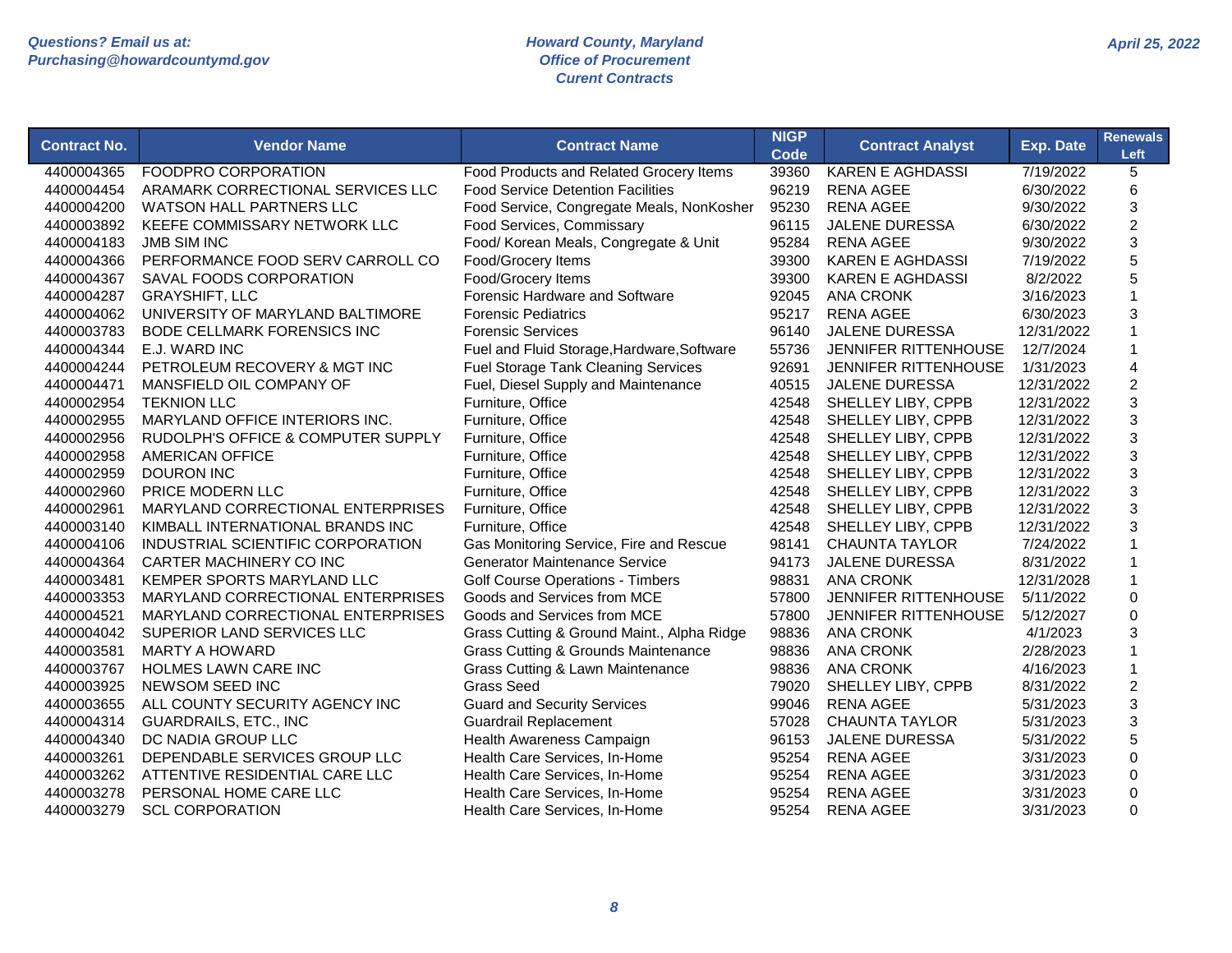| <b>Contract No.</b> | <b>Vendor Name</b>                 | <b>Contract Name</b>                           | <b>NIGP</b><br><b>Code</b> | <b>Contract Analyst</b>     | Exp. Date  | <b>Renewals</b><br>Left |
|---------------------|------------------------------------|------------------------------------------------|----------------------------|-----------------------------|------------|-------------------------|
| 4400004365          | <b>FOODPRO CORPORATION</b>         | Food Products and Related Grocery Items        | 39360                      | <b>KAREN E AGHDASSI</b>     | 7/19/2022  | 5                       |
| 4400004454          | ARAMARK CORRECTIONAL SERVICES LLC  | <b>Food Service Detention Facilities</b>       | 96219                      | <b>RENA AGEE</b>            | 6/30/2022  | 6                       |
| 4400004200          | <b>WATSON HALL PARTNERS LLC</b>    | Food Service, Congregate Meals, NonKosher      | 95230                      | <b>RENA AGEE</b>            | 9/30/2022  | 3                       |
| 4400003892          | KEEFE COMMISSARY NETWORK LLC       | Food Services, Commissary                      | 96115                      | <b>JALENE DURESSA</b>       | 6/30/2022  | $\overline{c}$          |
| 4400004183          | <b>JMB SIM INC</b>                 | Food/ Korean Meals, Congregate & Unit          | 95284                      | <b>RENA AGEE</b>            | 9/30/2022  | 3                       |
| 4400004366          | PERFORMANCE FOOD SERV CARROLL CO   | Food/Grocery Items                             | 39300                      | <b>KAREN E AGHDASSI</b>     | 7/19/2022  | 5                       |
| 4400004367          | SAVAL FOODS CORPORATION            | Food/Grocery Items                             | 39300                      | <b>KAREN E AGHDASSI</b>     | 8/2/2022   | 5                       |
| 4400004287          | <b>GRAYSHIFT, LLC</b>              | Forensic Hardware and Software                 | 92045                      | <b>ANA CRONK</b>            | 3/16/2023  | 1                       |
| 4400004062          | UNIVERSITY OF MARYLAND BALTIMORE   | <b>Forensic Pediatrics</b>                     | 95217                      | <b>RENA AGEE</b>            | 6/30/2023  | 3                       |
| 4400003783          | <b>BODE CELLMARK FORENSICS INC</b> | <b>Forensic Services</b>                       | 96140                      | <b>JALENE DURESSA</b>       | 12/31/2022 | 1                       |
| 4400004344          | E.J. WARD INC                      | Fuel and Fluid Storage, Hardware, Software     | 55736                      | <b>JENNIFER RITTENHOUSE</b> | 12/7/2024  | 1                       |
| 4400004244          | PETROLEUM RECOVERY & MGT INC       | Fuel Storage Tank Cleaning Services            | 92691                      | <b>JENNIFER RITTENHOUSE</b> | 1/31/2023  | 4                       |
| 4400004471          | MANSFIELD OIL COMPANY OF           | Fuel, Diesel Supply and Maintenance            | 40515                      | <b>JALENE DURESSA</b>       | 12/31/2022 | $\overline{c}$          |
| 4400002954          | <b>TEKNION LLC</b>                 | Furniture, Office                              | 42548                      | SHELLEY LIBY, CPPB          | 12/31/2022 | 3                       |
| 4400002955          | MARYLAND OFFICE INTERIORS INC.     | Furniture, Office                              | 42548                      | SHELLEY LIBY, CPPB          | 12/31/2022 | 3                       |
| 4400002956          | RUDOLPH'S OFFICE & COMPUTER SUPPLY | Furniture, Office                              | 42548                      | SHELLEY LIBY, CPPB          | 12/31/2022 | 3                       |
| 4400002958          | <b>AMERICAN OFFICE</b>             | Furniture, Office                              | 42548                      | SHELLEY LIBY, CPPB          | 12/31/2022 | 3                       |
| 4400002959          | <b>DOURON INC</b>                  | Furniture, Office                              | 42548                      | SHELLEY LIBY, CPPB          | 12/31/2022 | 3                       |
| 4400002960          | <b>PRICE MODERN LLC</b>            | Furniture, Office                              | 42548                      | SHELLEY LIBY, CPPB          | 12/31/2022 | 3                       |
| 4400002961          | MARYLAND CORRECTIONAL ENTERPRISES  | Furniture, Office                              | 42548                      | SHELLEY LIBY, CPPB          | 12/31/2022 | 3                       |
| 4400003140          | KIMBALL INTERNATIONAL BRANDS INC   | Furniture, Office                              | 42548                      | SHELLEY LIBY, CPPB          | 12/31/2022 | 3                       |
| 4400004106          | INDUSTRIAL SCIENTIFIC CORPORATION  | Gas Monitoring Service, Fire and Rescue        | 98141                      | <b>CHAUNTA TAYLOR</b>       | 7/24/2022  |                         |
| 4400004364          | CARTER MACHINERY CO INC            | <b>Generator Maintenance Service</b>           | 94173                      | <b>JALENE DURESSA</b>       | 8/31/2022  | 1                       |
| 4400003481          | KEMPER SPORTS MARYLAND LLC         | <b>Golf Course Operations - Timbers</b>        | 98831                      | <b>ANA CRONK</b>            | 12/31/2028 | 1                       |
| 4400003353          | MARYLAND CORRECTIONAL ENTERPRISES  | Goods and Services from MCE                    | 57800                      | JENNIFER RITTENHOUSE        | 5/11/2022  | 0                       |
| 4400004521          | MARYLAND CORRECTIONAL ENTERPRISES  | Goods and Services from MCE                    | 57800                      | <b>JENNIFER RITTENHOUSE</b> | 5/12/2027  | 0                       |
| 4400004042          | SUPERIOR LAND SERVICES LLC         | Grass Cutting & Ground Maint., Alpha Ridge     | 98836                      | <b>ANA CRONK</b>            | 4/1/2023   | 3                       |
| 4400003581          | <b>MARTY A HOWARD</b>              | <b>Grass Cutting &amp; Grounds Maintenance</b> | 98836                      | <b>ANA CRONK</b>            | 2/28/2023  | 1                       |
| 4400003767          | HOLMES LAWN CARE INC               | Grass Cutting & Lawn Maintenance               | 98836                      | <b>ANA CRONK</b>            | 4/16/2023  | 1                       |
| 4400003925          | NEWSOM SEED INC                    | <b>Grass Seed</b>                              | 79020                      | SHELLEY LIBY, CPPB          | 8/31/2022  | $\overline{c}$          |
| 4400003655          | ALL COUNTY SECURITY AGENCY INC     | <b>Guard and Security Services</b>             | 99046                      | <b>RENA AGEE</b>            | 5/31/2023  | 3                       |
| 4400004314          | <b>GUARDRAILS, ETC., INC</b>       | <b>Guardrail Replacement</b>                   | 57028                      | <b>CHAUNTA TAYLOR</b>       | 5/31/2023  | 3                       |
| 4400004340          | DC NADIA GROUP LLC                 | Health Awareness Campaign                      | 96153                      | JALENE DURESSA              | 5/31/2022  | 5                       |
| 4400003261          | DEPENDABLE SERVICES GROUP LLC      | Health Care Services, In-Home                  | 95254                      | <b>RENA AGEE</b>            | 3/31/2023  | 0                       |
| 4400003262          | ATTENTIVE RESIDENTIAL CARE LLC     | Health Care Services, In-Home                  | 95254                      | <b>RENA AGEE</b>            | 3/31/2023  | 0                       |
| 4400003278          | PERSONAL HOME CARE LLC             | Health Care Services, In-Home                  | 95254                      | <b>RENA AGEE</b>            | 3/31/2023  | $\overline{0}$          |
| 4400003279          | <b>SCL CORPORATION</b>             | Health Care Services, In-Home                  | 95254                      | <b>RENA AGEE</b>            | 3/31/2023  | $\Omega$                |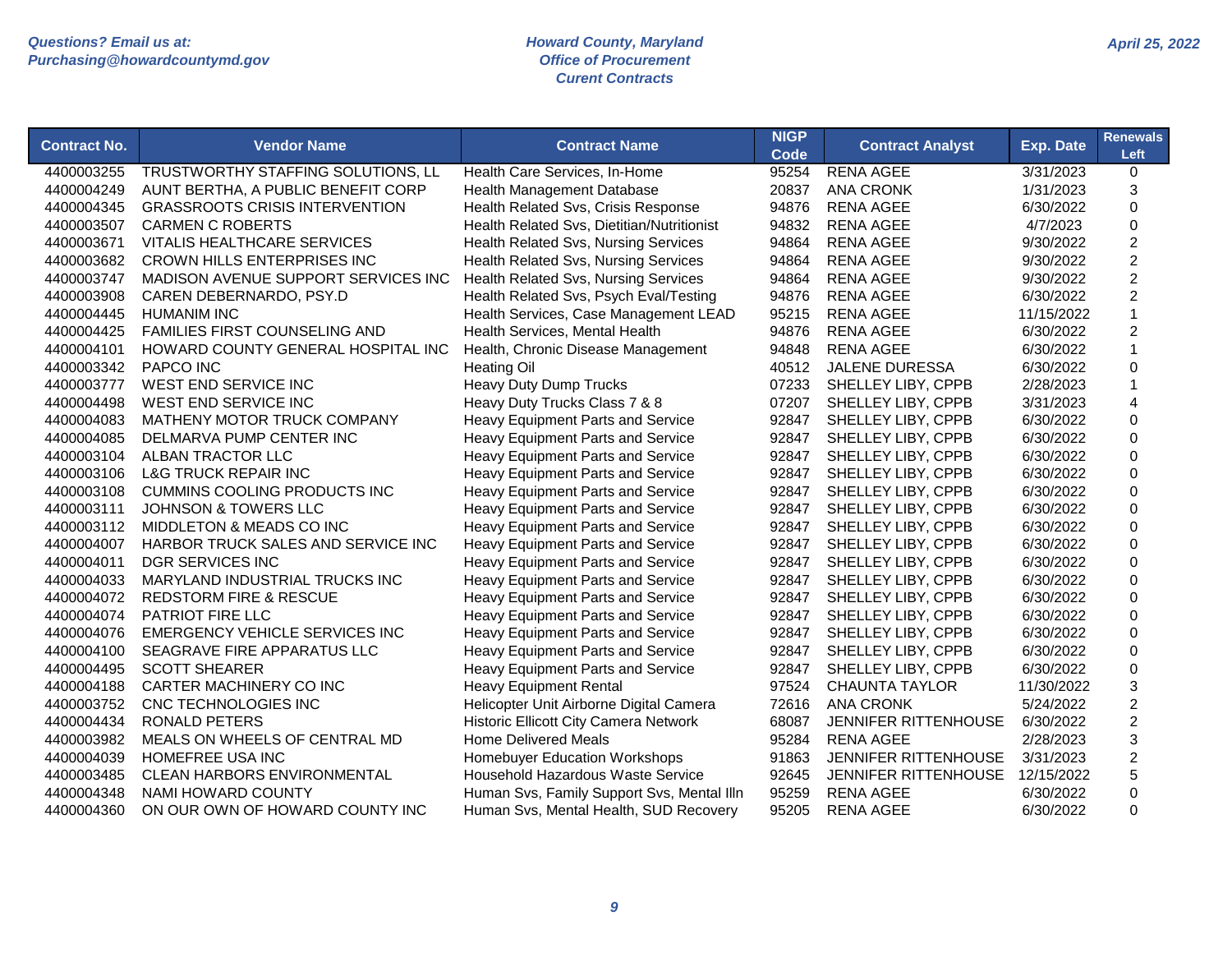| <b>Contract No.</b> | <b>Vendor Name</b>                    | <b>Contract Name</b>                       | <b>NIGP</b><br>Code | <b>Contract Analyst</b>     | Exp. Date  | <b>Renewals</b><br>Left   |
|---------------------|---------------------------------------|--------------------------------------------|---------------------|-----------------------------|------------|---------------------------|
| 4400003255          | TRUSTWORTHY STAFFING SOLUTIONS, LL    | Health Care Services, In-Home              | 95254               | <b>RENA AGEE</b>            | 3/31/2023  | 0                         |
| 4400004249          | AUNT BERTHA, A PUBLIC BENEFIT CORP    | Health Management Database                 | 20837               | <b>ANA CRONK</b>            | 1/31/2023  | 3                         |
| 4400004345          | <b>GRASSROOTS CRISIS INTERVENTION</b> | Health Related Svs, Crisis Response        | 94876               | <b>RENA AGEE</b>            | 6/30/2022  | $\mathbf 0$               |
| 4400003507          | <b>CARMEN C ROBERTS</b>               | Health Related Svs, Dietitian/Nutritionist | 94832               | <b>RENA AGEE</b>            | 4/7/2023   | 0                         |
| 4400003671          | <b>VITALIS HEALTHCARE SERVICES</b>    | Health Related Svs, Nursing Services       | 94864               | <b>RENA AGEE</b>            | 9/30/2022  | $\boldsymbol{2}$          |
| 4400003682          | <b>CROWN HILLS ENTERPRISES INC</b>    | Health Related Svs, Nursing Services       | 94864               | <b>RENA AGEE</b>            | 9/30/2022  | $\overline{c}$            |
| 4400003747          | MADISON AVENUE SUPPORT SERVICES INC   | Health Related Svs, Nursing Services       | 94864               | <b>RENA AGEE</b>            | 9/30/2022  | $\boldsymbol{2}$          |
| 4400003908          | CAREN DEBERNARDO, PSY.D               | Health Related Svs, Psych Eval/Testing     | 94876               | <b>RENA AGEE</b>            | 6/30/2022  | $\overline{2}$            |
| 4400004445          | <b>HUMANIM INC</b>                    | Health Services, Case Management LEAD      | 95215               | <b>RENA AGEE</b>            | 11/15/2022 | $\mathbf{1}$              |
| 4400004425          | <b>FAMILIES FIRST COUNSELING AND</b>  | Health Services, Mental Health             | 94876               | <b>RENA AGEE</b>            | 6/30/2022  | $\boldsymbol{2}$          |
| 4400004101          | HOWARD COUNTY GENERAL HOSPITAL INC    | Health, Chronic Disease Management         | 94848               | <b>RENA AGEE</b>            | 6/30/2022  | $\mathbf{1}$              |
| 4400003342          | <b>PAPCO INC</b>                      | <b>Heating Oil</b>                         | 40512               | JALENE DURESSA              | 6/30/2022  | 0                         |
| 4400003777          | <b>WEST END SERVICE INC</b>           | Heavy Duty Dump Trucks                     | 07233               | SHELLEY LIBY, CPPB          | 2/28/2023  | $\mathbf{1}$              |
| 4400004498          | WEST END SERVICE INC                  | Heavy Duty Trucks Class 7 & 8              | 07207               | SHELLEY LIBY, CPPB          | 3/31/2023  | 4                         |
| 4400004083          | MATHENY MOTOR TRUCK COMPANY           | Heavy Equipment Parts and Service          | 92847               | SHELLEY LIBY, CPPB          | 6/30/2022  | 0                         |
| 4400004085          | DELMARVA PUMP CENTER INC              | Heavy Equipment Parts and Service          | 92847               | SHELLEY LIBY, CPPB          | 6/30/2022  | 0                         |
| 4400003104          | ALBAN TRACTOR LLC                     | Heavy Equipment Parts and Service          | 92847               | SHELLEY LIBY, CPPB          | 6/30/2022  | 0                         |
| 4400003106          | <b>L&amp;G TRUCK REPAIR INC</b>       | Heavy Equipment Parts and Service          | 92847               | SHELLEY LIBY, CPPB          | 6/30/2022  | 0                         |
| 4400003108          | <b>CUMMINS COOLING PRODUCTS INC</b>   | Heavy Equipment Parts and Service          | 92847               | SHELLEY LIBY, CPPB          | 6/30/2022  | $\mathbf 0$               |
| 4400003111          | <b>JOHNSON &amp; TOWERS LLC</b>       | Heavy Equipment Parts and Service          | 92847               | SHELLEY LIBY, CPPB          | 6/30/2022  | $\pmb{0}$                 |
| 4400003112          | MIDDLETON & MEADS CO INC              | Heavy Equipment Parts and Service          | 92847               | SHELLEY LIBY, CPPB          | 6/30/2022  | $\pmb{0}$                 |
| 4400004007          | HARBOR TRUCK SALES AND SERVICE INC    | Heavy Equipment Parts and Service          | 92847               | SHELLEY LIBY, CPPB          | 6/30/2022  | $\pmb{0}$                 |
| 4400004011          | <b>DGR SERVICES INC</b>               | Heavy Equipment Parts and Service          | 92847               | SHELLEY LIBY, CPPB          | 6/30/2022  | $\mathbf 0$               |
| 4400004033          | MARYLAND INDUSTRIAL TRUCKS INC        | Heavy Equipment Parts and Service          | 92847               | SHELLEY LIBY, CPPB          | 6/30/2022  | 0                         |
| 4400004072          | <b>REDSTORM FIRE &amp; RESCUE</b>     | Heavy Equipment Parts and Service          | 92847               | SHELLEY LIBY, CPPB          | 6/30/2022  | $\mathbf 0$               |
| 4400004074          | PATRIOT FIRE LLC                      | Heavy Equipment Parts and Service          | 92847               | SHELLEY LIBY, CPPB          | 6/30/2022  | 0                         |
| 4400004076          | EMERGENCY VEHICLE SERVICES INC        | Heavy Equipment Parts and Service          | 92847               | SHELLEY LIBY, CPPB          | 6/30/2022  | 0                         |
| 4400004100          | SEAGRAVE FIRE APPARATUS LLC           | Heavy Equipment Parts and Service          | 92847               | SHELLEY LIBY, CPPB          | 6/30/2022  | $\mathbf 0$               |
| 4400004495          | <b>SCOTT SHEARER</b>                  | Heavy Equipment Parts and Service          | 92847               | SHELLEY LIBY, CPPB          | 6/30/2022  | 0                         |
| 4400004188          | CARTER MACHINERY CO INC               | <b>Heavy Equipment Rental</b>              | 97524               | <b>CHAUNTA TAYLOR</b>       | 11/30/2022 | $\ensuremath{\mathsf{3}}$ |
| 4400003752          | CNC TECHNOLOGIES INC                  | Helicopter Unit Airborne Digital Camera    | 72616               | <b>ANA CRONK</b>            | 5/24/2022  | $\overline{c}$            |
| 4400004434          | <b>RONALD PETERS</b>                  | Historic Ellicott City Camera Network      | 68087               | <b>JENNIFER RITTENHOUSE</b> | 6/30/2022  | $\boldsymbol{2}$          |
| 4400003982          | MEALS ON WHEELS OF CENTRAL MD         | <b>Home Delivered Meals</b>                | 95284               | <b>RENA AGEE</b>            | 2/28/2023  | 3                         |
| 4400004039          | HOMEFREE USA INC                      | Homebuyer Education Workshops              | 91863               | JENNIFER RITTENHOUSE        | 3/31/2023  | $\overline{c}$            |
| 4400003485          | <b>CLEAN HARBORS ENVIRONMENTAL</b>    | Household Hazardous Waste Service          | 92645               | <b>JENNIFER RITTENHOUSE</b> | 12/15/2022 | 5                         |
| 4400004348          | NAMI HOWARD COUNTY                    | Human Svs, Family Support Svs, Mental IIIn | 95259               | <b>RENA AGEE</b>            | 6/30/2022  | 0                         |
| 4400004360          | ON OUR OWN OF HOWARD COUNTY INC       | Human Svs, Mental Health, SUD Recovery     | 95205               | <b>RENA AGEE</b>            | 6/30/2022  | $\Omega$                  |
|                     |                                       |                                            |                     |                             |            |                           |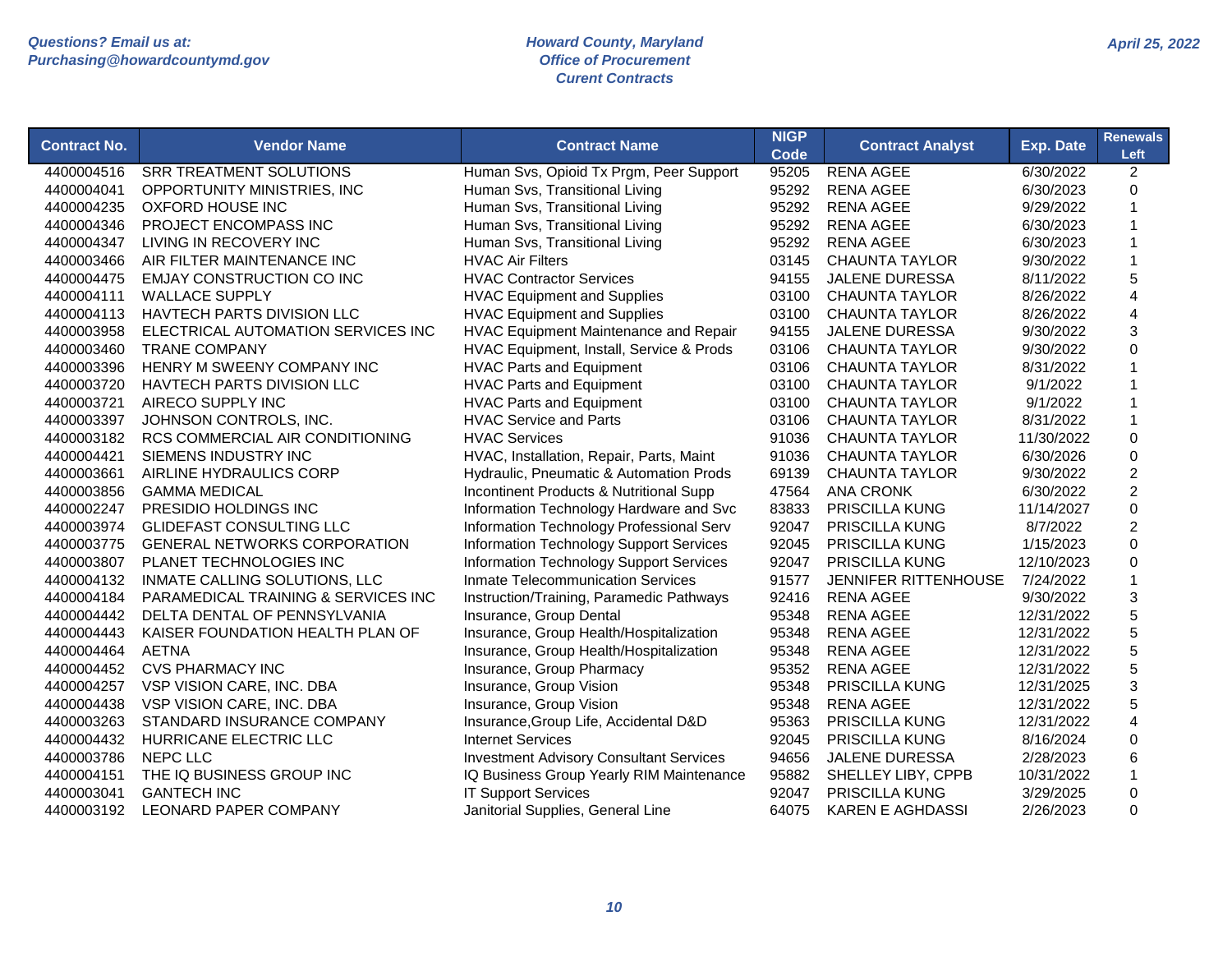| <b>Contract No.</b> | <b>Vendor Name</b>                  | <b>Contract Name</b>                           | <b>NIGP</b><br>Code | <b>Contract Analyst</b> | <b>Exp. Date</b> | <b>Renewals</b><br>Left |
|---------------------|-------------------------------------|------------------------------------------------|---------------------|-------------------------|------------------|-------------------------|
| 4400004516          | <b>SRR TREATMENT SOLUTIONS</b>      | Human Svs, Opioid Tx Prgm, Peer Support        | 95205               | <b>RENA AGEE</b>        | 6/30/2022        | $\overline{c}$          |
| 4400004041          | OPPORTUNITY MINISTRIES, INC         | Human Svs, Transitional Living                 | 95292               | <b>RENA AGEE</b>        | 6/30/2023        | 0                       |
| 4400004235          | OXFORD HOUSE INC                    | Human Svs, Transitional Living                 | 95292               | <b>RENA AGEE</b>        | 9/29/2022        | $\mathbf{1}$            |
| 4400004346          | PROJECT ENCOMPASS INC               | Human Svs, Transitional Living                 | 95292               | <b>RENA AGEE</b>        | 6/30/2023        | 1                       |
| 4400004347          | LIVING IN RECOVERY INC              | Human Svs, Transitional Living                 | 95292               | <b>RENA AGEE</b>        | 6/30/2023        | 1                       |
| 4400003466          | AIR FILTER MAINTENANCE INC          | <b>HVAC Air Filters</b>                        | 03145               | <b>CHAUNTA TAYLOR</b>   | 9/30/2022        | 1                       |
| 4400004475          | <b>EMJAY CONSTRUCTION CO INC</b>    | <b>HVAC Contractor Services</b>                | 94155               | <b>JALENE DURESSA</b>   | 8/11/2022        | 5                       |
| 4400004111          | <b>WALLACE SUPPLY</b>               | <b>HVAC Equipment and Supplies</b>             | 03100               | <b>CHAUNTA TAYLOR</b>   | 8/26/2022        | 4                       |
| 4400004113          | HAVTECH PARTS DIVISION LLC          | <b>HVAC Equipment and Supplies</b>             | 03100               | <b>CHAUNTA TAYLOR</b>   | 8/26/2022        | 4                       |
| 4400003958          | ELECTRICAL AUTOMATION SERVICES INC  | HVAC Equipment Maintenance and Repair          | 94155               | <b>JALENE DURESSA</b>   | 9/30/2022        | 3                       |
| 4400003460          | <b>TRANE COMPANY</b>                | HVAC Equipment, Install, Service & Prods       | 03106               | <b>CHAUNTA TAYLOR</b>   | 9/30/2022        | 0                       |
| 4400003396          | HENRY M SWEENY COMPANY INC          | <b>HVAC Parts and Equipment</b>                | 03106               | <b>CHAUNTA TAYLOR</b>   | 8/31/2022        | $\mathbf{1}$            |
| 4400003720          | <b>HAVTECH PARTS DIVISION LLC</b>   | <b>HVAC Parts and Equipment</b>                | 03100               | <b>CHAUNTA TAYLOR</b>   | 9/1/2022         | $\mathbf{1}$            |
| 4400003721          | AIRECO SUPPLY INC                   | <b>HVAC Parts and Equipment</b>                | 03100               | <b>CHAUNTA TAYLOR</b>   | 9/1/2022         | 1                       |
| 4400003397          | JOHNSON CONTROLS, INC.              | <b>HVAC Service and Parts</b>                  | 03106               | <b>CHAUNTA TAYLOR</b>   | 8/31/2022        | $\mathbf{1}$            |
| 4400003182          | RCS COMMERCIAL AIR CONDITIONING     | <b>HVAC Services</b>                           | 91036               | <b>CHAUNTA TAYLOR</b>   | 11/30/2022       | $\pmb{0}$               |
| 4400004421          | SIEMENS INDUSTRY INC                | HVAC, Installation, Repair, Parts, Maint       | 91036               | <b>CHAUNTA TAYLOR</b>   | 6/30/2026        | $\mathsf 0$             |
| 4400003661          | AIRLINE HYDRAULICS CORP             | Hydraulic, Pneumatic & Automation Prods        | 69139               | <b>CHAUNTA TAYLOR</b>   | 9/30/2022        | $\overline{c}$          |
| 4400003856          | <b>GAMMA MEDICAL</b>                | Incontinent Products & Nutritional Supp        | 47564               | <b>ANA CRONK</b>        | 6/30/2022        | $\overline{c}$          |
| 4400002247          | PRESIDIO HOLDINGS INC               | Information Technology Hardware and Svc        | 83833               | <b>PRISCILLA KUNG</b>   | 11/14/2027       | 0                       |
| 4400003974          | <b>GLIDEFAST CONSULTING LLC</b>     | Information Technology Professional Serv       | 92047               | PRISCILLA KUNG          | 8/7/2022         | $\overline{2}$          |
| 4400003775          | <b>GENERAL NETWORKS CORPORATION</b> | Information Technology Support Services        | 92045               | <b>PRISCILLA KUNG</b>   | 1/15/2023        | $\pmb{0}$               |
| 4400003807          | PLANET TECHNOLOGIES INC             | Information Technology Support Services        | 92047               | PRISCILLA KUNG          | 12/10/2023       | $\pmb{0}$               |
| 4400004132          | INMATE CALLING SOLUTIONS, LLC       | <b>Inmate Telecommunication Services</b>       | 91577               | JENNIFER RITTENHOUSE    | 7/24/2022        | $\mathbf{1}$            |
| 4400004184          | PARAMEDICAL TRAINING & SERVICES INC | Instruction/Training, Paramedic Pathways       | 92416               | <b>RENA AGEE</b>        | 9/30/2022        | 3                       |
| 4400004442          | DELTA DENTAL OF PENNSYLVANIA        | Insurance, Group Dental                        | 95348               | <b>RENA AGEE</b>        | 12/31/2022       | 5                       |
| 4400004443          | KAISER FOUNDATION HEALTH PLAN OF    | Insurance, Group Health/Hospitalization        | 95348               | <b>RENA AGEE</b>        | 12/31/2022       | 5                       |
| 4400004464          | <b>AETNA</b>                        | Insurance, Group Health/Hospitalization        | 95348               | <b>RENA AGEE</b>        | 12/31/2022       | 5                       |
| 4400004452          | <b>CVS PHARMACY INC</b>             | Insurance, Group Pharmacy                      | 95352               | <b>RENA AGEE</b>        | 12/31/2022       | 5                       |
| 4400004257          | VSP VISION CARE, INC. DBA           | Insurance, Group Vision                        | 95348               | <b>PRISCILLA KUNG</b>   | 12/31/2025       | 3                       |
| 4400004438          | VSP VISION CARE, INC. DBA           | Insurance, Group Vision                        | 95348               | <b>RENA AGEE</b>        | 12/31/2022       | 5                       |
| 4400003263          | STANDARD INSURANCE COMPANY          | Insurance, Group Life, Accidental D&D          | 95363               | PRISCILLA KUNG          | 12/31/2022       | $\overline{\mathbf{4}}$ |
| 4400004432          | HURRICANE ELECTRIC LLC              | <b>Internet Services</b>                       | 92045               | <b>PRISCILLA KUNG</b>   | 8/16/2024        | 0                       |
| 4400003786          | NEPC LLC                            | <b>Investment Advisory Consultant Services</b> | 94656               | <b>JALENE DURESSA</b>   | 2/28/2023        | 6                       |
| 4400004151          | THE IQ BUSINESS GROUP INC           | IQ Business Group Yearly RIM Maintenance       | 95882               | SHELLEY LIBY, CPPB      | 10/31/2022       | 1                       |
| 4400003041          | <b>GANTECH INC</b>                  | <b>IT Support Services</b>                     | 92047               | PRISCILLA KUNG          | 3/29/2025        | 0                       |
| 4400003192          | LEONARD PAPER COMPANY               | Janitorial Supplies, General Line              | 64075               | <b>KAREN E AGHDASSI</b> | 2/26/2023        | 0                       |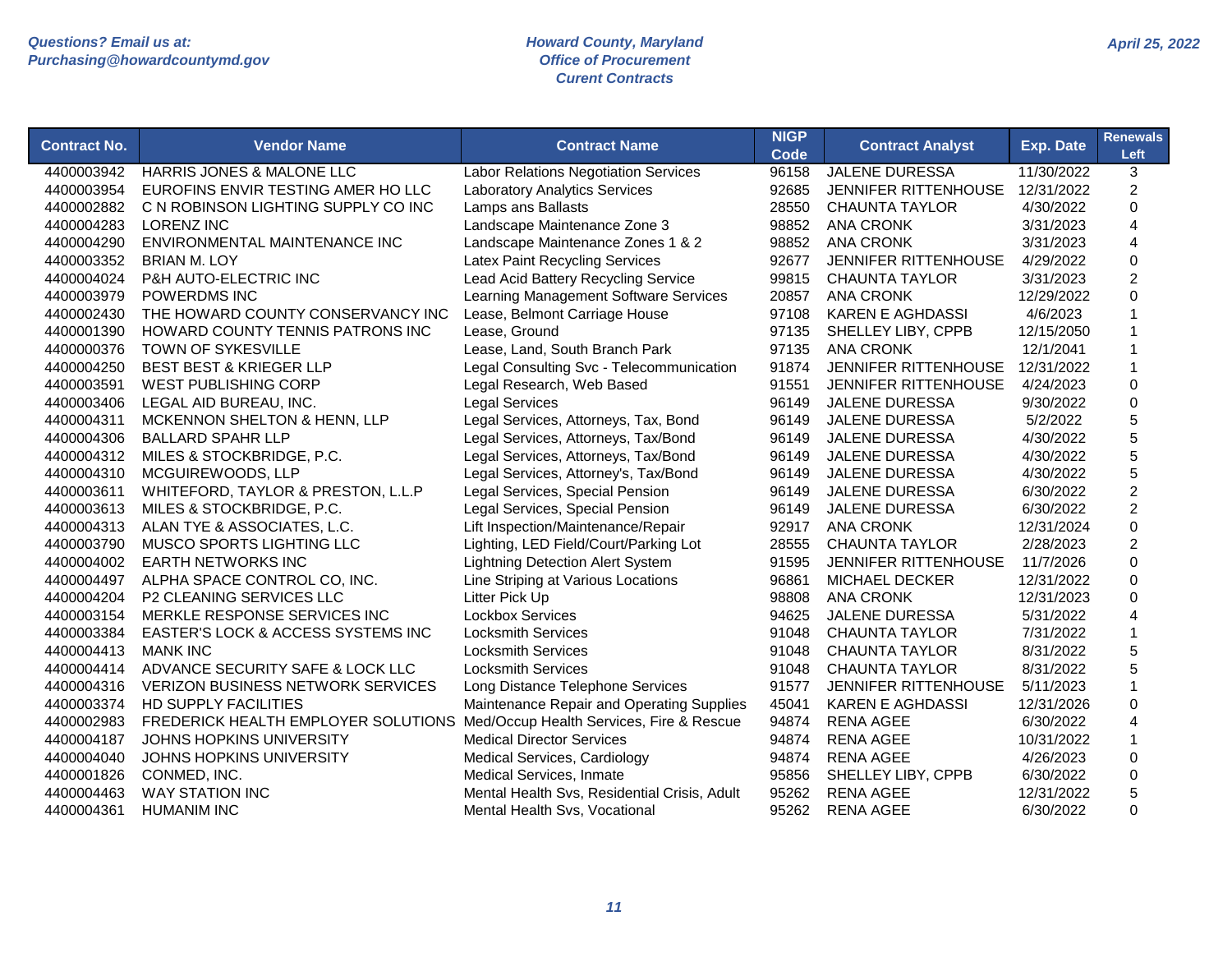| <b>HARRIS JONES &amp; MALONE LLC</b><br><b>Labor Relations Negotiation Services</b><br>96158<br><b>JALENE DURESSA</b><br>11/30/2022<br>3<br>4400003942<br>EUROFINS ENVIR TESTING AMER HO LLC<br>$\overline{2}$<br>4400003954<br><b>Laboratory Analytics Services</b><br>92685<br><b>JENNIFER RITTENHOUSE</b><br>12/31/2022<br>4400002882<br>C N ROBINSON LIGHTING SUPPLY CO INC<br>Lamps ans Ballasts<br>28550<br><b>CHAUNTA TAYLOR</b><br>4/30/2022<br>$\mathbf 0$<br>Landscape Maintenance Zone 3<br>4400004283<br><b>LORENZ INC</b><br>98852<br><b>ANA CRONK</b><br>3/31/2023<br>4<br>Landscape Maintenance Zones 1 & 2<br>4400004290<br>ENVIRONMENTAL MAINTENANCE INC<br>98852<br><b>ANA CRONK</b><br>3/31/2023<br>4<br>$\mathbf 0$<br><b>Latex Paint Recycling Services</b><br>JENNIFER RITTENHOUSE<br>4/29/2022<br>4400003352<br><b>BRIAN M. LOY</b><br>92677<br>$\overline{c}$<br>P&H AUTO-ELECTRIC INC<br>Lead Acid Battery Recycling Service<br>4400004024<br>99815<br><b>CHAUNTA TAYLOR</b><br>3/31/2023<br>$\Omega$<br>Learning Management Software Services<br>20857<br><b>ANA CRONK</b><br>4400003979<br><b>POWERDMS INC</b><br>12/29/2022<br>THE HOWARD COUNTY CONSERVANCY INC<br>Lease, Belmont Carriage House<br>97108<br><b>KAREN E AGHDASSI</b><br>4400002430<br>4/6/2023<br>4400001390<br>HOWARD COUNTY TENNIS PATRONS INC<br>Lease, Ground<br>97135<br>SHELLEY LIBY, CPPB<br>12/15/2050<br>$\overline{1}$<br>Lease, Land, South Branch Park<br>97135<br>4400000376<br>TOWN OF SYKESVILLE<br><b>ANA CRONK</b><br>12/1/2041<br>$\mathbf 1$<br><b>JENNIFER RITTENHOUSE</b><br>$\mathbf{1}$<br>4400004250<br><b>BEST BEST &amp; KRIEGER LLP</b><br>Legal Consulting Svc - Telecommunication<br>91874<br>12/31/2022<br>91551<br>$\mathbf 0$<br>4400003591<br><b>WEST PUBLISHING CORP</b><br>Legal Research, Web Based<br><b>JENNIFER RITTENHOUSE</b><br>4/24/2023<br><b>Legal Services</b><br>$\mathbf 0$<br>4400003406<br>LEGAL AID BUREAU, INC.<br>96149<br><b>JALENE DURESSA</b><br>9/30/2022 | <b>Contract No.</b> | <b>Vendor Name</b>           | <b>Contract Name</b>                 | <b>NIGP</b><br>Code | <b>Contract Analyst</b> | <b>Exp. Date</b> | <b>Renewals</b><br>Left |
|-----------------------------------------------------------------------------------------------------------------------------------------------------------------------------------------------------------------------------------------------------------------------------------------------------------------------------------------------------------------------------------------------------------------------------------------------------------------------------------------------------------------------------------------------------------------------------------------------------------------------------------------------------------------------------------------------------------------------------------------------------------------------------------------------------------------------------------------------------------------------------------------------------------------------------------------------------------------------------------------------------------------------------------------------------------------------------------------------------------------------------------------------------------------------------------------------------------------------------------------------------------------------------------------------------------------------------------------------------------------------------------------------------------------------------------------------------------------------------------------------------------------------------------------------------------------------------------------------------------------------------------------------------------------------------------------------------------------------------------------------------------------------------------------------------------------------------------------------------------------------------------------------------------------------------------------------------------------------------------------------------------------|---------------------|------------------------------|--------------------------------------|---------------------|-------------------------|------------------|-------------------------|
|                                                                                                                                                                                                                                                                                                                                                                                                                                                                                                                                                                                                                                                                                                                                                                                                                                                                                                                                                                                                                                                                                                                                                                                                                                                                                                                                                                                                                                                                                                                                                                                                                                                                                                                                                                                                                                                                                                                                                                                                                 |                     |                              |                                      |                     |                         |                  |                         |
|                                                                                                                                                                                                                                                                                                                                                                                                                                                                                                                                                                                                                                                                                                                                                                                                                                                                                                                                                                                                                                                                                                                                                                                                                                                                                                                                                                                                                                                                                                                                                                                                                                                                                                                                                                                                                                                                                                                                                                                                                 |                     |                              |                                      |                     |                         |                  |                         |
|                                                                                                                                                                                                                                                                                                                                                                                                                                                                                                                                                                                                                                                                                                                                                                                                                                                                                                                                                                                                                                                                                                                                                                                                                                                                                                                                                                                                                                                                                                                                                                                                                                                                                                                                                                                                                                                                                                                                                                                                                 |                     |                              |                                      |                     |                         |                  |                         |
|                                                                                                                                                                                                                                                                                                                                                                                                                                                                                                                                                                                                                                                                                                                                                                                                                                                                                                                                                                                                                                                                                                                                                                                                                                                                                                                                                                                                                                                                                                                                                                                                                                                                                                                                                                                                                                                                                                                                                                                                                 |                     |                              |                                      |                     |                         |                  |                         |
|                                                                                                                                                                                                                                                                                                                                                                                                                                                                                                                                                                                                                                                                                                                                                                                                                                                                                                                                                                                                                                                                                                                                                                                                                                                                                                                                                                                                                                                                                                                                                                                                                                                                                                                                                                                                                                                                                                                                                                                                                 |                     |                              |                                      |                     |                         |                  |                         |
|                                                                                                                                                                                                                                                                                                                                                                                                                                                                                                                                                                                                                                                                                                                                                                                                                                                                                                                                                                                                                                                                                                                                                                                                                                                                                                                                                                                                                                                                                                                                                                                                                                                                                                                                                                                                                                                                                                                                                                                                                 |                     |                              |                                      |                     |                         |                  |                         |
|                                                                                                                                                                                                                                                                                                                                                                                                                                                                                                                                                                                                                                                                                                                                                                                                                                                                                                                                                                                                                                                                                                                                                                                                                                                                                                                                                                                                                                                                                                                                                                                                                                                                                                                                                                                                                                                                                                                                                                                                                 |                     |                              |                                      |                     |                         |                  |                         |
|                                                                                                                                                                                                                                                                                                                                                                                                                                                                                                                                                                                                                                                                                                                                                                                                                                                                                                                                                                                                                                                                                                                                                                                                                                                                                                                                                                                                                                                                                                                                                                                                                                                                                                                                                                                                                                                                                                                                                                                                                 |                     |                              |                                      |                     |                         |                  |                         |
|                                                                                                                                                                                                                                                                                                                                                                                                                                                                                                                                                                                                                                                                                                                                                                                                                                                                                                                                                                                                                                                                                                                                                                                                                                                                                                                                                                                                                                                                                                                                                                                                                                                                                                                                                                                                                                                                                                                                                                                                                 |                     |                              |                                      |                     |                         |                  |                         |
|                                                                                                                                                                                                                                                                                                                                                                                                                                                                                                                                                                                                                                                                                                                                                                                                                                                                                                                                                                                                                                                                                                                                                                                                                                                                                                                                                                                                                                                                                                                                                                                                                                                                                                                                                                                                                                                                                                                                                                                                                 |                     |                              |                                      |                     |                         |                  |                         |
|                                                                                                                                                                                                                                                                                                                                                                                                                                                                                                                                                                                                                                                                                                                                                                                                                                                                                                                                                                                                                                                                                                                                                                                                                                                                                                                                                                                                                                                                                                                                                                                                                                                                                                                                                                                                                                                                                                                                                                                                                 |                     |                              |                                      |                     |                         |                  |                         |
|                                                                                                                                                                                                                                                                                                                                                                                                                                                                                                                                                                                                                                                                                                                                                                                                                                                                                                                                                                                                                                                                                                                                                                                                                                                                                                                                                                                                                                                                                                                                                                                                                                                                                                                                                                                                                                                                                                                                                                                                                 |                     |                              |                                      |                     |                         |                  |                         |
|                                                                                                                                                                                                                                                                                                                                                                                                                                                                                                                                                                                                                                                                                                                                                                                                                                                                                                                                                                                                                                                                                                                                                                                                                                                                                                                                                                                                                                                                                                                                                                                                                                                                                                                                                                                                                                                                                                                                                                                                                 |                     |                              |                                      |                     |                         |                  |                         |
|                                                                                                                                                                                                                                                                                                                                                                                                                                                                                                                                                                                                                                                                                                                                                                                                                                                                                                                                                                                                                                                                                                                                                                                                                                                                                                                                                                                                                                                                                                                                                                                                                                                                                                                                                                                                                                                                                                                                                                                                                 |                     |                              |                                      |                     |                         |                  |                         |
|                                                                                                                                                                                                                                                                                                                                                                                                                                                                                                                                                                                                                                                                                                                                                                                                                                                                                                                                                                                                                                                                                                                                                                                                                                                                                                                                                                                                                                                                                                                                                                                                                                                                                                                                                                                                                                                                                                                                                                                                                 | 4400004311          | MCKENNON SHELTON & HENN, LLP | Legal Services, Attorneys, Tax, Bond | 96149               | <b>JALENE DURESSA</b>   | 5/2/2022         | 5                       |
| 5<br>Legal Services, Attorneys, Tax/Bond<br><b>BALLARD SPAHR LLP</b><br>96149<br>JALENE DURESSA<br>4/30/2022<br>4400004306                                                                                                                                                                                                                                                                                                                                                                                                                                                                                                                                                                                                                                                                                                                                                                                                                                                                                                                                                                                                                                                                                                                                                                                                                                                                                                                                                                                                                                                                                                                                                                                                                                                                                                                                                                                                                                                                                      |                     |                              |                                      |                     |                         |                  |                         |
| 5<br>MILES & STOCKBRIDGE, P.C.<br>Legal Services, Attorneys, Tax/Bond<br>96149<br>JALENE DURESSA<br>4/30/2022<br>4400004312                                                                                                                                                                                                                                                                                                                                                                                                                                                                                                                                                                                                                                                                                                                                                                                                                                                                                                                                                                                                                                                                                                                                                                                                                                                                                                                                                                                                                                                                                                                                                                                                                                                                                                                                                                                                                                                                                     |                     |                              |                                      |                     |                         |                  |                         |
| 5<br>MCGUIREWOODS, LLP<br>Legal Services, Attorney's, Tax/Bond<br>JALENE DURESSA<br>4400004310<br>96149<br>4/30/2022                                                                                                                                                                                                                                                                                                                                                                                                                                                                                                                                                                                                                                                                                                                                                                                                                                                                                                                                                                                                                                                                                                                                                                                                                                                                                                                                                                                                                                                                                                                                                                                                                                                                                                                                                                                                                                                                                            |                     |                              |                                      |                     |                         |                  |                         |
| $\overline{c}$<br>WHITEFORD, TAYLOR & PRESTON, L.L.P<br>Legal Services, Special Pension<br>96149<br>JALENE DURESSA<br>4400003611<br>6/30/2022                                                                                                                                                                                                                                                                                                                                                                                                                                                                                                                                                                                                                                                                                                                                                                                                                                                                                                                                                                                                                                                                                                                                                                                                                                                                                                                                                                                                                                                                                                                                                                                                                                                                                                                                                                                                                                                                   |                     |                              |                                      |                     |                         |                  |                         |
| $\overline{c}$<br>MILES & STOCKBRIDGE, P.C.<br>Legal Services, Special Pension<br>4400003613<br>96149<br><b>JALENE DURESSA</b><br>6/30/2022                                                                                                                                                                                                                                                                                                                                                                                                                                                                                                                                                                                                                                                                                                                                                                                                                                                                                                                                                                                                                                                                                                                                                                                                                                                                                                                                                                                                                                                                                                                                                                                                                                                                                                                                                                                                                                                                     |                     |                              |                                      |                     |                         |                  |                         |
| $\mathsf 0$<br>Lift Inspection/Maintenance/Repair<br>ALAN TYE & ASSOCIATES, L.C.<br>92917<br><b>ANA CRONK</b><br>4400004313<br>12/31/2024                                                                                                                                                                                                                                                                                                                                                                                                                                                                                                                                                                                                                                                                                                                                                                                                                                                                                                                                                                                                                                                                                                                                                                                                                                                                                                                                                                                                                                                                                                                                                                                                                                                                                                                                                                                                                                                                       |                     |                              |                                      |                     |                         |                  |                         |
| $\overline{c}$<br>Lighting, LED Field/Court/Parking Lot<br>2/28/2023<br>4400003790<br>MUSCO SPORTS LIGHTING LLC<br>28555<br><b>CHAUNTA TAYLOR</b>                                                                                                                                                                                                                                                                                                                                                                                                                                                                                                                                                                                                                                                                                                                                                                                                                                                                                                                                                                                                                                                                                                                                                                                                                                                                                                                                                                                                                                                                                                                                                                                                                                                                                                                                                                                                                                                               |                     |                              |                                      |                     |                         |                  |                         |
| $\mathsf 0$<br><b>EARTH NETWORKS INC</b><br><b>Lightning Detection Alert System</b><br>4400004002<br>91595<br>JENNIFER RITTENHOUSE<br>11/7/2026                                                                                                                                                                                                                                                                                                                                                                                                                                                                                                                                                                                                                                                                                                                                                                                                                                                                                                                                                                                                                                                                                                                                                                                                                                                                                                                                                                                                                                                                                                                                                                                                                                                                                                                                                                                                                                                                 |                     |                              |                                      |                     |                         |                  |                         |
| ALPHA SPACE CONTROL CO, INC.<br>Line Striping at Various Locations<br>96861<br>MICHAEL DECKER<br>0<br>4400004497<br>12/31/2022                                                                                                                                                                                                                                                                                                                                                                                                                                                                                                                                                                                                                                                                                                                                                                                                                                                                                                                                                                                                                                                                                                                                                                                                                                                                                                                                                                                                                                                                                                                                                                                                                                                                                                                                                                                                                                                                                  |                     |                              |                                      |                     |                         |                  |                         |
| Litter Pick Up<br>$\Omega$<br>4400004204<br>P2 CLEANING SERVICES LLC<br>98808<br><b>ANA CRONK</b><br>12/31/2023                                                                                                                                                                                                                                                                                                                                                                                                                                                                                                                                                                                                                                                                                                                                                                                                                                                                                                                                                                                                                                                                                                                                                                                                                                                                                                                                                                                                                                                                                                                                                                                                                                                                                                                                                                                                                                                                                                 |                     |                              |                                      |                     |                         |                  |                         |
| MERKLE RESPONSE SERVICES INC<br><b>Lockbox Services</b><br><b>JALENE DURESSA</b><br>$\overline{4}$<br>4400003154<br>94625<br>5/31/2022                                                                                                                                                                                                                                                                                                                                                                                                                                                                                                                                                                                                                                                                                                                                                                                                                                                                                                                                                                                                                                                                                                                                                                                                                                                                                                                                                                                                                                                                                                                                                                                                                                                                                                                                                                                                                                                                          |                     |                              |                                      |                     |                         |                  |                         |
| 4400003384<br>EASTER'S LOCK & ACCESS SYSTEMS INC<br><b>Locksmith Services</b><br>91048<br><b>CHAUNTA TAYLOR</b><br>7/31/2022                                                                                                                                                                                                                                                                                                                                                                                                                                                                                                                                                                                                                                                                                                                                                                                                                                                                                                                                                                                                                                                                                                                                                                                                                                                                                                                                                                                                                                                                                                                                                                                                                                                                                                                                                                                                                                                                                    |                     |                              |                                      |                     |                         |                  |                         |
| 5<br><b>Locksmith Services</b><br>4400004413<br><b>MANK INC</b><br>91048<br><b>CHAUNTA TAYLOR</b><br>8/31/2022                                                                                                                                                                                                                                                                                                                                                                                                                                                                                                                                                                                                                                                                                                                                                                                                                                                                                                                                                                                                                                                                                                                                                                                                                                                                                                                                                                                                                                                                                                                                                                                                                                                                                                                                                                                                                                                                                                  |                     |                              |                                      |                     |                         |                  |                         |
| 5<br>ADVANCE SECURITY SAFE & LOCK LLC<br><b>Locksmith Services</b><br>91048<br><b>CHAUNTA TAYLOR</b><br>8/31/2022<br>4400004414                                                                                                                                                                                                                                                                                                                                                                                                                                                                                                                                                                                                                                                                                                                                                                                                                                                                                                                                                                                                                                                                                                                                                                                                                                                                                                                                                                                                                                                                                                                                                                                                                                                                                                                                                                                                                                                                                 |                     |                              |                                      |                     |                         |                  |                         |
| <b>VERIZON BUSINESS NETWORK SERVICES</b><br>Long Distance Telephone Services<br>91577<br>JENNIFER RITTENHOUSE<br>$\overline{1}$<br>4400004316<br>5/11/2023                                                                                                                                                                                                                                                                                                                                                                                                                                                                                                                                                                                                                                                                                                                                                                                                                                                                                                                                                                                                                                                                                                                                                                                                                                                                                                                                                                                                                                                                                                                                                                                                                                                                                                                                                                                                                                                      |                     |                              |                                      |                     |                         |                  |                         |
| Maintenance Repair and Operating Supplies<br>$\mathsf 0$<br>HD SUPPLY FACILITIES<br><b>KAREN E AGHDASSI</b><br>4400003374<br>45041<br>12/31/2026                                                                                                                                                                                                                                                                                                                                                                                                                                                                                                                                                                                                                                                                                                                                                                                                                                                                                                                                                                                                                                                                                                                                                                                                                                                                                                                                                                                                                                                                                                                                                                                                                                                                                                                                                                                                                                                                |                     |                              |                                      |                     |                         |                  |                         |
| 4<br>FREDERICK HEALTH EMPLOYER SOLUTIONS Med/Occup Health Services, Fire & Rescue<br>94874<br><b>RENA AGEE</b><br>4400002983<br>6/30/2022                                                                                                                                                                                                                                                                                                                                                                                                                                                                                                                                                                                                                                                                                                                                                                                                                                                                                                                                                                                                                                                                                                                                                                                                                                                                                                                                                                                                                                                                                                                                                                                                                                                                                                                                                                                                                                                                       |                     |                              |                                      |                     |                         |                  |                         |
| <b>Medical Director Services</b><br>$\mathbf{1}$<br>4400004187<br><b>JOHNS HOPKINS UNIVERSITY</b><br>94874<br><b>RENA AGEE</b><br>10/31/2022                                                                                                                                                                                                                                                                                                                                                                                                                                                                                                                                                                                                                                                                                                                                                                                                                                                                                                                                                                                                                                                                                                                                                                                                                                                                                                                                                                                                                                                                                                                                                                                                                                                                                                                                                                                                                                                                    |                     |                              |                                      |                     |                         |                  |                         |
| JOHNS HOPKINS UNIVERSITY<br>Medical Services, Cardiology<br>94874<br><b>RENA AGEE</b><br>0<br>4400004040<br>4/26/2023                                                                                                                                                                                                                                                                                                                                                                                                                                                                                                                                                                                                                                                                                                                                                                                                                                                                                                                                                                                                                                                                                                                                                                                                                                                                                                                                                                                                                                                                                                                                                                                                                                                                                                                                                                                                                                                                                           |                     |                              |                                      |                     |                         |                  |                         |
| Medical Services, Inmate<br>SHELLEY LIBY, CPPB<br>0<br>4400001826<br>CONMED, INC.<br>95856<br>6/30/2022                                                                                                                                                                                                                                                                                                                                                                                                                                                                                                                                                                                                                                                                                                                                                                                                                                                                                                                                                                                                                                                                                                                                                                                                                                                                                                                                                                                                                                                                                                                                                                                                                                                                                                                                                                                                                                                                                                         |                     |                              |                                      |                     |                         |                  |                         |
| 5<br><b>WAY STATION INC</b><br>4400004463<br>Mental Health Svs, Residential Crisis, Adult<br>95262<br><b>RENA AGEE</b><br>12/31/2022                                                                                                                                                                                                                                                                                                                                                                                                                                                                                                                                                                                                                                                                                                                                                                                                                                                                                                                                                                                                                                                                                                                                                                                                                                                                                                                                                                                                                                                                                                                                                                                                                                                                                                                                                                                                                                                                            |                     |                              |                                      |                     |                         |                  |                         |
| $\mathbf 0$<br>4400004361<br><b>HUMANIM INC</b><br>Mental Health Svs, Vocational<br>95262<br><b>RENA AGEE</b><br>6/30/2022                                                                                                                                                                                                                                                                                                                                                                                                                                                                                                                                                                                                                                                                                                                                                                                                                                                                                                                                                                                                                                                                                                                                                                                                                                                                                                                                                                                                                                                                                                                                                                                                                                                                                                                                                                                                                                                                                      |                     |                              |                                      |                     |                         |                  |                         |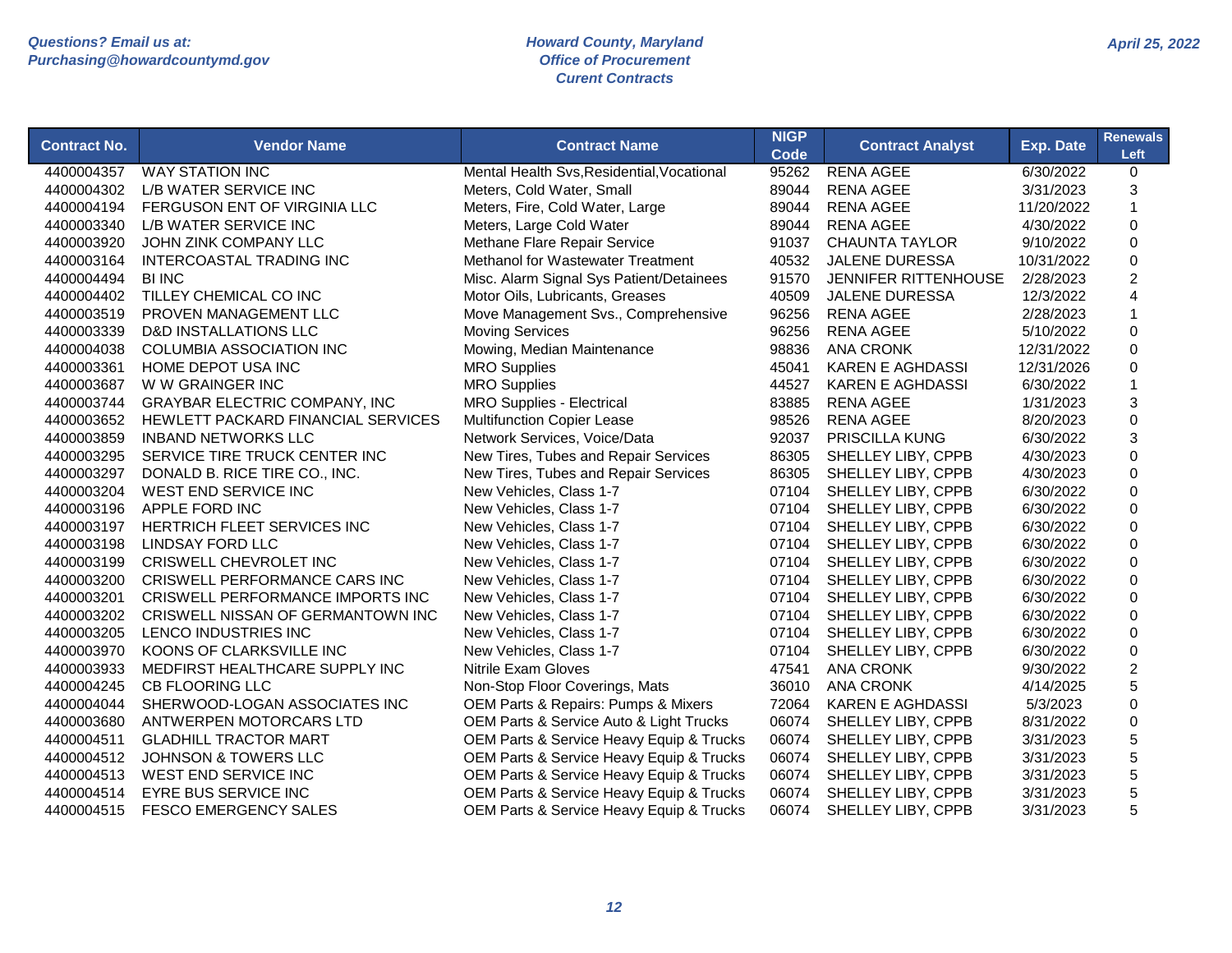| <b>Contract No.</b> | <b>Vendor Name</b>                      | <b>Contract Name</b>                       | <b>NIGP</b><br>Code | <b>Contract Analyst</b>     | <b>Exp. Date</b> | <b>Renewals</b><br>Left |
|---------------------|-----------------------------------------|--------------------------------------------|---------------------|-----------------------------|------------------|-------------------------|
| 4400004357          | <b>WAY STATION INC</b>                  | Mental Health Svs, Residential, Vocational | 95262               | <b>RENA AGEE</b>            | 6/30/2022        | 0                       |
| 4400004302          | L/B WATER SERVICE INC                   | Meters, Cold Water, Small                  | 89044               | <b>RENA AGEE</b>            | 3/31/2023        | 3                       |
| 4400004194          | FERGUSON ENT OF VIRGINIA LLC            | Meters, Fire, Cold Water, Large            | 89044               | <b>RENA AGEE</b>            | 11/20/2022       | $\mathbf{1}$            |
| 4400003340          | L/B WATER SERVICE INC                   | Meters, Large Cold Water                   | 89044               | <b>RENA AGEE</b>            | 4/30/2022        | $\pmb{0}$               |
| 4400003920          | JOHN ZINK COMPANY LLC                   | Methane Flare Repair Service               | 91037               | <b>CHAUNTA TAYLOR</b>       | 9/10/2022        | 0                       |
| 4400003164          | INTERCOASTAL TRADING INC                | Methanol for Wastewater Treatment          | 40532               | <b>JALENE DURESSA</b>       | 10/31/2022       | 0                       |
| 4400004494          | <b>BI INC</b>                           | Misc. Alarm Signal Sys Patient/Detainees   | 91570               | <b>JENNIFER RITTENHOUSE</b> | 2/28/2023        | $\overline{2}$          |
| 4400004402          | TILLEY CHEMICAL CO INC                  | Motor Oils, Lubricants, Greases            | 40509               | <b>JALENE DURESSA</b>       | 12/3/2022        | 4                       |
| 4400003519          | PROVEN MANAGEMENT LLC                   | Move Management Svs., Comprehensive        | 96256               | <b>RENA AGEE</b>            | 2/28/2023        | 1                       |
| 4400003339          | <b>D&amp;D INSTALLATIONS LLC</b>        | <b>Moving Services</b>                     | 96256               | <b>RENA AGEE</b>            | 5/10/2022        | 0                       |
| 4400004038          | COLUMBIA ASSOCIATION INC                | Mowing, Median Maintenance                 | 98836               | <b>ANA CRONK</b>            | 12/31/2022       | 0                       |
| 4400003361          | HOME DEPOT USA INC                      | <b>MRO Supplies</b>                        | 45041               | <b>KAREN E AGHDASSI</b>     | 12/31/2026       | 0                       |
| 4400003687          | W W GRAINGER INC                        | <b>MRO Supplies</b>                        | 44527               | <b>KAREN E AGHDASSI</b>     | 6/30/2022        | $\mathbf{1}$            |
| 4400003744          | <b>GRAYBAR ELECTRIC COMPANY, INC</b>    | <b>MRO Supplies - Electrical</b>           | 83885               | <b>RENA AGEE</b>            | 1/31/2023        | 3                       |
| 4400003652          | HEWLETT PACKARD FINANCIAL SERVICES      | <b>Multifunction Copier Lease</b>          | 98526               | <b>RENA AGEE</b>            | 8/20/2023        | 0                       |
| 4400003859          | <b>INBAND NETWORKS LLC</b>              | Network Services, Voice/Data               | 92037               | <b>PRISCILLA KUNG</b>       | 6/30/2022        | 3                       |
| 4400003295          | SERVICE TIRE TRUCK CENTER INC           | New Tires, Tubes and Repair Services       | 86305               | SHELLEY LIBY, CPPB          | 4/30/2023        | 0                       |
| 4400003297          | DONALD B. RICE TIRE CO., INC.           | New Tires, Tubes and Repair Services       | 86305               | SHELLEY LIBY, CPPB          | 4/30/2023        | 0                       |
| 4400003204          | <b>WEST END SERVICE INC</b>             | New Vehicles, Class 1-7                    | 07104               | SHELLEY LIBY, CPPB          | 6/30/2022        | 0                       |
| 4400003196          | APPLE FORD INC                          | New Vehicles, Class 1-7                    | 07104               | SHELLEY LIBY, CPPB          | 6/30/2022        | 0                       |
| 4400003197          | HERTRICH FLEET SERVICES INC             | New Vehicles, Class 1-7                    | 07104               | SHELLEY LIBY, CPPB          | 6/30/2022        | 0                       |
| 4400003198          | LINDSAY FORD LLC                        | New Vehicles, Class 1-7                    | 07104               | SHELLEY LIBY, CPPB          | 6/30/2022        | 0                       |
| 4400003199          | CRISWELL CHEVROLET INC                  | New Vehicles, Class 1-7                    | 07104               | SHELLEY LIBY, CPPB          | 6/30/2022        | 0                       |
| 4400003200          | CRISWELL PERFORMANCE CARS INC           | New Vehicles, Class 1-7                    | 07104               | SHELLEY LIBY, CPPB          | 6/30/2022        | 0                       |
| 4400003201          | <b>CRISWELL PERFORMANCE IMPORTS INC</b> | New Vehicles, Class 1-7                    | 07104               | SHELLEY LIBY, CPPB          | 6/30/2022        | 0                       |
| 4400003202          | CRISWELL NISSAN OF GERMANTOWN INC       | New Vehicles, Class 1-7                    | 07104               | SHELLEY LIBY, CPPB          | 6/30/2022        | 0                       |
| 4400003205          | LENCO INDUSTRIES INC                    | New Vehicles, Class 1-7                    | 07104               | SHELLEY LIBY, CPPB          | 6/30/2022        | 0                       |
| 4400003970          | KOONS OF CLARKSVILLE INC                | New Vehicles, Class 1-7                    | 07104               | SHELLEY LIBY, CPPB          | 6/30/2022        | 0                       |
| 4400003933          | MEDFIRST HEALTHCARE SUPPLY INC          | <b>Nitrile Exam Gloves</b>                 | 47541               | <b>ANA CRONK</b>            | 9/30/2022        | $\overline{c}$          |
| 4400004245          | <b>CB FLOORING LLC</b>                  | Non-Stop Floor Coverings, Mats             | 36010               | <b>ANA CRONK</b>            | 4/14/2025        | 5                       |
| 4400004044          | SHERWOOD-LOGAN ASSOCIATES INC           | OEM Parts & Repairs: Pumps & Mixers        | 72064               | <b>KAREN E AGHDASSI</b>     | 5/3/2023         | 0                       |
| 4400003680          | ANTWERPEN MOTORCARS LTD                 | OEM Parts & Service Auto & Light Trucks    | 06074               | SHELLEY LIBY, CPPB          | 8/31/2022        | 0                       |
| 4400004511          | <b>GLADHILL TRACTOR MART</b>            | OEM Parts & Service Heavy Equip & Trucks   | 06074               | SHELLEY LIBY, CPPB          | 3/31/2023        | 5                       |
| 4400004512          | <b>JOHNSON &amp; TOWERS LLC</b>         | OEM Parts & Service Heavy Equip & Trucks   | 06074               | SHELLEY LIBY, CPPB          | 3/31/2023        | 5                       |
| 4400004513          | WEST END SERVICE INC                    | OEM Parts & Service Heavy Equip & Trucks   | 06074               | SHELLEY LIBY, CPPB          | 3/31/2023        | 5                       |
| 4400004514          | EYRE BUS SERVICE INC                    | OEM Parts & Service Heavy Equip & Trucks   | 06074               | SHELLEY LIBY, CPPB          | 3/31/2023        | 5                       |
| 4400004515          | <b>FESCO EMERGENCY SALES</b>            | OEM Parts & Service Heavy Equip & Trucks   | 06074               | SHELLEY LIBY, CPPB          | 3/31/2023        | 5                       |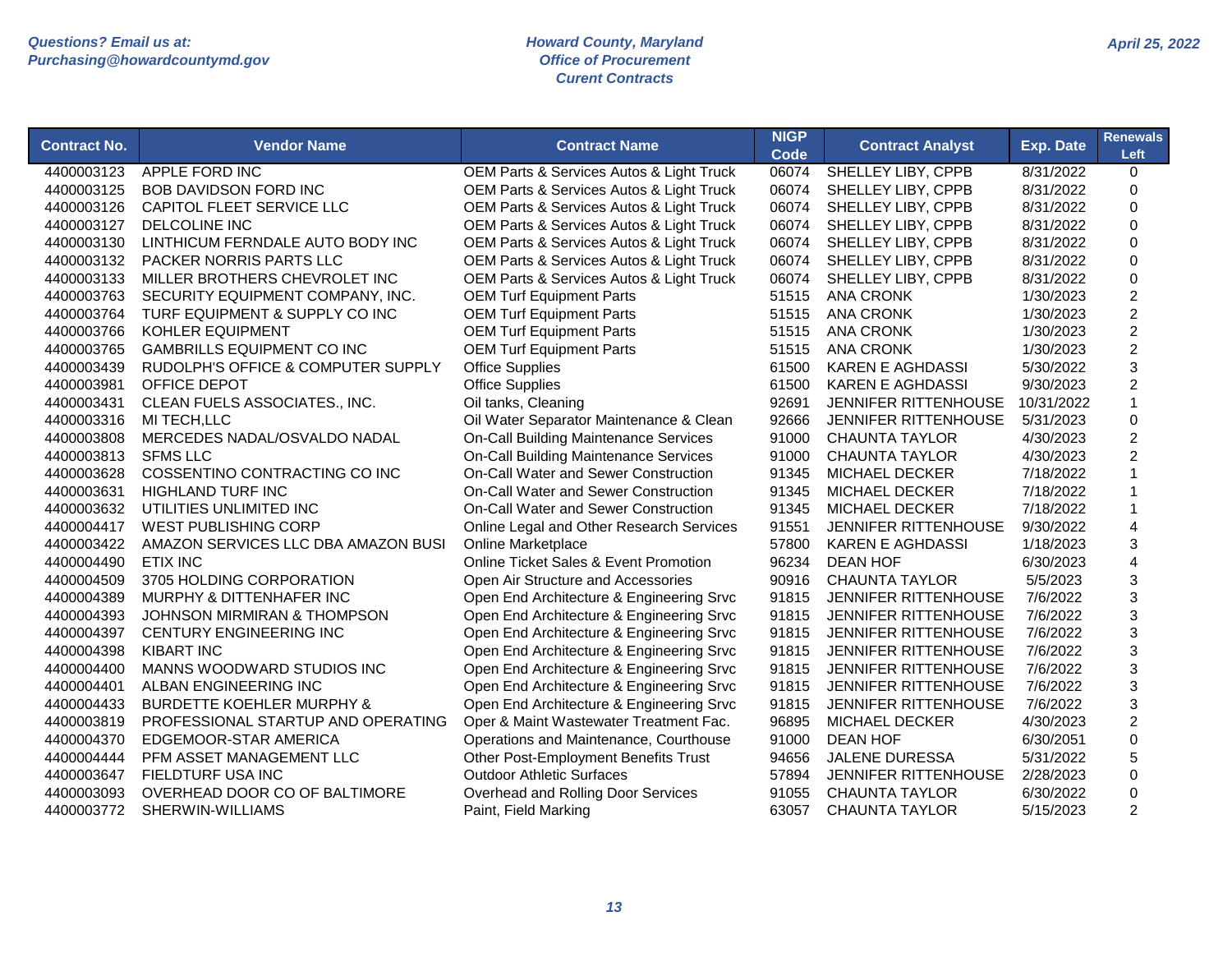| <b>NIGP</b><br><b>Contract No.</b><br><b>Vendor Name</b><br><b>Contract Name</b><br><b>Contract Analyst</b><br><b>Code</b>             | Exp. Date  | <b>Renewals</b><br>Left |
|----------------------------------------------------------------------------------------------------------------------------------------|------------|-------------------------|
| APPLE FORD INC<br>OEM Parts & Services Autos & Light Truck<br>06074<br><b>SHELLEY LIBY, CPPB</b><br>4400003123                         | 8/31/2022  | $\mathbf 0$             |
| <b>BOB DAVIDSON FORD INC</b><br>OEM Parts & Services Autos & Light Truck<br>06074<br>SHELLEY LIBY, CPPB<br>4400003125                  | 8/31/2022  | $\Omega$                |
| OEM Parts & Services Autos & Light Truck<br>06074<br>4400003126<br>CAPITOL FLEET SERVICE LLC<br>SHELLEY LIBY, CPPB                     | 8/31/2022  | $\Omega$                |
| 4400003127<br>DELCOLINE INC<br>OEM Parts & Services Autos & Light Truck<br>06074<br>SHELLEY LIBY, CPPB                                 | 8/31/2022  | $\Omega$                |
| 4400003130<br>LINTHICUM FERNDALE AUTO BODY INC<br>OEM Parts & Services Autos & Light Truck<br>06074<br>SHELLEY LIBY, CPPB              | 8/31/2022  | $\Omega$                |
| OEM Parts & Services Autos & Light Truck<br>06074<br>SHELLEY LIBY, CPPB<br>4400003132<br>PACKER NORRIS PARTS LLC                       | 8/31/2022  | 0                       |
| 4400003133<br>MILLER BROTHERS CHEVROLET INC<br>OEM Parts & Services Autos & Light Truck<br>06074<br>SHELLEY LIBY, CPPB                 | 8/31/2022  | $\mathbf 0$             |
| <b>ANA CRONK</b><br>4400003763<br>SECURITY EQUIPMENT COMPANY, INC.<br><b>OEM Turf Equipment Parts</b><br>51515                         | 1/30/2023  | $\overline{c}$          |
| <b>OEM Turf Equipment Parts</b><br><b>ANA CRONK</b><br>4400003764<br>TURF EQUIPMENT & SUPPLY CO INC<br>51515                           | 1/30/2023  | $\overline{c}$          |
| <b>OEM Turf Equipment Parts</b><br><b>ANA CRONK</b><br>4400003766<br><b>KOHLER EQUIPMENT</b><br>51515                                  | 1/30/2023  | $\overline{2}$          |
| <b>ANA CRONK</b><br>4400003765<br><b>GAMBRILLS EQUIPMENT CO INC</b><br><b>OEM Turf Equipment Parts</b><br>51515                        | 1/30/2023  | $\overline{2}$          |
| 4400003439<br>RUDOLPH'S OFFICE & COMPUTER SUPPLY<br><b>Office Supplies</b><br>61500<br><b>KAREN E AGHDASSI</b>                         | 5/30/2022  | 3                       |
| OFFICE DEPOT<br><b>Office Supplies</b><br><b>KAREN E AGHDASSI</b><br>4400003981<br>61500                                               | 9/30/2023  | $\overline{c}$          |
| CLEAN FUELS ASSOCIATES., INC.<br>4400003431<br>Oil tanks, Cleaning<br>92691<br>JENNIFER RITTENHOUSE                                    | 10/31/2022 | 1                       |
| Oil Water Separator Maintenance & Clean<br>4400003316<br>MI TECH,LLC<br>92666<br>JENNIFER RITTENHOUSE                                  | 5/31/2023  | 0                       |
| MERCEDES NADAL/OSVALDO NADAL<br><b>On-Call Building Maintenance Services</b><br>4400003808<br>91000<br><b>CHAUNTA TAYLOR</b>           | 4/30/2023  | $\overline{c}$          |
| <b>On-Call Building Maintenance Services</b><br><b>CHAUNTA TAYLOR</b><br>4400003813<br><b>SFMS LLC</b><br>91000                        | 4/30/2023  | $\overline{2}$          |
| COSSENTINO CONTRACTING CO INC<br>On-Call Water and Sewer Construction<br>4400003628<br>91345<br><b>MICHAEL DECKER</b>                  | 7/18/2022  |                         |
| 4400003631<br>On-Call Water and Sewer Construction<br>91345<br><b>HIGHLAND TURF INC</b><br><b>MICHAEL DECKER</b>                       | 7/18/2022  |                         |
| 4400003632<br>UTILITIES UNLIMITED INC<br>On-Call Water and Sewer Construction<br>91345<br><b>MICHAEL DECKER</b>                        | 7/18/2022  |                         |
| 4400004417<br><b>WEST PUBLISHING CORP</b><br>Online Legal and Other Research Services<br>91551<br><b>JENNIFER RITTENHOUSE</b>          | 9/30/2022  | $\overline{\mathbf{4}}$ |
| 4400003422<br>AMAZON SERVICES LLC DBA AMAZON BUSI<br>57800<br>Online Marketplace<br><b>KAREN E AGHDASSI</b>                            | 1/18/2023  | 3                       |
| 4400004490<br><b>ETIX INC</b><br><b>Online Ticket Sales &amp; Event Promotion</b><br>96234<br><b>DEAN HOF</b>                          | 6/30/2023  | 4                       |
| 3705 HOLDING CORPORATION<br>4400004509<br>Open Air Structure and Accessories<br>90916<br><b>CHAUNTA TAYLOR</b>                         | 5/5/2023   | 3                       |
| 4400004389<br>MURPHY & DITTENHAFER INC<br>Open End Architecture & Engineering Srvc<br>91815<br>JENNIFER RITTENHOUSE                    | 7/6/2022   | 3                       |
| 4400004393<br><b>JOHNSON MIRMIRAN &amp; THOMPSON</b><br>Open End Architecture & Engineering Srvc<br>91815<br>JENNIFER RITTENHOUSE      | 7/6/2022   | 3                       |
| 4400004397<br><b>CENTURY ENGINEERING INC</b><br>Open End Architecture & Engineering Srvc<br>JENNIFER RITTENHOUSE<br>91815              | 7/6/2022   | 3                       |
| Open End Architecture & Engineering Srvc<br>4400004398<br><b>KIBART INC</b><br>91815<br><b>JENNIFER RITTENHOUSE</b>                    | 7/6/2022   | 3                       |
| Open End Architecture & Engineering Srvc<br>4400004400<br>MANNS WOODWARD STUDIOS INC<br>91815<br>JENNIFER RITTENHOUSE                  | 7/6/2022   | 3                       |
| 4400004401<br>ALBAN ENGINEERING INC<br>Open End Architecture & Engineering Srvc<br>91815<br><b>JENNIFER RITTENHOUSE</b>                | 7/6/2022   | 3                       |
| Open End Architecture & Engineering Srvc<br>4400004433<br><b>BURDETTE KOEHLER MURPHY &amp;</b><br>91815<br><b>JENNIFER RITTENHOUSE</b> | 7/6/2022   | 3                       |
| Oper & Maint Wastewater Treatment Fac.<br>4400003819<br>PROFESSIONAL STARTUP AND OPERATING<br>96895<br><b>MICHAEL DECKER</b>           | 4/30/2023  | $\overline{2}$          |
| <b>DEAN HOF</b><br>4400004370<br>EDGEMOOR-STAR AMERICA<br>Operations and Maintenance, Courthouse<br>91000                              | 6/30/2051  | $\overline{0}$          |
| 4400004444<br>PFM ASSET MANAGEMENT LLC<br>Other Post-Employment Benefits Trust<br>94656<br>JALENE DURESSA                              | 5/31/2022  | 5                       |
| <b>Outdoor Athletic Surfaces</b><br>4400003647<br>FIELDTURF USA INC<br>57894<br>JENNIFER RITTENHOUSE                                   | 2/28/2023  | $\overline{0}$          |
| 4400003093<br>OVERHEAD DOOR CO OF BALTIMORE<br><b>CHAUNTA TAYLOR</b><br>Overhead and Rolling Door Services<br>91055                    | 6/30/2022  | 0                       |
| 4400003772<br>SHERWIN-WILLIAMS<br>Paint, Field Marking<br>63057<br>CHAUNTA TAYLOR                                                      | 5/15/2023  | $\overline{2}$          |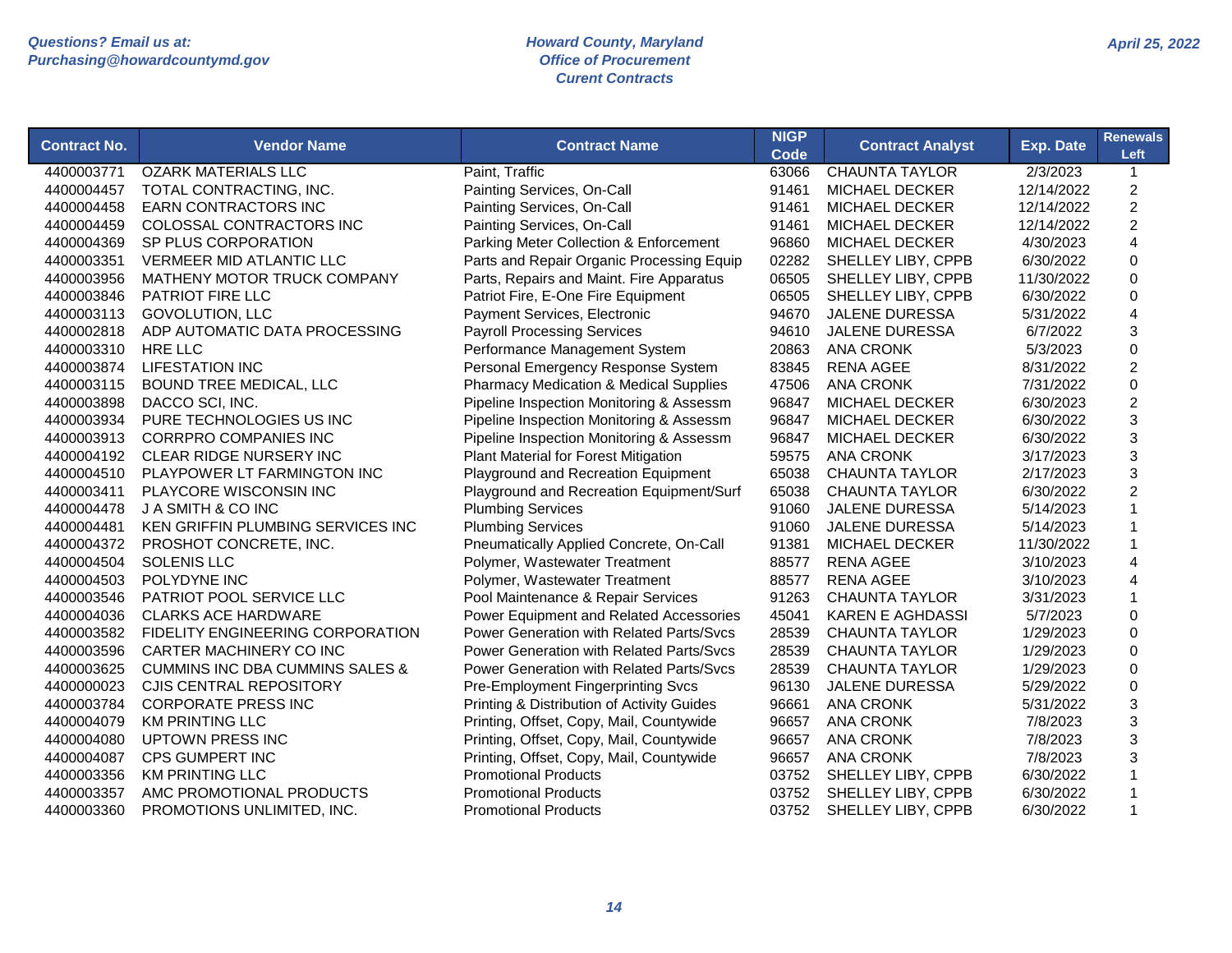| <b>Contract No.</b> | <b>Vendor Name</b>                         | <b>Contract Name</b>                              | <b>NIGP</b><br>Code | <b>Contract Analyst</b> | <b>Exp. Date</b> | <b>Renewals</b><br>Left |
|---------------------|--------------------------------------------|---------------------------------------------------|---------------------|-------------------------|------------------|-------------------------|
| 4400003771          | <b>OZARK MATERIALS LLC</b>                 | Paint, Traffic                                    | 63066               | <b>CHAUNTA TAYLOR</b>   | 2/3/2023         | $\mathbf{1}$            |
| 4400004457          | TOTAL CONTRACTING, INC.                    | Painting Services, On-Call                        | 91461               | <b>MICHAEL DECKER</b>   | 12/14/2022       | $\overline{c}$          |
| 4400004458          | <b>EARN CONTRACTORS INC</b>                | Painting Services, On-Call                        | 91461               | <b>MICHAEL DECKER</b>   | 12/14/2022       | $\overline{c}$          |
| 4400004459          | COLOSSAL CONTRACTORS INC                   | Painting Services, On-Call                        | 91461               | <b>MICHAEL DECKER</b>   | 12/14/2022       | $\overline{c}$          |
| 4400004369          | SP PLUS CORPORATION                        | Parking Meter Collection & Enforcement            | 96860               | <b>MICHAEL DECKER</b>   | 4/30/2023        | $\overline{4}$          |
| 4400003351          | <b>VERMEER MID ATLANTIC LLC</b>            | Parts and Repair Organic Processing Equip         | 02282               | SHELLEY LIBY, CPPB      | 6/30/2022        | $\mathbf 0$             |
| 4400003956          | MATHENY MOTOR TRUCK COMPANY                | Parts, Repairs and Maint. Fire Apparatus          | 06505               | SHELLEY LIBY, CPPB      | 11/30/2022       | $\mathbf 0$             |
| 4400003846          | PATRIOT FIRE LLC                           | Patriot Fire, E-One Fire Equipment                | 06505               | SHELLEY LIBY, CPPB      | 6/30/2022        | $\pmb{0}$               |
| 4400003113          | <b>GOVOLUTION, LLC</b>                     | Payment Services, Electronic                      | 94670               | <b>JALENE DURESSA</b>   | 5/31/2022        | 4                       |
| 4400002818          | ADP AUTOMATIC DATA PROCESSING              | <b>Payroll Processing Services</b>                | 94610               | <b>JALENE DURESSA</b>   | 6/7/2022         | 3                       |
| 4400003310          | <b>HRE LLC</b>                             | Performance Management System                     | 20863               | <b>ANA CRONK</b>        | 5/3/2023         | $\mathbf 0$             |
| 4400003874          | <b>LIFESTATION INC</b>                     | Personal Emergency Response System                | 83845               | <b>RENA AGEE</b>        | 8/31/2022        | $\overline{c}$          |
| 4400003115          | <b>BOUND TREE MEDICAL, LLC</b>             | <b>Pharmacy Medication &amp; Medical Supplies</b> | 47506               | <b>ANA CRONK</b>        | 7/31/2022        | $\mathbf 0$             |
| 4400003898          | DACCO SCI, INC.                            | Pipeline Inspection Monitoring & Assessm          | 96847               | <b>MICHAEL DECKER</b>   | 6/30/2023        | $\overline{c}$          |
| 4400003934          | PURE TECHNOLOGIES US INC                   | Pipeline Inspection Monitoring & Assessm          | 96847               | MICHAEL DECKER          | 6/30/2022        | 3                       |
| 4400003913          | <b>CORRPRO COMPANIES INC</b>               | Pipeline Inspection Monitoring & Assessm          | 96847               | <b>MICHAEL DECKER</b>   | 6/30/2022        | 3                       |
| 4400004192          | CLEAR RIDGE NURSERY INC                    | <b>Plant Material for Forest Mitigation</b>       | 59575               | <b>ANA CRONK</b>        | 3/17/2023        | 3                       |
| 4400004510          | PLAYPOWER LT FARMINGTON INC                | Playground and Recreation Equipment               | 65038               | <b>CHAUNTA TAYLOR</b>   | 2/17/2023        | 3                       |
| 4400003411          | PLAYCORE WISCONSIN INC                     | Playground and Recreation Equipment/Surf          | 65038               | <b>CHAUNTA TAYLOR</b>   | 6/30/2022        | $\overline{c}$          |
| 4400004478          | J A SMITH & CO INC                         | <b>Plumbing Services</b>                          | 91060               | <b>JALENE DURESSA</b>   | 5/14/2023        | $\mathbf{1}$            |
| 4400004481          | KEN GRIFFIN PLUMBING SERVICES INC          | <b>Plumbing Services</b>                          | 91060               | <b>JALENE DURESSA</b>   | 5/14/2023        | $\mathbf 1$             |
| 4400004372          | PROSHOT CONCRETE, INC.                     | Pneumatically Applied Concrete, On-Call           | 91381               | <b>MICHAEL DECKER</b>   | 11/30/2022       | $\mathbf 1$             |
| 4400004504          | <b>SOLENIS LLC</b>                         | Polymer, Wastewater Treatment                     | 88577               | <b>RENA AGEE</b>        | 3/10/2023        | 4                       |
| 4400004503          | POLYDYNE INC                               | Polymer, Wastewater Treatment                     | 88577               | <b>RENA AGEE</b>        | 3/10/2023        | 4                       |
| 4400003546          | PATRIOT POOL SERVICE LLC                   | Pool Maintenance & Repair Services                | 91263               | <b>CHAUNTA TAYLOR</b>   | 3/31/2023        | $\mathbf{1}$            |
| 4400004036          | <b>CLARKS ACE HARDWARE</b>                 | Power Equipment and Related Accessories           | 45041               | <b>KAREN E AGHDASSI</b> | 5/7/2023         | $\Omega$                |
| 4400003582          | FIDELITY ENGINEERING CORPORATION           | Power Generation with Related Parts/Svcs          | 28539               | <b>CHAUNTA TAYLOR</b>   | 1/29/2023        | 0                       |
| 4400003596          | CARTER MACHINERY CO INC                    | Power Generation with Related Parts/Sycs          | 28539               | <b>CHAUNTA TAYLOR</b>   | 1/29/2023        | $\mathsf 0$             |
| 4400003625          | <b>CUMMINS INC DBA CUMMINS SALES &amp;</b> | Power Generation with Related Parts/Svcs          | 28539               | <b>CHAUNTA TAYLOR</b>   | 1/29/2023        | $\mathbf 0$             |
| 4400000023          | CJIS CENTRAL REPOSITORY                    | Pre-Employment Fingerprinting Svcs                | 96130               | <b>JALENE DURESSA</b>   | 5/29/2022        | $\mathsf 0$             |
| 4400003784          | <b>CORPORATE PRESS INC</b>                 | Printing & Distribution of Activity Guides        | 96661               | <b>ANA CRONK</b>        | 5/31/2022        | 3                       |
| 4400004079          | <b>KM PRINTING LLC</b>                     | Printing, Offset, Copy, Mail, Countywide          | 96657               | <b>ANA CRONK</b>        | 7/8/2023         | 3                       |
| 4400004080          | <b>UPTOWN PRESS INC</b>                    | Printing, Offset, Copy, Mail, Countywide          | 96657               | <b>ANA CRONK</b>        | 7/8/2023         | 3                       |
| 4400004087          | <b>CPS GUMPERT INC</b>                     | Printing, Offset, Copy, Mail, Countywide          | 96657               | <b>ANA CRONK</b>        | 7/8/2023         | 3                       |
| 4400003356          | <b>KM PRINTING LLC</b>                     | <b>Promotional Products</b>                       | 03752               | SHELLEY LIBY, CPPB      | 6/30/2022        | $\mathbf{1}$            |
| 4400003357          | AMC PROMOTIONAL PRODUCTS                   | <b>Promotional Products</b>                       | 03752               | SHELLEY LIBY, CPPB      | 6/30/2022        | $\mathbf{1}$            |
| 4400003360          | PROMOTIONS UNLIMITED, INC.                 | <b>Promotional Products</b>                       | 03752               | SHELLEY LIBY, CPPB      | 6/30/2022        | $\mathbf{1}$            |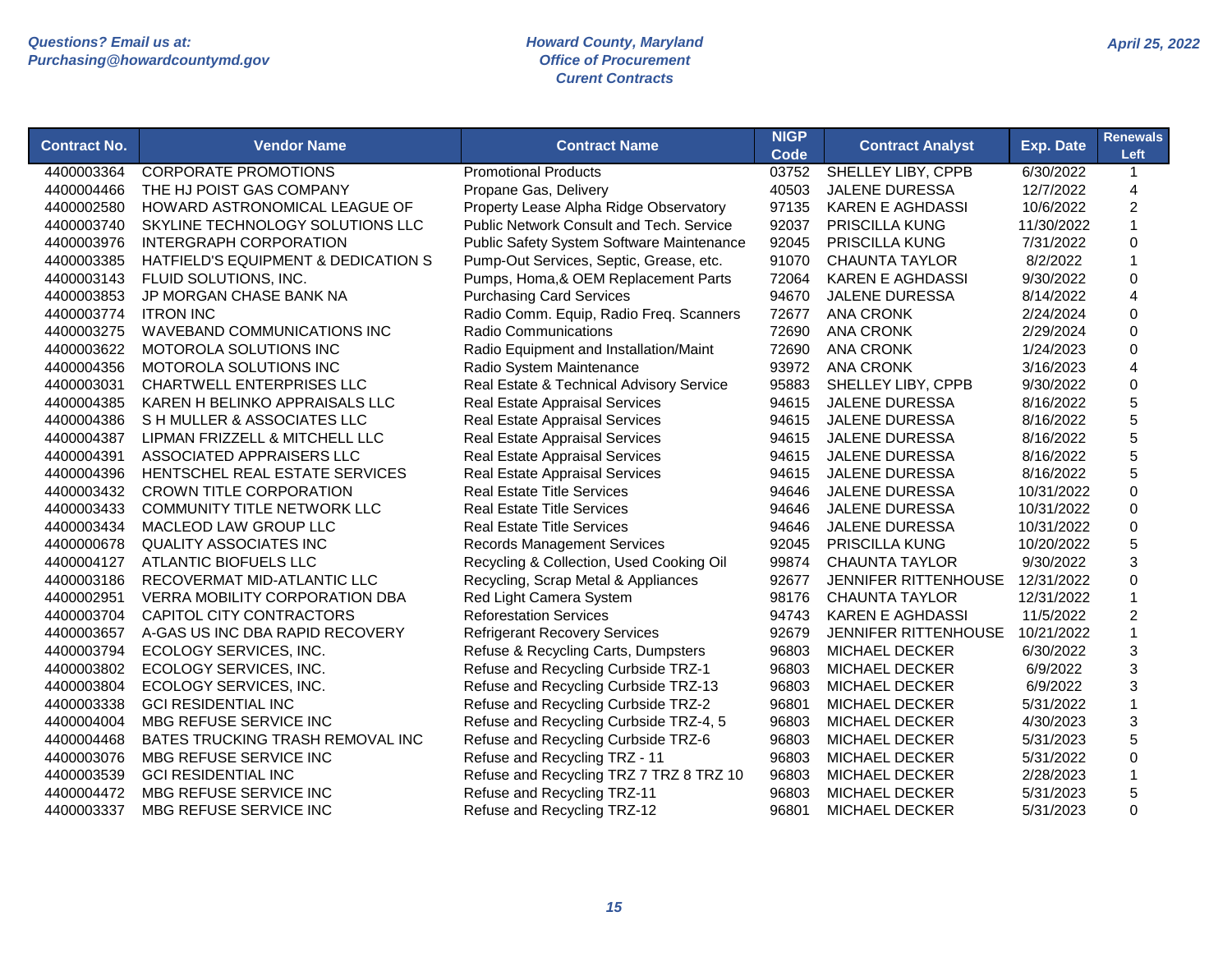| <b>Contract No.</b> | <b>Vendor Name</b>                    | <b>Contract Name</b>                            | <b>NIGP</b><br>Code | <b>Contract Analyst</b>     | <b>Exp. Date</b> | <b>Renewals</b><br>Left   |
|---------------------|---------------------------------------|-------------------------------------------------|---------------------|-----------------------------|------------------|---------------------------|
| 4400003364          | <b>CORPORATE PROMOTIONS</b>           | <b>Promotional Products</b>                     | 03752               | SHELLEY LIBY, CPPB          | 6/30/2022        | $\mathbf{1}$              |
| 4400004466          | THE HJ POIST GAS COMPANY              | Propane Gas, Delivery                           | 40503               | <b>JALENE DURESSA</b>       | 12/7/2022        | $\overline{4}$            |
| 4400002580          | HOWARD ASTRONOMICAL LEAGUE OF         | Property Lease Alpha Ridge Observatory          | 97135               | <b>KAREN E AGHDASSI</b>     | 10/6/2022        | $\overline{c}$            |
| 4400003740          | SKYLINE TECHNOLOGY SOLUTIONS LLC      | <b>Public Network Consult and Tech. Service</b> | 92037               | <b>PRISCILLA KUNG</b>       | 11/30/2022       | $\mathbf{1}$              |
| 4400003976          | <b>INTERGRAPH CORPORATION</b>         | Public Safety System Software Maintenance       | 92045               | <b>PRISCILLA KUNG</b>       | 7/31/2022        | $\mathbf 0$               |
| 4400003385          | HATFIELD'S EQUIPMENT & DEDICATION S   | Pump-Out Services, Septic, Grease, etc.         | 91070               | <b>CHAUNTA TAYLOR</b>       | 8/2/2022         | $\mathbf{1}$              |
| 4400003143          | FLUID SOLUTIONS, INC.                 | Pumps, Homa, & OEM Replacement Parts            | 72064               | <b>KAREN E AGHDASSI</b>     | 9/30/2022        | $\Omega$                  |
| 4400003853          | JP MORGAN CHASE BANK NA               | <b>Purchasing Card Services</b>                 | 94670               | <b>JALENE DURESSA</b>       | 8/14/2022        | $\overline{4}$            |
| 4400003774          | <b>ITRON INC</b>                      | Radio Comm. Equip, Radio Freq. Scanners         | 72677               | <b>ANA CRONK</b>            | 2/24/2024        | $\mathbf 0$               |
| 4400003275          | <b>WAVEBAND COMMUNICATIONS INC</b>    | <b>Radio Communications</b>                     | 72690               | <b>ANA CRONK</b>            | 2/29/2024        | $\mathsf 0$               |
| 4400003622          | MOTOROLA SOLUTIONS INC                | Radio Equipment and Installation/Maint          | 72690               | <b>ANA CRONK</b>            | 1/24/2023        | $\mathbf 0$               |
| 4400004356          | MOTOROLA SOLUTIONS INC                | Radio System Maintenance                        | 93972               | <b>ANA CRONK</b>            | 3/16/2023        | 4                         |
| 4400003031          | <b>CHARTWELL ENTERPRISES LLC</b>      | Real Estate & Technical Advisory Service        | 95883               | SHELLEY LIBY, CPPB          | 9/30/2022        | $\mathbf 0$               |
| 4400004385          | KAREN H BELINKO APPRAISALS LLC        | <b>Real Estate Appraisal Services</b>           | 94615               | <b>JALENE DURESSA</b>       | 8/16/2022        | 5                         |
| 4400004386          | S H MULLER & ASSOCIATES LLC           | <b>Real Estate Appraisal Services</b>           | 94615               | <b>JALENE DURESSA</b>       | 8/16/2022        | 5                         |
| 4400004387          | LIPMAN FRIZZELL & MITCHELL LLC        | Real Estate Appraisal Services                  | 94615               | <b>JALENE DURESSA</b>       | 8/16/2022        | 5                         |
| 4400004391          | ASSOCIATED APPRAISERS LLC             | <b>Real Estate Appraisal Services</b>           | 94615               | <b>JALENE DURESSA</b>       | 8/16/2022        | 5                         |
| 4400004396          | HENTSCHEL REAL ESTATE SERVICES        | Real Estate Appraisal Services                  | 94615               | JALENE DURESSA              | 8/16/2022        | 5                         |
| 4400003432          | <b>CROWN TITLE CORPORATION</b>        | <b>Real Estate Title Services</b>               | 94646               | <b>JALENE DURESSA</b>       | 10/31/2022       | $\mathsf 0$               |
| 4400003433          | <b>COMMUNITY TITLE NETWORK LLC</b>    | <b>Real Estate Title Services</b>               | 94646               | <b>JALENE DURESSA</b>       | 10/31/2022       | $\mathbf 0$               |
| 4400003434          | MACLEOD LAW GROUP LLC                 | <b>Real Estate Title Services</b>               | 94646               | <b>JALENE DURESSA</b>       | 10/31/2022       | $\mathbf 0$               |
| 4400000678          | <b>QUALITY ASSOCIATES INC</b>         | <b>Records Management Services</b>              | 92045               | PRISCILLA KUNG              | 10/20/2022       | 5                         |
| 4400004127          | <b>ATLANTIC BIOFUELS LLC</b>          | Recycling & Collection, Used Cooking Oil        | 99874               | <b>CHAUNTA TAYLOR</b>       | 9/30/2022        | 3                         |
| 4400003186          | RECOVERMAT MID-ATLANTIC LLC           | Recycling, Scrap Metal & Appliances             | 92677               | JENNIFER RITTENHOUSE        | 12/31/2022       | $\mathbf 0$               |
| 4400002951          | <b>VERRA MOBILITY CORPORATION DBA</b> | Red Light Camera System                         | 98176               | <b>CHAUNTA TAYLOR</b>       | 12/31/2022       | $\mathbf{1}$              |
| 4400003704          | <b>CAPITOL CITY CONTRACTORS</b>       | <b>Reforestation Services</b>                   | 94743               | <b>KAREN E AGHDASSI</b>     | 11/5/2022        | $\overline{2}$            |
| 4400003657          | A-GAS US INC DBA RAPID RECOVERY       | <b>Refrigerant Recovery Services</b>            | 92679               | <b>JENNIFER RITTENHOUSE</b> | 10/21/2022       | $\mathbf{1}$              |
| 4400003794          | ECOLOGY SERVICES, INC.                | Refuse & Recycling Carts, Dumpsters             | 96803               | <b>MICHAEL DECKER</b>       | 6/30/2022        | 3                         |
| 4400003802          | ECOLOGY SERVICES, INC.                | Refuse and Recycling Curbside TRZ-1             | 96803               | <b>MICHAEL DECKER</b>       | 6/9/2022         | $\ensuremath{\mathsf{3}}$ |
| 4400003804          | ECOLOGY SERVICES, INC.                | Refuse and Recycling Curbside TRZ-13            | 96803               | MICHAEL DECKER              | 6/9/2022         | $\ensuremath{\mathsf{3}}$ |
| 4400003338          | <b>GCI RESIDENTIAL INC</b>            | Refuse and Recycling Curbside TRZ-2             | 96801               | <b>MICHAEL DECKER</b>       | 5/31/2022        | $\mathbf{1}$              |
| 4400004004          | MBG REFUSE SERVICE INC                | Refuse and Recycling Curbside TRZ-4, 5          | 96803               | MICHAEL DECKER              | 4/30/2023        | 3                         |
| 4400004468          | BATES TRUCKING TRASH REMOVAL INC      | Refuse and Recycling Curbside TRZ-6             | 96803               | MICHAEL DECKER              | 5/31/2023        | 5                         |
| 4400003076          | MBG REFUSE SERVICE INC                | Refuse and Recycling TRZ - 11                   | 96803               | <b>MICHAEL DECKER</b>       | 5/31/2022        | $\Omega$                  |
| 4400003539          | <b>GCI RESIDENTIAL INC</b>            | Refuse and Recycling TRZ 7 TRZ 8 TRZ 10         | 96803               | <b>MICHAEL DECKER</b>       | 2/28/2023        | $\mathbf{1}$              |
| 4400004472          | MBG REFUSE SERVICE INC                | Refuse and Recycling TRZ-11                     | 96803               | <b>MICHAEL DECKER</b>       | 5/31/2023        | 5                         |
| 4400003337          | MBG REFUSE SERVICE INC                | Refuse and Recycling TRZ-12                     | 96801               | <b>MICHAEL DECKER</b>       | 5/31/2023        | $\Omega$                  |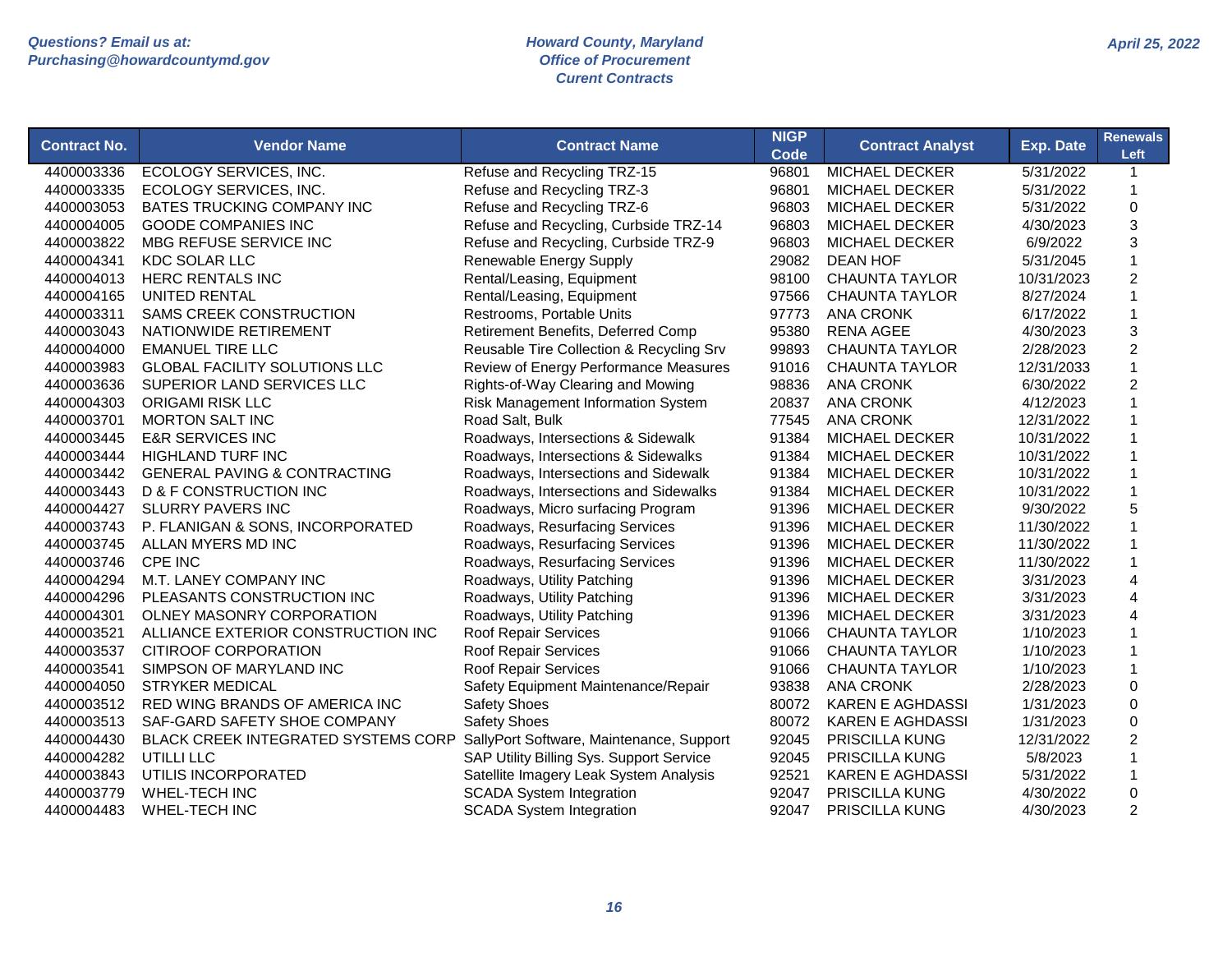| <b>Contract No.</b> | <b>Vendor Name</b>                      | <b>Contract Name</b>                     | <b>NIGP</b>   | <b>Contract Analyst</b> | Exp. Date  | <b>Renewals</b><br>Left |
|---------------------|-----------------------------------------|------------------------------------------|---------------|-------------------------|------------|-------------------------|
| 4400003336          | ECOLOGY SERVICES, INC.                  | Refuse and Recycling TRZ-15              | Code<br>96801 | <b>MICHAEL DECKER</b>   | 5/31/2022  | $\mathbf{1}$            |
| 4400003335          | ECOLOGY SERVICES, INC.                  | Refuse and Recycling TRZ-3               | 96801         | <b>MICHAEL DECKER</b>   | 5/31/2022  | 1                       |
| 4400003053          | BATES TRUCKING COMPANY INC              | Refuse and Recycling TRZ-6               | 96803         | <b>MICHAEL DECKER</b>   | 5/31/2022  | 0                       |
| 4400004005          | <b>GOODE COMPANIES INC</b>              | Refuse and Recycling, Curbside TRZ-14    | 96803         | <b>MICHAEL DECKER</b>   | 4/30/2023  | 3                       |
| 4400003822          | MBG REFUSE SERVICE INC                  | Refuse and Recycling, Curbside TRZ-9     | 96803         | <b>MICHAEL DECKER</b>   | 6/9/2022   | 3                       |
| 4400004341          | <b>KDC SOLAR LLC</b>                    | Renewable Energy Supply                  | 29082         | <b>DEAN HOF</b>         | 5/31/2045  | 1                       |
| 4400004013          | <b>HERC RENTALS INC</b>                 | Rental/Leasing, Equipment                | 98100         | <b>CHAUNTA TAYLOR</b>   | 10/31/2023 | $\overline{c}$          |
| 4400004165          | <b>UNITED RENTAL</b>                    | Rental/Leasing, Equipment                | 97566         | <b>CHAUNTA TAYLOR</b>   | 8/27/2024  | 1                       |
| 4400003311          | <b>SAMS CREEK CONSTRUCTION</b>          | Restrooms, Portable Units                | 97773         | <b>ANA CRONK</b>        | 6/17/2022  | 1                       |
| 4400003043          | NATIONWIDE RETIREMENT                   | Retirement Benefits, Deferred Comp       | 95380         | <b>RENA AGEE</b>        | 4/30/2023  | 3                       |
| 4400004000          | <b>EMANUEL TIRE LLC</b>                 | Reusable Tire Collection & Recycling Srv | 99893         | <b>CHAUNTA TAYLOR</b>   | 2/28/2023  | $\overline{c}$          |
| 4400003983          | <b>GLOBAL FACILITY SOLUTIONS LLC</b>    | Review of Energy Performance Measures    | 91016         | <b>CHAUNTA TAYLOR</b>   | 12/31/2033 | 1                       |
| 4400003636          | SUPERIOR LAND SERVICES LLC              | Rights-of-Way Clearing and Mowing        | 98836         | <b>ANA CRONK</b>        | 6/30/2022  | 2                       |
| 4400004303          | <b>ORIGAMI RISK LLC</b>                 | Risk Management Information System       | 20837         | <b>ANA CRONK</b>        | 4/12/2023  |                         |
| 4400003701          | <b>MORTON SALT INC</b>                  | Road Salt, Bulk                          | 77545         | <b>ANA CRONK</b>        | 12/31/2022 |                         |
| 4400003445          | <b>E&amp;R SERVICES INC</b>             | Roadways, Intersections & Sidewalk       | 91384         | <b>MICHAEL DECKER</b>   | 10/31/2022 | 1                       |
| 4400003444          | <b>HIGHLAND TURF INC</b>                | Roadways, Intersections & Sidewalks      | 91384         | <b>MICHAEL DECKER</b>   | 10/31/2022 | 1                       |
| 4400003442          | <b>GENERAL PAVING &amp; CONTRACTING</b> | Roadways, Intersections and Sidewalk     | 91384         | MICHAEL DECKER          | 10/31/2022 | 1                       |
| 4400003443          | <b>D &amp; F CONSTRUCTION INC</b>       | Roadways, Intersections and Sidewalks    | 91384         | <b>MICHAEL DECKER</b>   | 10/31/2022 | 1                       |
| 4400004427          | <b>SLURRY PAVERS INC</b>                | Roadways, Micro surfacing Program        | 91396         | <b>MICHAEL DECKER</b>   | 9/30/2022  | 5                       |
| 4400003743          | P. FLANIGAN & SONS, INCORPORATED        | Roadways, Resurfacing Services           | 91396         | <b>MICHAEL DECKER</b>   | 11/30/2022 |                         |
| 4400003745          | ALLAN MYERS MD INC                      | Roadways, Resurfacing Services           | 91396         | <b>MICHAEL DECKER</b>   | 11/30/2022 |                         |
| 4400003746          | CPE INC                                 | Roadways, Resurfacing Services           | 91396         | <b>MICHAEL DECKER</b>   | 11/30/2022 |                         |
| 4400004294          | M.T. LANEY COMPANY INC                  | Roadways, Utility Patching               | 91396         | <b>MICHAEL DECKER</b>   | 3/31/2023  | 4                       |
| 4400004296          | PLEASANTS CONSTRUCTION INC              | Roadways, Utility Patching               | 91396         | <b>MICHAEL DECKER</b>   | 3/31/2023  | 4                       |
| 4400004301          | OLNEY MASONRY CORPORATION               | Roadways, Utility Patching               | 91396         | <b>MICHAEL DECKER</b>   | 3/31/2023  | 4                       |
| 4400003521          | ALLIANCE EXTERIOR CONSTRUCTION INC      | <b>Roof Repair Services</b>              | 91066         | <b>CHAUNTA TAYLOR</b>   | 1/10/2023  | 1                       |
| 4400003537          | CITIROOF CORPORATION                    | <b>Roof Repair Services</b>              | 91066         | <b>CHAUNTA TAYLOR</b>   | 1/10/2023  | 1                       |
| 4400003541          | SIMPSON OF MARYLAND INC                 | <b>Roof Repair Services</b>              | 91066         | <b>CHAUNTA TAYLOR</b>   | 1/10/2023  |                         |
| 4400004050          | <b>STRYKER MEDICAL</b>                  | Safety Equipment Maintenance/Repair      | 93838         | <b>ANA CRONK</b>        | 2/28/2023  | $\mathbf 0$             |
| 4400003512          | RED WING BRANDS OF AMERICA INC          | <b>Safety Shoes</b>                      | 80072         | <b>KAREN E AGHDASSI</b> | 1/31/2023  | $\Omega$                |
| 4400003513          | SAF-GARD SAFETY SHOE COMPANY            | <b>Safety Shoes</b>                      | 80072         | <b>KAREN E AGHDASSI</b> | 1/31/2023  | $\mathbf 0$             |
| 4400004430          | BLACK CREEK INTEGRATED SYSTEMS CORP     | SallyPort Software, Maintenance, Support | 92045         | PRISCILLA KUNG          | 12/31/2022 | $\overline{2}$          |
| 4400004282          | UTILLI LLC                              | SAP Utility Billing Sys. Support Service | 92045         | PRISCILLA KUNG          | 5/8/2023   |                         |
| 4400003843          | UTILIS INCORPORATED                     | Satellite Imagery Leak System Analysis   | 92521         | <b>KAREN E AGHDASSI</b> | 5/31/2022  | 1                       |
| 4400003779          | <b>WHEL-TECH INC</b>                    | <b>SCADA System Integration</b>          | 92047         | PRISCILLA KUNG          | 4/30/2022  | $\Omega$                |
| 4400004483          | <b>WHEL-TECH INC</b>                    | <b>SCADA System Integration</b>          | 92047         | PRISCILLA KUNG          | 4/30/2023  | $\overline{2}$          |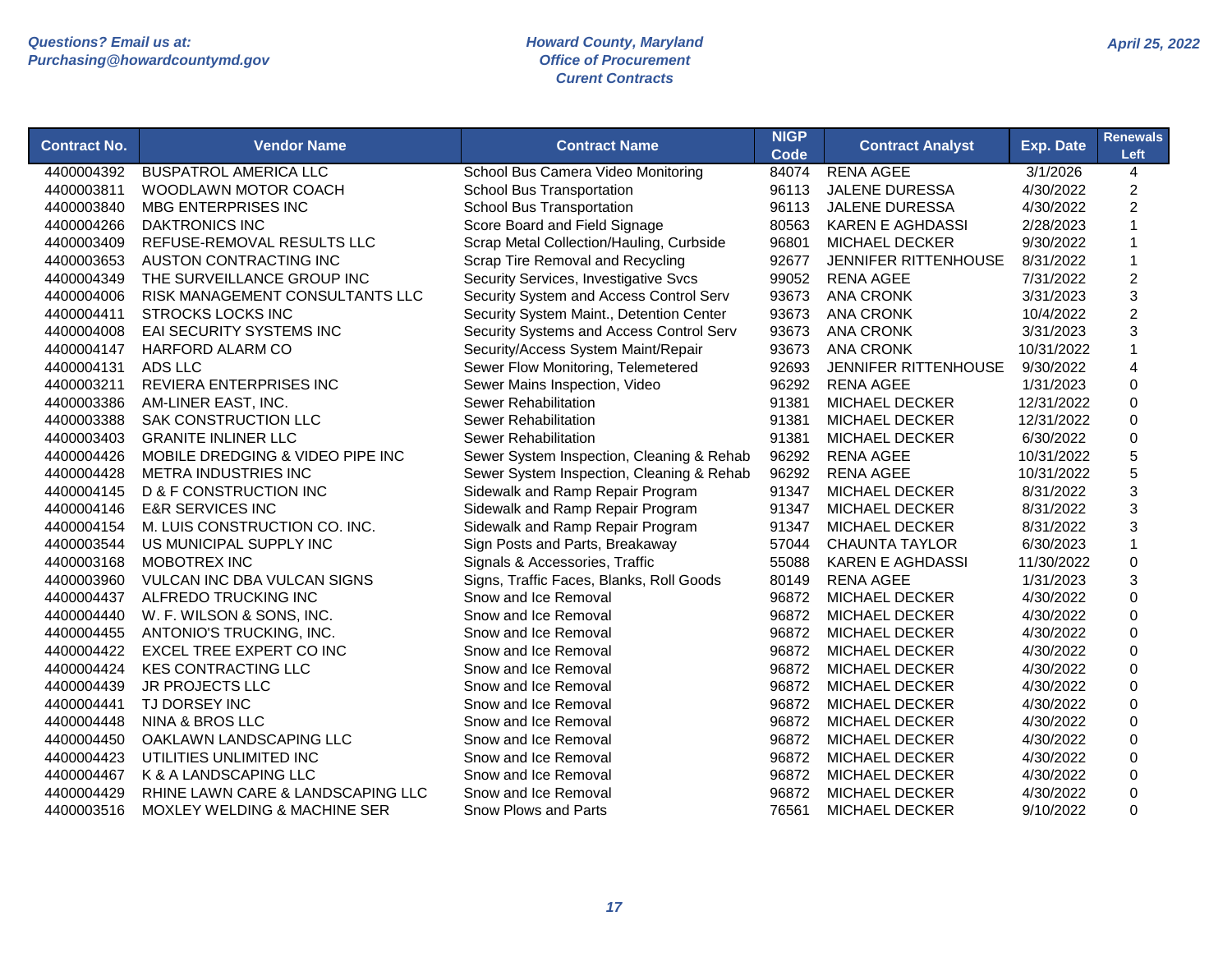| <b>Contract No.</b> | <b>Vendor Name</b>                      | <b>Contract Name</b>                      | <b>NIGP</b><br><b>Code</b> | <b>Contract Analyst</b>     | <b>Exp. Date</b> | <b>Renewals</b><br>Left   |
|---------------------|-----------------------------------------|-------------------------------------------|----------------------------|-----------------------------|------------------|---------------------------|
| 4400004392          | <b>BUSPATROL AMERICA LLC</b>            | School Bus Camera Video Monitoring        | 84074                      | <b>RENA AGEE</b>            | 3/1/2026         | 4                         |
| 4400003811          | WOODLAWN MOTOR COACH                    | School Bus Transportation                 | 96113                      | <b>JALENE DURESSA</b>       | 4/30/2022        | $\overline{c}$            |
| 4400003840          | MBG ENTERPRISES INC                     | <b>School Bus Transportation</b>          | 96113                      | <b>JALENE DURESSA</b>       | 4/30/2022        | $\overline{c}$            |
| 4400004266          | <b>DAKTRONICS INC</b>                   | Score Board and Field Signage             | 80563                      | <b>KAREN E AGHDASSI</b>     | 2/28/2023        | $\mathbf{1}$              |
| 4400003409          | REFUSE-REMOVAL RESULTS LLC              | Scrap Metal Collection/Hauling, Curbside  | 96801                      | <b>MICHAEL DECKER</b>       | 9/30/2022        | $\mathbf 1$               |
| 4400003653          | AUSTON CONTRACTING INC                  | Scrap Tire Removal and Recycling          | 92677                      | <b>JENNIFER RITTENHOUSE</b> | 8/31/2022        | $\mathbf{1}$              |
| 4400004349          | THE SURVEILLANCE GROUP INC              | Security Services, Investigative Svcs     | 99052                      | <b>RENA AGEE</b>            | 7/31/2022        | $\overline{c}$            |
| 4400004006          | RISK MANAGEMENT CONSULTANTS LLC         | Security System and Access Control Serv   | 93673                      | <b>ANA CRONK</b>            | 3/31/2023        | 3                         |
| 4400004411          | <b>STROCKS LOCKS INC</b>                | Security System Maint., Detention Center  | 93673                      | <b>ANA CRONK</b>            | 10/4/2022        | $\overline{c}$            |
| 4400004008          | <b>EAI SECURITY SYSTEMS INC</b>         | Security Systems and Access Control Serv  | 93673                      | <b>ANA CRONK</b>            | 3/31/2023        | 3                         |
| 4400004147          | <b>HARFORD ALARM CO</b>                 | Security/Access System Maint/Repair       | 93673                      | <b>ANA CRONK</b>            | 10/31/2022       | $\mathbf{1}$              |
| 4400004131          | ADS LLC                                 | Sewer Flow Monitoring, Telemetered        | 92693                      | <b>JENNIFER RITTENHOUSE</b> | 9/30/2022        | $\overline{4}$            |
| 4400003211          | <b>REVIERA ENTERPRISES INC</b>          | Sewer Mains Inspection, Video             | 96292                      | <b>RENA AGEE</b>            | 1/31/2023        | 0                         |
| 4400003386          | AM-LINER EAST, INC.                     | Sewer Rehabilitation                      | 91381                      | <b>MICHAEL DECKER</b>       | 12/31/2022       | $\mathbf 0$               |
| 4400003388          | <b>SAK CONSTRUCTION LLC</b>             | Sewer Rehabilitation                      | 91381                      | <b>MICHAEL DECKER</b>       | 12/31/2022       | $\overline{0}$            |
| 4400003403          | <b>GRANITE INLINER LLC</b>              | Sewer Rehabilitation                      | 91381                      | <b>MICHAEL DECKER</b>       | 6/30/2022        | $\Omega$                  |
| 4400004426          | MOBILE DREDGING & VIDEO PIPE INC        | Sewer System Inspection, Cleaning & Rehab | 96292                      | <b>RENA AGEE</b>            | 10/31/2022       | 5                         |
| 4400004428          | METRA INDUSTRIES INC                    | Sewer System Inspection, Cleaning & Rehab | 96292                      | <b>RENA AGEE</b>            | 10/31/2022       | 5                         |
| 4400004145          | <b>D &amp; F CONSTRUCTION INC</b>       | Sidewalk and Ramp Repair Program          | 91347                      | <b>MICHAEL DECKER</b>       | 8/31/2022        | 3                         |
| 4400004146          | <b>E&amp;R SERVICES INC</b>             | Sidewalk and Ramp Repair Program          | 91347                      | MICHAEL DECKER              | 8/31/2022        | $\ensuremath{\mathsf{3}}$ |
| 4400004154          | M. LUIS CONSTRUCTION CO. INC.           | Sidewalk and Ramp Repair Program          | 91347                      | MICHAEL DECKER              | 8/31/2022        | 3                         |
| 4400003544          | US MUNICIPAL SUPPLY INC                 | Sign Posts and Parts, Breakaway           | 57044                      | <b>CHAUNTA TAYLOR</b>       | 6/30/2023        | $\mathbf{1}$              |
| 4400003168          | MOBOTREX INC                            | Signals & Accessories, Traffic            | 55088                      | <b>KAREN E AGHDASSI</b>     | 11/30/2022       | $\mathsf 0$               |
| 4400003960          | <b>VULCAN INC DBA VULCAN SIGNS</b>      | Signs, Traffic Faces, Blanks, Roll Goods  | 80149                      | <b>RENA AGEE</b>            | 1/31/2023        | 3                         |
| 4400004437          | ALFREDO TRUCKING INC                    | Snow and Ice Removal                      | 96872                      | <b>MICHAEL DECKER</b>       | 4/30/2022        | $\Omega$                  |
| 4400004440          | W. F. WILSON & SONS, INC.               | Snow and Ice Removal                      | 96872                      | <b>MICHAEL DECKER</b>       | 4/30/2022        | $\Omega$                  |
| 4400004455          | ANTONIO'S TRUCKING, INC.                | Snow and Ice Removal                      | 96872                      | MICHAEL DECKER              | 4/30/2022        | 0                         |
| 4400004422          | EXCEL TREE EXPERT CO INC                | Snow and Ice Removal                      | 96872                      | MICHAEL DECKER              | 4/30/2022        | $\mathsf 0$               |
| 4400004424          | <b>KES CONTRACTING LLC</b>              | Snow and Ice Removal                      | 96872                      | <b>MICHAEL DECKER</b>       | 4/30/2022        | $\mathbf 0$               |
| 4400004439          | <b>JR PROJECTS LLC</b>                  | Snow and Ice Removal                      | 96872                      | <b>MICHAEL DECKER</b>       | 4/30/2022        | 0                         |
| 4400004441          | TJ DORSEY INC                           | Snow and Ice Removal                      | 96872                      | <b>MICHAEL DECKER</b>       | 4/30/2022        | $\mathbf 0$               |
| 4400004448          | <b>NINA &amp; BROS LLC</b>              | Snow and Ice Removal                      | 96872                      | <b>MICHAEL DECKER</b>       | 4/30/2022        | 0                         |
| 4400004450          | OAKLAWN LANDSCAPING LLC                 | Snow and Ice Removal                      | 96872                      | <b>MICHAEL DECKER</b>       | 4/30/2022        | 0                         |
| 4400004423          | UTILITIES UNLIMITED INC                 | Snow and Ice Removal                      | 96872                      | <b>MICHAEL DECKER</b>       | 4/30/2022        | $\mathbf 0$               |
| 4400004467          | K & A LANDSCAPING LLC                   | Snow and Ice Removal                      | 96872                      | <b>MICHAEL DECKER</b>       | 4/30/2022        | $\Omega$                  |
| 4400004429          | RHINE LAWN CARE & LANDSCAPING LLC       | Snow and Ice Removal                      | 96872                      | <b>MICHAEL DECKER</b>       | 4/30/2022        | $\Omega$                  |
| 4400003516          | <b>MOXLEY WELDING &amp; MACHINE SER</b> | Snow Plows and Parts                      | 76561                      | <b>MICHAEL DECKER</b>       | 9/10/2022        | $\Omega$                  |
|                     |                                         |                                           |                            |                             |                  |                           |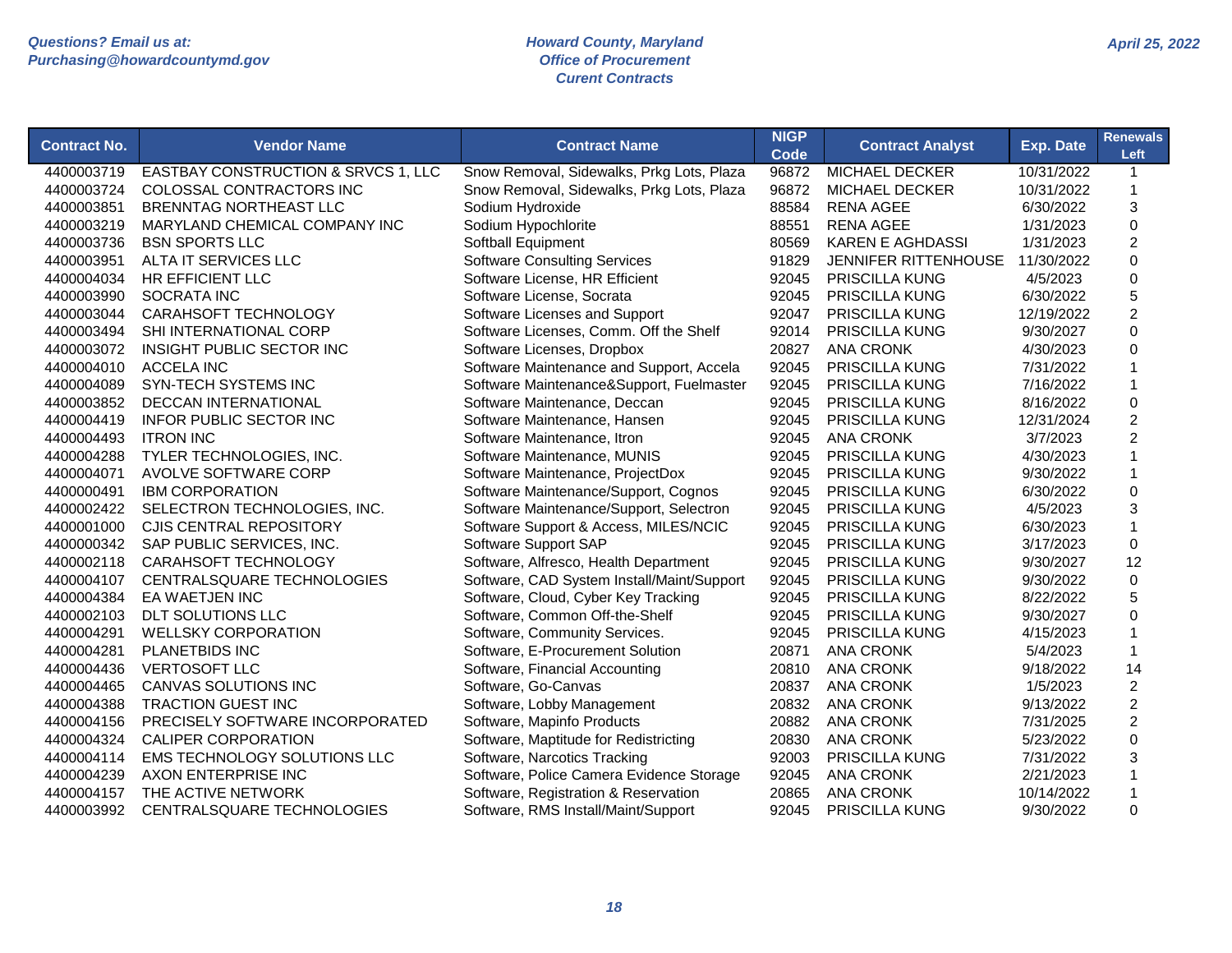#### *Howard County, Maryland Office of Procurement Curent Contracts*

| <b>Contract No.</b> | <b>Vendor Name</b>                  | <b>Contract Name</b>                       | <b>NIGP</b> | <b>Contract Analyst</b> | <b>Exp. Date</b> | <b>Renewals</b> |
|---------------------|-------------------------------------|--------------------------------------------|-------------|-------------------------|------------------|-----------------|
|                     |                                     |                                            | Code        |                         |                  | Left            |
| 4400003719          | EASTBAY CONSTRUCTION & SRVCS 1, LLC | Snow Removal, Sidewalks, Prkg Lots, Plaza  | 96872       | <b>MICHAEL DECKER</b>   | 10/31/2022       |                 |
| 4400003724          | COLOSSAL CONTRACTORS INC            | Snow Removal, Sidewalks, Prkg Lots, Plaza  | 96872       | <b>MICHAEL DECKER</b>   | 10/31/2022       |                 |
| 4400003851          | BRENNTAG NORTHEAST LLC              | Sodium Hydroxide                           | 88584       | <b>RENA AGEE</b>        | 6/30/2022        | 3               |
| 4400003219          | MARYLAND CHEMICAL COMPANY INC       | Sodium Hypochlorite                        | 88551       | <b>RENA AGEE</b>        | 1/31/2023        | $\mathbf 0$     |
| 4400003736          | <b>BSN SPORTS LLC</b>               | Softball Equipment                         | 80569       | <b>KAREN E AGHDASSI</b> | 1/31/2023        | $\overline{c}$  |
| 4400003951          | ALTA IT SERVICES LLC                | <b>Software Consulting Services</b>        | 91829       | JENNIFER RITTENHOUSE    | 11/30/2022       | $\mathbf 0$     |
| 4400004034          | HR EFFICIENT LLC                    | Software License, HR Efficient             | 92045       | PRISCILLA KUNG          | 4/5/2023         | 0               |
| 4400003990          | SOCRATA INC                         | Software License, Socrata                  | 92045       | PRISCILLA KUNG          | 6/30/2022        | 5               |
| 4400003044          | CARAHSOFT TECHNOLOGY                | Software Licenses and Support              | 92047       | PRISCILLA KUNG          | 12/19/2022       | $\overline{c}$  |
| 4400003494          | SHI INTERNATIONAL CORP              | Software Licenses, Comm. Off the Shelf     | 92014       | PRISCILLA KUNG          | 9/30/2027        | $\Omega$        |
| 4400003072          | INSIGHT PUBLIC SECTOR INC           | Software Licenses, Dropbox                 | 20827       | <b>ANA CRONK</b>        | 4/30/2023        | $\Omega$        |
| 4400004010          | <b>ACCELA INC</b>                   | Software Maintenance and Support, Accela   | 92045       | <b>PRISCILLA KUNG</b>   | 7/31/2022        |                 |
| 4400004089          | SYN-TECH SYSTEMS INC                | Software Maintenance&Support, Fuelmaster   | 92045       | PRISCILLA KUNG          | 7/16/2022        |                 |
| 4400003852          | <b>DECCAN INTERNATIONAL</b>         | Software Maintenance, Deccan               | 92045       | PRISCILLA KUNG          | 8/16/2022        | $\mathbf 0$     |
| 4400004419          | <b>INFOR PUBLIC SECTOR INC</b>      | Software Maintenance, Hansen               | 92045       | <b>PRISCILLA KUNG</b>   | 12/31/2024       | $\overline{c}$  |
| 4400004493          | <b>ITRON INC</b>                    | Software Maintenance, Itron                | 92045       | <b>ANA CRONK</b>        | 3/7/2023         | $\overline{c}$  |
| 4400004288          | TYLER TECHNOLOGIES, INC.            | Software Maintenance, MUNIS                | 92045       | PRISCILLA KUNG          | 4/30/2023        |                 |
| 4400004071          | AVOLVE SOFTWARE CORP                | Software Maintenance, ProjectDox           | 92045       | PRISCILLA KUNG          | 9/30/2022        |                 |
| 4400000491          | <b>IBM CORPORATION</b>              | Software Maintenance/Support, Cognos       | 92045       | PRISCILLA KUNG          | 6/30/2022        | $\Omega$        |
| 4400002422          | SELECTRON TECHNOLOGIES, INC.        | Software Maintenance/Support, Selectron    | 92045       | PRISCILLA KUNG          | 4/5/2023         | 3               |
| 4400001000          | <b>CJIS CENTRAL REPOSITORY</b>      | Software Support & Access, MILES/NCIC      | 92045       | <b>PRISCILLA KUNG</b>   | 6/30/2023        | $\mathbf{1}$    |
| 4400000342          | SAP PUBLIC SERVICES, INC.           | Software Support SAP                       | 92045       | PRISCILLA KUNG          | 3/17/2023        | 0               |
| 4400002118          | CARAHSOFT TECHNOLOGY                | Software, Alfresco, Health Department      | 92045       | PRISCILLA KUNG          | 9/30/2027        | 12              |
| 4400004107          | CENTRALSQUARE TECHNOLOGIES          | Software, CAD System Install/Maint/Support | 92045       | <b>PRISCILLA KUNG</b>   | 9/30/2022        | 0               |
| 4400004384          | EA WAETJEN INC                      | Software, Cloud, Cyber Key Tracking        | 92045       | PRISCILLA KUNG          | 8/22/2022        | 5               |
| 4400002103          | DLT SOLUTIONS LLC                   | Software, Common Off-the-Shelf             | 92045       | PRISCILLA KUNG          | 9/30/2027        | $\Omega$        |
| 4400004291          | <b>WELLSKY CORPORATION</b>          | Software, Community Services.              | 92045       | <b>PRISCILLA KUNG</b>   | 4/15/2023        |                 |
| 4400004281          | PLANETBIDS INC                      | Software, E-Procurement Solution           | 20871       | <b>ANA CRONK</b>        | 5/4/2023         | $\mathbf 1$     |
| 4400004436          | <b>VERTOSOFT LLC</b>                | Software, Financial Accounting             | 20810       | <b>ANA CRONK</b>        | 9/18/2022        | 14              |
| 4400004465          | CANVAS SOLUTIONS INC                | Software, Go-Canvas                        | 20837       | <b>ANA CRONK</b>        | 1/5/2023         | $\overline{2}$  |
| 4400004388          | TRACTION GUEST INC                  | Software, Lobby Management                 | 20832       | <b>ANA CRONK</b>        | 9/13/2022        | $\overline{c}$  |
| 4400004156          | PRECISELY SOFTWARE INCORPORATED     | Software, Mapinfo Products                 | 20882       | <b>ANA CRONK</b>        | 7/31/2025        | $\overline{2}$  |
| 4400004324          | <b>CALIPER CORPORATION</b>          | Software, Maptitude for Redistricting      | 20830       | <b>ANA CRONK</b>        | 5/23/2022        | $\Omega$        |

4400004114 EMS TECHNOLOGY SOLUTIONS LLC Software, Narcotics Tracking 92003 PRISCILLA KUNG 7/31/2022 3 4400004239 AXON ENTERPRISE INC Software, Police Camera Evidence Storage 92045 ANA CRONK 2/21/2023 1 4400004157 THE ACTIVE NETWORK Software, Registration & Reservation 20865 ANA CRONK 10/14/2022 1 4400003992 CENTRALSQUARE TECHNOLOGIES Software, RMS Install/Maint/Support 92045 PRISCILLA KUNG 9/30/2022 0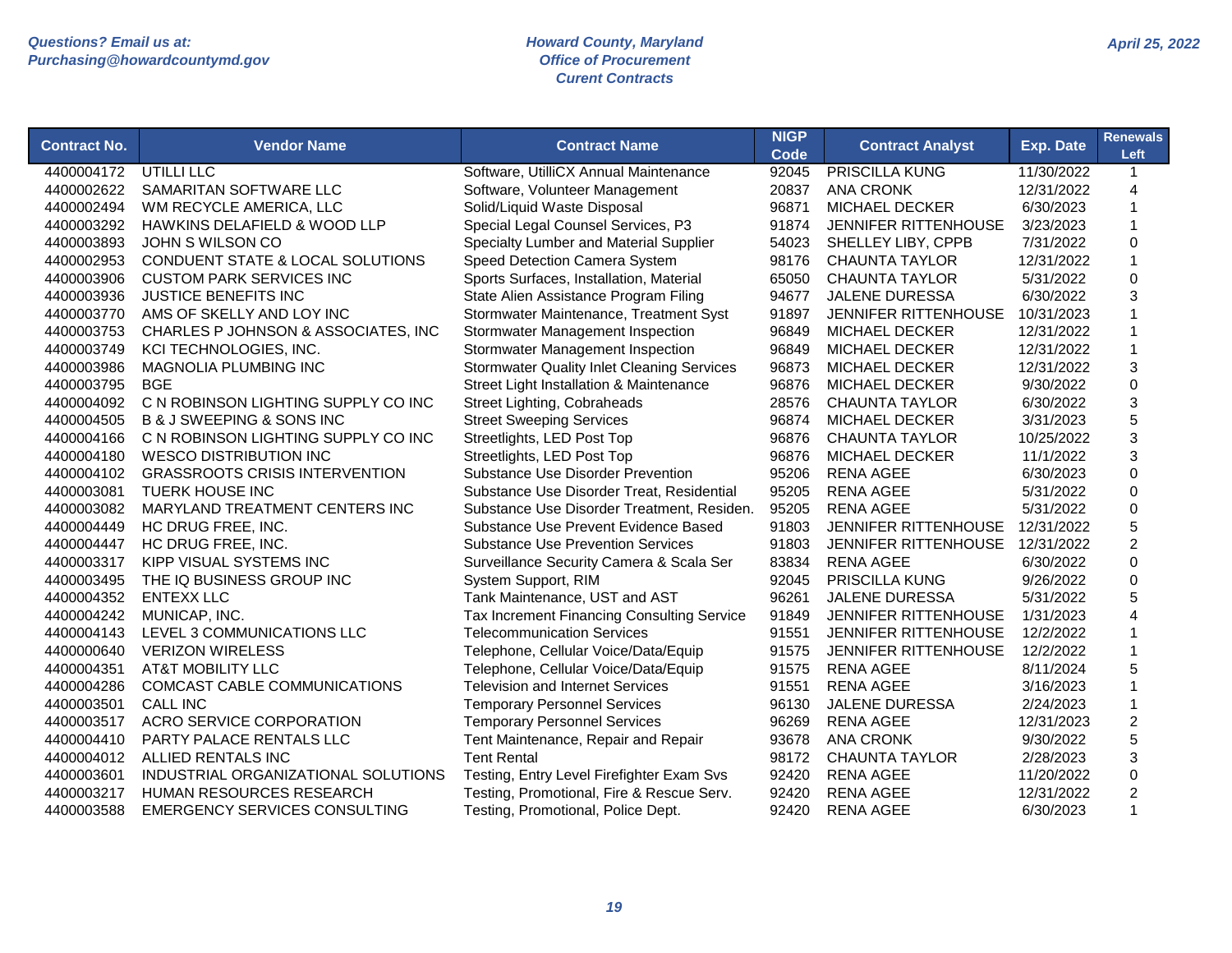| <b>Contract No.</b> | <b>Vendor Name</b>                       | <b>Contract Name</b>                              | <b>NIGP</b><br><b>Code</b> | <b>Contract Analyst</b>     | <b>Exp. Date</b> | <b>Renewals</b><br>Left   |
|---------------------|------------------------------------------|---------------------------------------------------|----------------------------|-----------------------------|------------------|---------------------------|
| 4400004172          | UTILLI LLC                               | Software, UtilliCX Annual Maintenance             | 92045                      | <b>PRISCILLA KUNG</b>       | 11/30/2022       | $\mathbf{1}$              |
| 4400002622          | SAMARITAN SOFTWARE LLC                   | Software, Volunteer Management                    | 20837                      | <b>ANA CRONK</b>            | 12/31/2022       | $\overline{4}$            |
| 4400002494          | WM RECYCLE AMERICA, LLC                  | Solid/Liquid Waste Disposal                       | 96871                      | <b>MICHAEL DECKER</b>       | 6/30/2023        | $\mathbf{1}$              |
| 4400003292          | HAWKINS DELAFIELD & WOOD LLP             | Special Legal Counsel Services, P3                | 91874                      | <b>JENNIFER RITTENHOUSE</b> | 3/23/2023        | $\mathbf{1}$              |
| 4400003893          | JOHN S WILSON CO                         | Specialty Lumber and Material Supplier            | 54023                      | SHELLEY LIBY, CPPB          | 7/31/2022        | $\mathsf 0$               |
| 4400002953          | CONDUENT STATE & LOCAL SOLUTIONS         | Speed Detection Camera System                     | 98176                      | <b>CHAUNTA TAYLOR</b>       | 12/31/2022       | $\mathbf{1}$              |
| 4400003906          | <b>CUSTOM PARK SERVICES INC</b>          | Sports Surfaces, Installation, Material           | 65050                      | <b>CHAUNTA TAYLOR</b>       | 5/31/2022        | $\mathbf 0$               |
| 4400003936          | <b>JUSTICE BENEFITS INC</b>              | State Alien Assistance Program Filing             | 94677                      | JALENE DURESSA              | 6/30/2022        | 3                         |
| 4400003770          | AMS OF SKELLY AND LOY INC                | Stormwater Maintenance, Treatment Syst            | 91897                      | <b>JENNIFER RITTENHOUSE</b> | 10/31/2023       | 1                         |
| 4400003753          | CHARLES P JOHNSON & ASSOCIATES, INC      | Stormwater Management Inspection                  | 96849                      | <b>MICHAEL DECKER</b>       | 12/31/2022       | $\mathbf{1}$              |
| 4400003749          | KCI TECHNOLOGIES, INC.                   | Stormwater Management Inspection                  | 96849                      | <b>MICHAEL DECKER</b>       | 12/31/2022       | $\mathbf{1}$              |
| 4400003986          | MAGNOLIA PLUMBING INC                    | <b>Stormwater Quality Inlet Cleaning Services</b> | 96873                      | <b>MICHAEL DECKER</b>       | 12/31/2022       | $\ensuremath{\mathsf{3}}$ |
| 4400003795          | <b>BGE</b>                               | Street Light Installation & Maintenance           | 96876                      | <b>MICHAEL DECKER</b>       | 9/30/2022        | $\mathbf 0$               |
| 4400004092          | C N ROBINSON LIGHTING SUPPLY CO INC      | Street Lighting, Cobraheads                       | 28576                      | <b>CHAUNTA TAYLOR</b>       | 6/30/2022        | 3                         |
| 4400004505          | <b>B &amp; J SWEEPING &amp; SONS INC</b> | <b>Street Sweeping Services</b>                   | 96874                      | MICHAEL DECKER              | 3/31/2023        | 5                         |
| 4400004166          | C N ROBINSON LIGHTING SUPPLY CO INC      | Streetlights, LED Post Top                        | 96876                      | <b>CHAUNTA TAYLOR</b>       | 10/25/2022       | 3                         |
| 4400004180          | <b>WESCO DISTRIBUTION INC</b>            | Streetlights, LED Post Top                        | 96876                      | <b>MICHAEL DECKER</b>       | 11/1/2022        | 3                         |
| 4400004102          | <b>GRASSROOTS CRISIS INTERVENTION</b>    | Substance Use Disorder Prevention                 | 95206                      | <b>RENA AGEE</b>            | 6/30/2023        | $\Omega$                  |
| 4400003081          | <b>TUERK HOUSE INC</b>                   | Substance Use Disorder Treat, Residential         | 95205                      | <b>RENA AGEE</b>            | 5/31/2022        | $\Omega$                  |
| 4400003082          | MARYLAND TREATMENT CENTERS INC           | Substance Use Disorder Treatment, Residen.        | 95205                      | <b>RENA AGEE</b>            | 5/31/2022        | $\mathsf 0$               |
| 4400004449          | HC DRUG FREE, INC.                       | Substance Use Prevent Evidence Based              | 91803                      | <b>JENNIFER RITTENHOUSE</b> | 12/31/2022       | 5                         |
| 4400004447          | HC DRUG FREE, INC.                       | <b>Substance Use Prevention Services</b>          | 91803                      | <b>JENNIFER RITTENHOUSE</b> | 12/31/2022       | $\overline{c}$            |
| 4400003317          | KIPP VISUAL SYSTEMS INC                  | Surveillance Security Camera & Scala Ser          | 83834                      | <b>RENA AGEE</b>            | 6/30/2022        | $\mathbf 0$               |
| 4400003495          | THE IQ BUSINESS GROUP INC                | System Support, RIM                               | 92045                      | PRISCILLA KUNG              | 9/26/2022        | $\mathbf 0$               |
| 4400004352          | <b>ENTEXX LLC</b>                        | Tank Maintenance, UST and AST                     | 96261                      | <b>JALENE DURESSA</b>       | 5/31/2022        | 5                         |
| 4400004242          | MUNICAP, INC.                            | Tax Increment Financing Consulting Service        | 91849                      | JENNIFER RITTENHOUSE        | 1/31/2023        | $\overline{4}$            |
| 4400004143          | LEVEL 3 COMMUNICATIONS LLC               | <b>Telecommunication Services</b>                 | 91551                      | <b>JENNIFER RITTENHOUSE</b> | 12/2/2022        | 1                         |
| 4400000640          | <b>VERIZON WIRELESS</b>                  | Telephone, Cellular Voice/Data/Equip              | 91575                      | <b>JENNIFER RITTENHOUSE</b> | 12/2/2022        | $\mathbf{1}$              |
| 4400004351          | <b>AT&amp;T MOBILITY LLC</b>             | Telephone, Cellular Voice/Data/Equip              | 91575                      | <b>RENA AGEE</b>            | 8/11/2024        | 5                         |
| 4400004286          | COMCAST CABLE COMMUNICATIONS             | <b>Television and Internet Services</b>           | 91551                      | <b>RENA AGEE</b>            | 3/16/2023        | $\mathbf{1}$              |
| 4400003501          | <b>CALL INC</b>                          | <b>Temporary Personnel Services</b>               | 96130                      | <b>JALENE DURESSA</b>       | 2/24/2023        | $\mathbf{1}$              |
| 4400003517          | ACRO SERVICE CORPORATION                 | <b>Temporary Personnel Services</b>               | 96269                      | <b>RENA AGEE</b>            | 12/31/2023       | $\boldsymbol{2}$          |
| 4400004410          | PARTY PALACE RENTALS LLC                 | Tent Maintenance, Repair and Repair               | 93678                      | <b>ANA CRONK</b>            | 9/30/2022        | 5                         |
| 4400004012          | ALLIED RENTALS INC                       | <b>Tent Rental</b>                                | 98172                      | <b>CHAUNTA TAYLOR</b>       | 2/28/2023        | 3                         |
| 4400003601          | INDUSTRIAL ORGANIZATIONAL SOLUTIONS      | Testing, Entry Level Firefighter Exam Svs         | 92420                      | <b>RENA AGEE</b>            | 11/20/2022       | 0                         |
| 4400003217          | HUMAN RESOURCES RESEARCH                 | Testing, Promotional, Fire & Rescue Serv.         | 92420                      | <b>RENA AGEE</b>            | 12/31/2022       | $\overline{c}$            |
| 4400003588          | <b>EMERGENCY SERVICES CONSULTING</b>     | Testing, Promotional, Police Dept.                | 92420                      | <b>RENA AGEE</b>            | 6/30/2023        | $\mathbf{1}$              |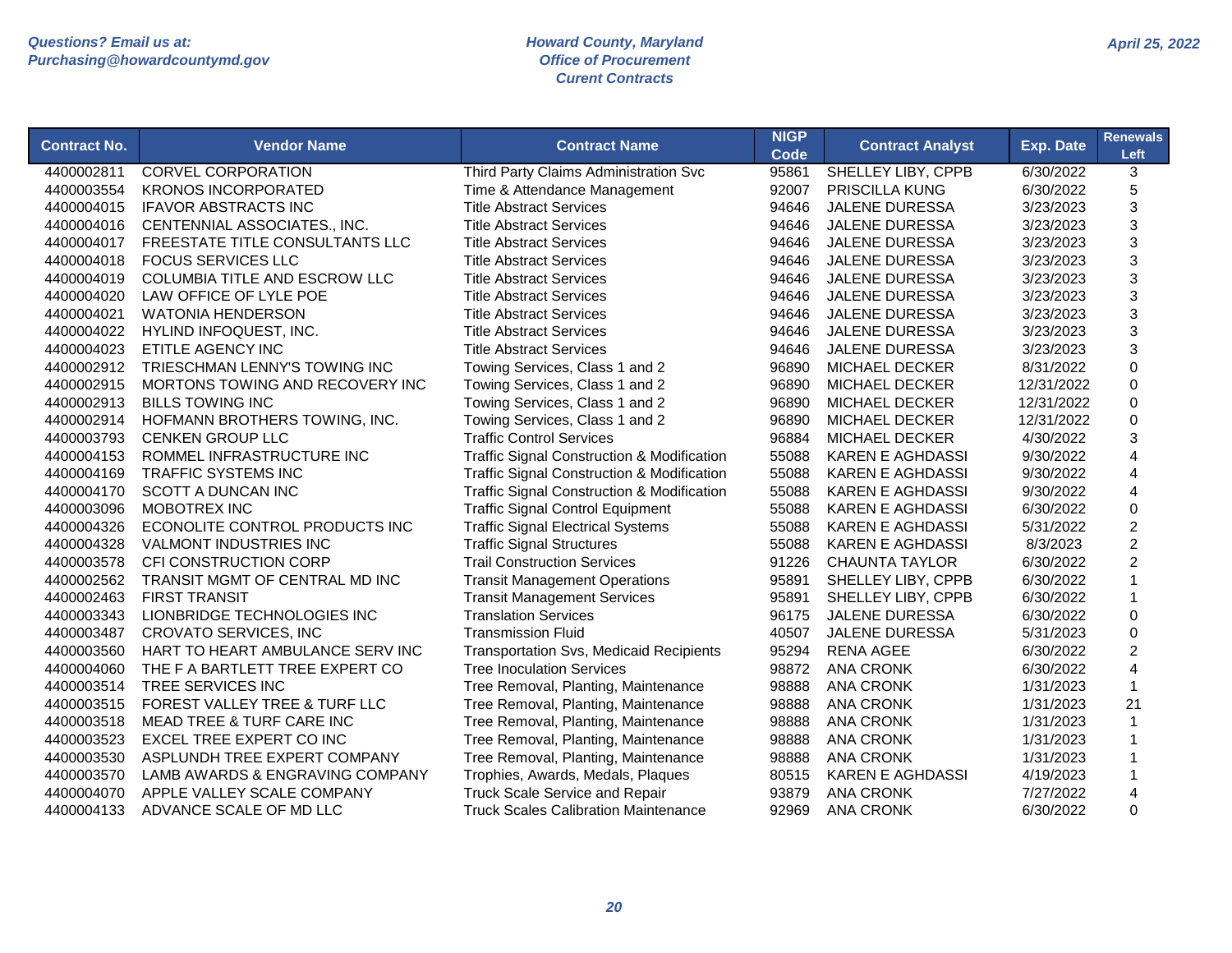| Code                                                                                                                                               |                           |
|----------------------------------------------------------------------------------------------------------------------------------------------------|---------------------------|
| 4400002811<br><b>CORVEL CORPORATION</b><br>Third Party Claims Administration Svc<br>95861<br>SHELLEY LIBY, CPPB<br>6/30/2022                       | 3                         |
| <b>KRONOS INCORPORATED</b><br>92007<br>4400003554<br>Time & Attendance Management<br><b>PRISCILLA KUNG</b><br>6/30/2022                            | 5                         |
| <b>IFAVOR ABSTRACTS INC</b><br><b>Title Abstract Services</b><br><b>JALENE DURESSA</b><br>4400004015<br>94646<br>3/23/2023                         | 3                         |
| 3/23/2023<br>4400004016<br>CENTENNIAL ASSOCIATES., INC.<br><b>Title Abstract Services</b><br>94646<br><b>JALENE DURESSA</b>                        | 3                         |
| FREESTATE TITLE CONSULTANTS LLC<br>3/23/2023<br>4400004017<br><b>Title Abstract Services</b><br>94646<br><b>JALENE DURESSA</b>                     | $\ensuremath{\mathsf{3}}$ |
| 3/23/2023<br>4400004018<br><b>FOCUS SERVICES LLC</b><br><b>Title Abstract Services</b><br>94646<br><b>JALENE DURESSA</b>                           | 3                         |
| COLUMBIA TITLE AND ESCROW LLC<br>4400004019<br><b>Title Abstract Services</b><br>94646<br><b>JALENE DURESSA</b><br>3/23/2023                       | 3                         |
| LAW OFFICE OF LYLE POE<br>4400004020<br><b>Title Abstract Services</b><br>94646<br><b>JALENE DURESSA</b><br>3/23/2023                              | 3                         |
| <b>WATONIA HENDERSON</b><br>3/23/2023<br>4400004021<br><b>Title Abstract Services</b><br>94646<br><b>JALENE DURESSA</b>                            | 3                         |
| 3/23/2023<br>4400004022<br>HYLIND INFOQUEST, INC.<br><b>Title Abstract Services</b><br>94646<br><b>JALENE DURESSA</b>                              | $\ensuremath{\mathsf{3}}$ |
| 4400004023<br>ETITLE AGENCY INC<br><b>Title Abstract Services</b><br>94646<br><b>JALENE DURESSA</b><br>3/23/2023                                   | $\ensuremath{\mathsf{3}}$ |
| TRIESCHMAN LENNY'S TOWING INC<br>MICHAEL DECKER<br>8/31/2022<br>4400002912<br>Towing Services, Class 1 and 2<br>96890                              | $\mathsf 0$               |
| MORTONS TOWING AND RECOVERY INC<br>Towing Services, Class 1 and 2<br>96890<br>MICHAEL DECKER<br>12/31/2022<br>4400002915                           | $\mathbf 0$               |
| <b>BILLS TOWING INC</b><br>Towing Services, Class 1 and 2<br>96890<br>MICHAEL DECKER<br>12/31/2022<br>4400002913                                   | $\mathsf 0$               |
| HOFMANN BROTHERS TOWING, INC.<br>Towing Services, Class 1 and 2<br>96890<br><b>MICHAEL DECKER</b><br>12/31/2022<br>4400002914                      | $\mathbf 0$               |
| <b>Traffic Control Services</b><br>96884<br>4/30/2022<br>4400003793<br><b>CENKEN GROUP LLC</b><br><b>MICHAEL DECKER</b>                            | 3                         |
| ROMMEL INFRASTRUCTURE INC<br><b>Traffic Signal Construction &amp; Modification</b><br>55088<br>9/30/2022<br>4400004153<br><b>KAREN E AGHDASSI</b>  | $\overline{4}$            |
| <b>TRAFFIC SYSTEMS INC</b><br><b>Traffic Signal Construction &amp; Modification</b><br>55088<br><b>KAREN E AGHDASSI</b><br>9/30/2022<br>4400004169 | 4                         |
| <b>SCOTT A DUNCAN INC</b><br><b>Traffic Signal Construction &amp; Modification</b><br>55088<br><b>KAREN E AGHDASSI</b><br>9/30/2022<br>4400004170  | 4                         |
| <b>MOBOTREX INC</b><br><b>Traffic Signal Control Equipment</b><br>55088<br>6/30/2022<br>4400003096<br><b>KAREN E AGHDASSI</b>                      | $\mathsf 0$               |
| ECONOLITE CONTROL PRODUCTS INC<br>4400004326<br><b>Traffic Signal Electrical Systems</b><br>55088<br><b>KAREN E AGHDASSI</b><br>5/31/2022          | $\overline{c}$            |
| <b>VALMONT INDUSTRIES INC</b><br><b>Traffic Signal Structures</b><br>55088<br><b>KAREN E AGHDASSI</b><br>8/3/2023<br>4400004328                    | $\boldsymbol{2}$          |
| 4400003578<br>CFI CONSTRUCTION CORP<br><b>Trail Construction Services</b><br>91226<br><b>CHAUNTA TAYLOR</b><br>6/30/2022                           | $\overline{2}$            |
| 4400002562<br>TRANSIT MGMT OF CENTRAL MD INC<br><b>Transit Management Operations</b><br>95891<br>SHELLEY LIBY, CPPB<br>6/30/2022                   | $\mathbf{1}$              |
| 4400002463<br><b>FIRST TRANSIT</b><br><b>Transit Management Services</b><br>95891<br>SHELLEY LIBY, CPPB<br>6/30/2022                               | $\mathbf{1}$              |
| 4400003343<br>LIONBRIDGE TECHNOLOGIES INC<br><b>Translation Services</b><br>96175<br><b>JALENE DURESSA</b><br>6/30/2022                            | $\mathbf 0$               |
| <b>CROVATO SERVICES, INC</b><br><b>Transmission Fluid</b><br>40507<br><b>JALENE DURESSA</b><br>4400003487<br>5/31/2023                             | $\Omega$                  |
| 4400003560<br>HART TO HEART AMBULANCE SERV INC<br><b>Transportation Svs, Medicaid Recipients</b><br>95294<br><b>RENA AGEE</b><br>6/30/2022         | $\overline{2}$            |
| THE F A BARTLETT TREE EXPERT CO<br><b>Tree Inoculation Services</b><br>98872<br><b>ANA CRONK</b><br>6/30/2022<br>4400004060                        | $\overline{4}$            |
| 4400003514<br>TREE SERVICES INC<br>Tree Removal, Planting, Maintenance<br>98888<br><b>ANA CRONK</b><br>1/31/2023                                   | $\mathbf{1}$              |
| 4400003515<br>FOREST VALLEY TREE & TURF LLC<br>Tree Removal, Planting, Maintenance<br>98888<br><b>ANA CRONK</b><br>1/31/2023                       | 21                        |
| MEAD TREE & TURF CARE INC<br>Tree Removal, Planting, Maintenance<br>98888<br><b>ANA CRONK</b><br>1/31/2023<br>4400003518                           | $\mathbf{1}$              |
| 4400003523<br>EXCEL TREE EXPERT CO INC<br>Tree Removal, Planting, Maintenance<br>98888<br><b>ANA CRONK</b><br>1/31/2023                            | $\mathbf{1}$              |
| Tree Removal, Planting, Maintenance<br>4400003530<br>ASPLUNDH TREE EXPERT COMPANY<br>98888<br><b>ANA CRONK</b><br>1/31/2023                        | $\mathbf 1$               |
| 4400003570<br>LAMB AWARDS & ENGRAVING COMPANY<br>Trophies, Awards, Medals, Plaques<br>80515<br><b>KAREN E AGHDASSI</b><br>4/19/2023                | $\mathbf{1}$              |
| 4400004070<br>APPLE VALLEY SCALE COMPANY<br><b>Truck Scale Service and Repair</b><br>93879<br><b>ANA CRONK</b><br>7/27/2022                        | $\overline{4}$            |
| ADVANCE SCALE OF MD LLC<br><b>Truck Scales Calibration Maintenance</b><br>92969<br><b>ANA CRONK</b><br>6/30/2022<br>4400004133                     | $\Omega$                  |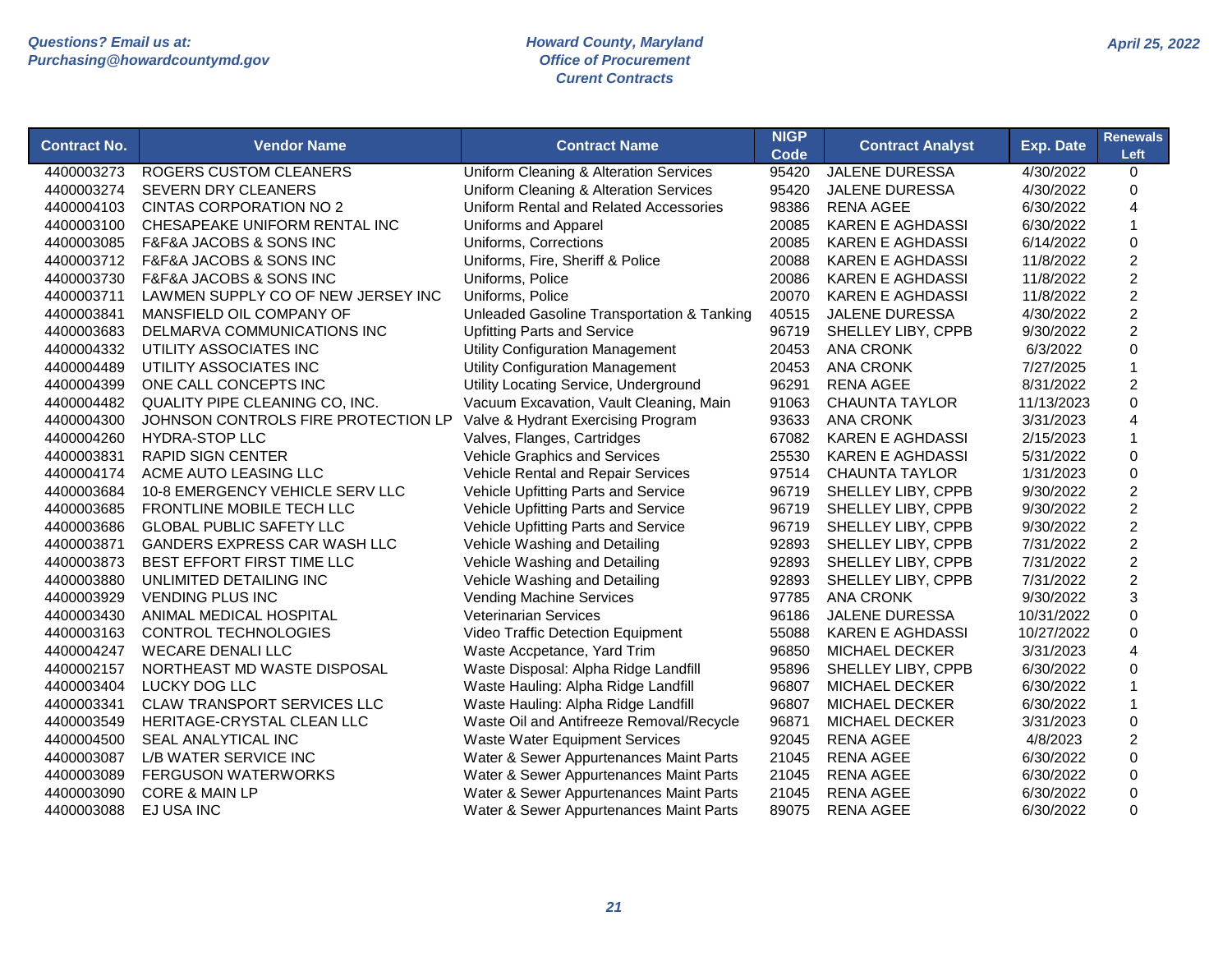| <b>Contract No.</b> | <b>Vendor Name</b>                  | <b>Contract Name</b>                              | <b>NIGP</b><br><b>Code</b> | <b>Contract Analyst</b> | Exp. Date  | <b>Renewals</b><br>Left |
|---------------------|-------------------------------------|---------------------------------------------------|----------------------------|-------------------------|------------|-------------------------|
| 4400003273          | <b>ROGERS CUSTOM CLEANERS</b>       | <b>Uniform Cleaning &amp; Alteration Services</b> | 95420                      | <b>JALENE DURESSA</b>   | 4/30/2022  | 0                       |
| 4400003274          | <b>SEVERN DRY CLEANERS</b>          | <b>Uniform Cleaning &amp; Alteration Services</b> | 95420                      | <b>JALENE DURESSA</b>   | 4/30/2022  | $\mathsf 0$             |
| 4400004103          | <b>CINTAS CORPORATION NO 2</b>      | Uniform Rental and Related Accessories            | 98386                      | <b>RENA AGEE</b>        | 6/30/2022  | 4                       |
| 4400003100          | CHESAPEAKE UNIFORM RENTAL INC       | Uniforms and Apparel                              | 20085                      | <b>KAREN E AGHDASSI</b> | 6/30/2022  | $\mathbf{1}$            |
| 4400003085          | F&F&A JACOBS & SONS INC             | Uniforms, Corrections                             | 20085                      | <b>KAREN E AGHDASSI</b> | 6/14/2022  | $\mathsf 0$             |
| 4400003712          | F&F&A JACOBS & SONS INC             | Uniforms, Fire, Sheriff & Police                  | 20088                      | <b>KAREN E AGHDASSI</b> | 11/8/2022  | $\boldsymbol{2}$        |
| 4400003730          | F&F&A JACOBS & SONS INC             | Uniforms, Police                                  | 20086                      | <b>KAREN E AGHDASSI</b> | 11/8/2022  | $\overline{c}$          |
| 4400003711          | LAWMEN SUPPLY CO OF NEW JERSEY INC  | Uniforms, Police                                  | 20070                      | <b>KAREN E AGHDASSI</b> | 11/8/2022  | $\overline{2}$          |
| 4400003841          | MANSFIELD OIL COMPANY OF            | Unleaded Gasoline Transportation & Tanking        | 40515                      | JALENE DURESSA          | 4/30/2022  | $\boldsymbol{2}$        |
| 4400003683          | DELMARVA COMMUNICATIONS INC         | <b>Upfitting Parts and Service</b>                | 96719                      | SHELLEY LIBY, CPPB      | 9/30/2022  | $\overline{c}$          |
| 4400004332          | UTILITY ASSOCIATES INC              | <b>Utility Configuration Management</b>           | 20453                      | <b>ANA CRONK</b>        | 6/3/2022   | $\mathsf 0$             |
| 4400004489          | UTILITY ASSOCIATES INC              | <b>Utility Configuration Management</b>           | 20453                      | <b>ANA CRONK</b>        | 7/27/2025  | $\mathbf{1}$            |
| 4400004399          | ONE CALL CONCEPTS INC               | Utility Locating Service, Underground             | 96291                      | <b>RENA AGEE</b>        | 8/31/2022  | $\overline{c}$          |
| 4400004482          | QUALITY PIPE CLEANING CO, INC.      | Vacuum Excavation, Vault Cleaning, Main           | 91063                      | <b>CHAUNTA TAYLOR</b>   | 11/13/2023 | $\mathbf 0$             |
| 4400004300          | JOHNSON CONTROLS FIRE PROTECTION LP | Valve & Hydrant Exercising Program                | 93633                      | <b>ANA CRONK</b>        | 3/31/2023  | 4                       |
| 4400004260          | <b>HYDRA-STOP LLC</b>               | Valves, Flanges, Cartridges                       | 67082                      | <b>KAREN E AGHDASSI</b> | 2/15/2023  | $\mathbf{1}$            |
| 4400003831          | <b>RAPID SIGN CENTER</b>            | Vehicle Graphics and Services                     | 25530                      | <b>KAREN E AGHDASSI</b> | 5/31/2022  | $\mathsf 0$             |
| 4400004174          | ACME AUTO LEASING LLC               | Vehicle Rental and Repair Services                | 97514                      | <b>CHAUNTA TAYLOR</b>   | 1/31/2023  | $\mathsf 0$             |
| 4400003684          | 10-8 EMERGENCY VEHICLE SERV LLC     | Vehicle Upfitting Parts and Service               | 96719                      | SHELLEY LIBY, CPPB      | 9/30/2022  | $\boldsymbol{2}$        |
| 4400003685          | FRONTLINE MOBILE TECH LLC           | Vehicle Upfitting Parts and Service               | 96719                      | SHELLEY LIBY, CPPB      | 9/30/2022  | $\overline{2}$          |
| 4400003686          | <b>GLOBAL PUBLIC SAFETY LLC</b>     | Vehicle Upfitting Parts and Service               | 96719                      | SHELLEY LIBY, CPPB      | 9/30/2022  | $\overline{c}$          |
| 4400003871          | GANDERS EXPRESS CAR WASH LLC        | Vehicle Washing and Detailing                     | 92893                      | SHELLEY LIBY, CPPB      | 7/31/2022  | $\overline{c}$          |
| 4400003873          | BEST EFFORT FIRST TIME LLC          | Vehicle Washing and Detailing                     | 92893                      | SHELLEY LIBY, CPPB      | 7/31/2022  | $\overline{c}$          |
| 4400003880          | UNLIMITED DETAILING INC             | Vehicle Washing and Detailing                     | 92893                      | SHELLEY LIBY, CPPB      | 7/31/2022  | $\overline{c}$          |
| 4400003929          | <b>VENDING PLUS INC</b>             | <b>Vending Machine Services</b>                   | 97785                      | <b>ANA CRONK</b>        | 9/30/2022  | 3                       |
| 4400003430          | ANIMAL MEDICAL HOSPITAL             | <b>Veterinarian Services</b>                      | 96186                      | <b>JALENE DURESSA</b>   | 10/31/2022 | $\mathbf 0$             |
| 4400003163          | <b>CONTROL TECHNOLOGIES</b>         | Video Traffic Detection Equipment                 | 55088                      | <b>KAREN E AGHDASSI</b> | 10/27/2022 | 0                       |
| 4400004247          | <b>WECARE DENALI LLC</b>            | Waste Accpetance, Yard Trim                       | 96850                      | MICHAEL DECKER          | 3/31/2023  | $\overline{4}$          |
| 4400002157          | NORTHEAST MD WASTE DISPOSAL         | Waste Disposal: Alpha Ridge Landfill              | 95896                      | SHELLEY LIBY, CPPB      | 6/30/2022  | $\mathbf 0$             |
| 4400003404          | LUCKY DOG LLC                       | Waste Hauling: Alpha Ridge Landfill               | 96807                      | MICHAEL DECKER          | 6/30/2022  | $\mathbf{1}$            |
| 4400003341          | CLAW TRANSPORT SERVICES LLC         | Waste Hauling: Alpha Ridge Landfill               | 96807                      | MICHAEL DECKER          | 6/30/2022  | $\mathbf{1}$            |
| 4400003549          | HERITAGE-CRYSTAL CLEAN LLC          | Waste Oil and Antifreeze Removal/Recycle          | 96871                      | MICHAEL DECKER          | 3/31/2023  | $\mathsf 0$             |
| 4400004500          | SEAL ANALYTICAL INC                 | <b>Waste Water Equipment Services</b>             | 92045                      | <b>RENA AGEE</b>        | 4/8/2023   | $\boldsymbol{2}$        |
| 4400003087          | L/B WATER SERVICE INC               | Water & Sewer Appurtenances Maint Parts           | 21045                      | <b>RENA AGEE</b>        | 6/30/2022  | $\mathbf 0$             |
| 4400003089          | <b>FERGUSON WATERWORKS</b>          | Water & Sewer Appurtenances Maint Parts           | 21045                      | <b>RENA AGEE</b>        | 6/30/2022  | 0                       |
| 4400003090          | <b>CORE &amp; MAIN LP</b>           | Water & Sewer Appurtenances Maint Parts           | 21045                      | <b>RENA AGEE</b>        | 6/30/2022  | $\mathbf 0$             |
| 4400003088          | EJ USA INC                          | Water & Sewer Appurtenances Maint Parts           | 89075                      | <b>RENA AGEE</b>        | 6/30/2022  | 0                       |